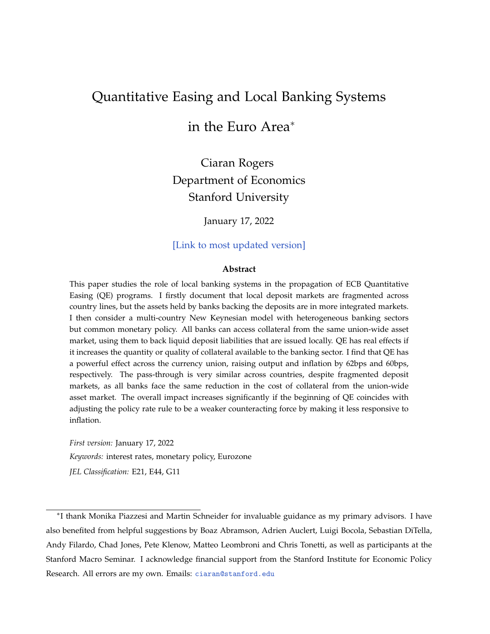## <span id="page-0-0"></span>Quantitative Easing and Local Banking Systems

## in the Euro Area<sup>∗</sup>

Ciaran Rogers Department of Economics Stanford University

January 17, 2022

[\[Link to most updated version\]](https://bit.ly/JMP_Ciaran_Rogers)

#### **Abstract**

This paper studies the role of local banking systems in the propagation of ECB Quantitative Easing (QE) programs. I firstly document that local deposit markets are fragmented across country lines, but the assets held by banks backing the deposits are in more integrated markets. I then consider a multi-country New Keynesian model with heterogeneous banking sectors but common monetary policy. All banks can access collateral from the same union-wide asset market, using them to back liquid deposit liabilities that are issued locally. QE has real effects if it increases the quantity or quality of collateral available to the banking sector. I find that QE has a powerful effect across the currency union, raising output and inflation by 62bps and 60bps, respectively. The pass-through is very similar across countries, despite fragmented deposit markets, as all banks face the same reduction in the cost of collateral from the union-wide asset market. The overall impact increases significantly if the beginning of QE coincides with adjusting the policy rate rule to be a weaker counteracting force by making it less responsive to inflation.

*First version:* January 17, 2022 *Keywords:* interest rates, monetary policy, Eurozone *JEL Classification:* E21, E44, G11

<sup>∗</sup> I thank Monika Piazzesi and Martin Schneider for invaluable guidance as my primary advisors. I have also benefited from helpful suggestions by Boaz Abramson, Adrien Auclert, Luigi Bocola, Sebastian DiTella, Andy Filardo, Chad Jones, Pete Klenow, Matteo Leombroni and Chris Tonetti, as well as participants at the Stanford Macro Seminar. I acknowledge financial support from the Stanford Institute for Economic Policy Research. All errors are my own. Emails: [ciaran@stanford.edu](mailto:ciaran@stanford.edu)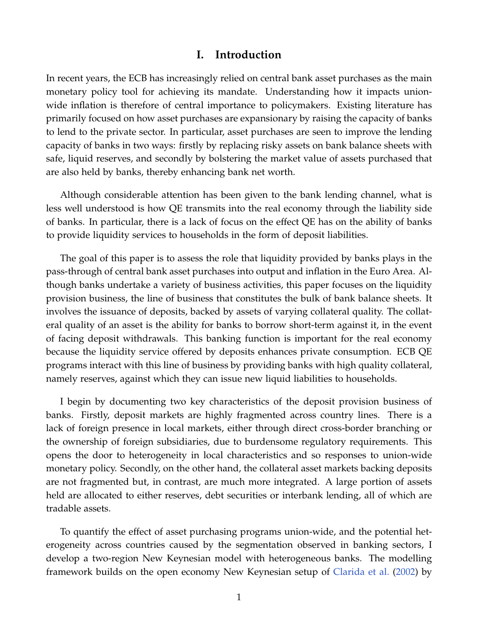## **I. Introduction**

In recent years, the ECB has increasingly relied on central bank asset purchases as the main monetary policy tool for achieving its mandate. Understanding how it impacts unionwide inflation is therefore of central importance to policymakers. Existing literature has primarily focused on how asset purchases are expansionary by raising the capacity of banks to lend to the private sector. In particular, asset purchases are seen to improve the lending capacity of banks in two ways: firstly by replacing risky assets on bank balance sheets with safe, liquid reserves, and secondly by bolstering the market value of assets purchased that are also held by banks, thereby enhancing bank net worth.

Although considerable attention has been given to the bank lending channel, what is less well understood is how QE transmits into the real economy through the liability side of banks. In particular, there is a lack of focus on the effect QE has on the ability of banks to provide liquidity services to households in the form of deposit liabilities.

The goal of this paper is to assess the role that liquidity provided by banks plays in the pass-through of central bank asset purchases into output and inflation in the Euro Area. Although banks undertake a variety of business activities, this paper focuses on the liquidity provision business, the line of business that constitutes the bulk of bank balance sheets. It involves the issuance of deposits, backed by assets of varying collateral quality. The collateral quality of an asset is the ability for banks to borrow short-term against it, in the event of facing deposit withdrawals. This banking function is important for the real economy because the liquidity service offered by deposits enhances private consumption. ECB QE programs interact with this line of business by providing banks with high quality collateral, namely reserves, against which they can issue new liquid liabilities to households.

I begin by documenting two key characteristics of the deposit provision business of banks. Firstly, deposit markets are highly fragmented across country lines. There is a lack of foreign presence in local markets, either through direct cross-border branching or the ownership of foreign subsidiaries, due to burdensome regulatory requirements. This opens the door to heterogeneity in local characteristics and so responses to union-wide monetary policy. Secondly, on the other hand, the collateral asset markets backing deposits are not fragmented but, in contrast, are much more integrated. A large portion of assets held are allocated to either reserves, debt securities or interbank lending, all of which are tradable assets.

To quantify the effect of asset purchasing programs union-wide, and the potential heterogeneity across countries caused by the segmentation observed in banking sectors, I develop a two-region New Keynesian model with heterogeneous banks. The modelling framework builds on the open economy New Keynesian setup of [Clarida et al.](#page-49-0) [\(2002\)](#page-49-0) by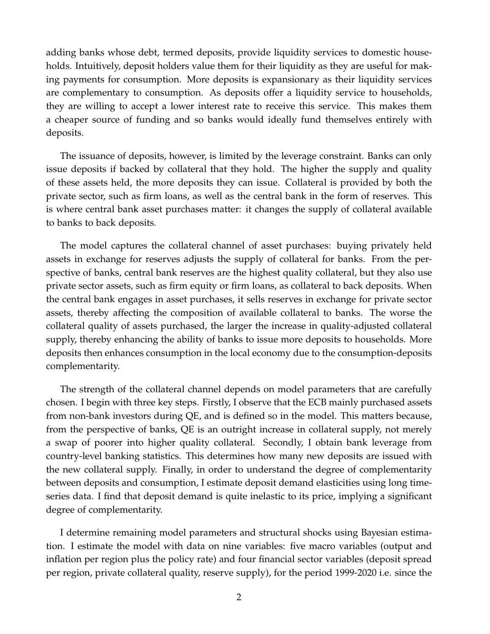adding banks whose debt, termed deposits, provide liquidity services to domestic households. Intuitively, deposit holders value them for their liquidity as they are useful for making payments for consumption. More deposits is expansionary as their liquidity services are complementary to consumption. As deposits offer a liquidity service to households, they are willing to accept a lower interest rate to receive this service. This makes them a cheaper source of funding and so banks would ideally fund themselves entirely with deposits.

The issuance of deposits, however, is limited by the leverage constraint. Banks can only issue deposits if backed by collateral that they hold. The higher the supply and quality of these assets held, the more deposits they can issue. Collateral is provided by both the private sector, such as firm loans, as well as the central bank in the form of reserves. This is where central bank asset purchases matter: it changes the supply of collateral available to banks to back deposits.

The model captures the collateral channel of asset purchases: buying privately held assets in exchange for reserves adjusts the supply of collateral for banks. From the perspective of banks, central bank reserves are the highest quality collateral, but they also use private sector assets, such as firm equity or firm loans, as collateral to back deposits. When the central bank engages in asset purchases, it sells reserves in exchange for private sector assets, thereby affecting the composition of available collateral to banks. The worse the collateral quality of assets purchased, the larger the increase in quality-adjusted collateral supply, thereby enhancing the ability of banks to issue more deposits to households. More deposits then enhances consumption in the local economy due to the consumption-deposits complementarity.

The strength of the collateral channel depends on model parameters that are carefully chosen. I begin with three key steps. Firstly, I observe that the ECB mainly purchased assets from non-bank investors during QE, and is defined so in the model. This matters because, from the perspective of banks, QE is an outright increase in collateral supply, not merely a swap of poorer into higher quality collateral. Secondly, I obtain bank leverage from country-level banking statistics. This determines how many new deposits are issued with the new collateral supply. Finally, in order to understand the degree of complementarity between deposits and consumption, I estimate deposit demand elasticities using long timeseries data. I find that deposit demand is quite inelastic to its price, implying a significant degree of complementarity.

I determine remaining model parameters and structural shocks using Bayesian estimation. I estimate the model with data on nine variables: five macro variables (output and inflation per region plus the policy rate) and four financial sector variables (deposit spread per region, private collateral quality, reserve supply), for the period 1999-2020 i.e. since the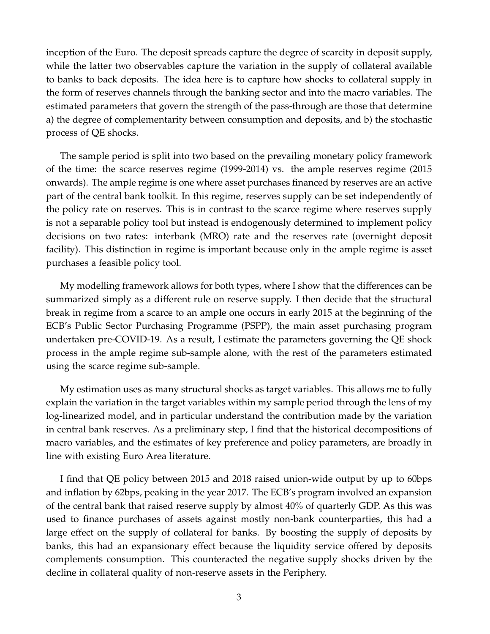inception of the Euro. The deposit spreads capture the degree of scarcity in deposit supply, while the latter two observables capture the variation in the supply of collateral available to banks to back deposits. The idea here is to capture how shocks to collateral supply in the form of reserves channels through the banking sector and into the macro variables. The estimated parameters that govern the strength of the pass-through are those that determine a) the degree of complementarity between consumption and deposits, and b) the stochastic process of QE shocks.

The sample period is split into two based on the prevailing monetary policy framework of the time: the scarce reserves regime (1999-2014) vs. the ample reserves regime (2015 onwards). The ample regime is one where asset purchases financed by reserves are an active part of the central bank toolkit. In this regime, reserves supply can be set independently of the policy rate on reserves. This is in contrast to the scarce regime where reserves supply is not a separable policy tool but instead is endogenously determined to implement policy decisions on two rates: interbank (MRO) rate and the reserves rate (overnight deposit facility). This distinction in regime is important because only in the ample regime is asset purchases a feasible policy tool.

My modelling framework allows for both types, where I show that the differences can be summarized simply as a different rule on reserve supply. I then decide that the structural break in regime from a scarce to an ample one occurs in early 2015 at the beginning of the ECB's Public Sector Purchasing Programme (PSPP), the main asset purchasing program undertaken pre-COVID-19. As a result, I estimate the parameters governing the QE shock process in the ample regime sub-sample alone, with the rest of the parameters estimated using the scarce regime sub-sample.

My estimation uses as many structural shocks as target variables. This allows me to fully explain the variation in the target variables within my sample period through the lens of my log-linearized model, and in particular understand the contribution made by the variation in central bank reserves. As a preliminary step, I find that the historical decompositions of macro variables, and the estimates of key preference and policy parameters, are broadly in line with existing Euro Area literature.

I find that QE policy between 2015 and 2018 raised union-wide output by up to 60bps and inflation by 62bps, peaking in the year 2017. The ECB's program involved an expansion of the central bank that raised reserve supply by almost 40% of quarterly GDP. As this was used to finance purchases of assets against mostly non-bank counterparties, this had a large effect on the supply of collateral for banks. By boosting the supply of deposits by banks, this had an expansionary effect because the liquidity service offered by deposits complements consumption. This counteracted the negative supply shocks driven by the decline in collateral quality of non-reserve assets in the Periphery.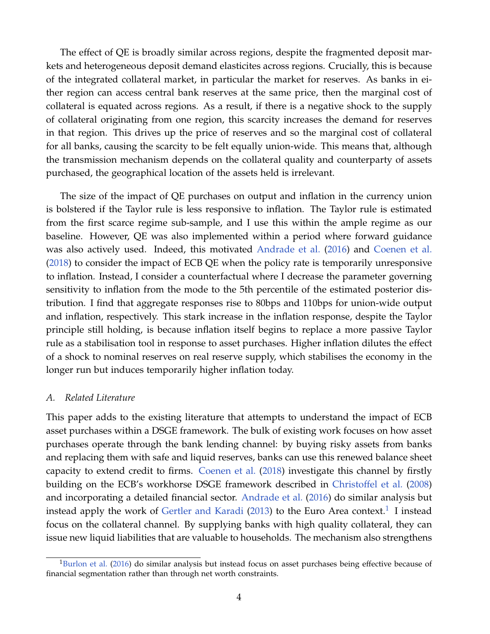The effect of QE is broadly similar across regions, despite the fragmented deposit markets and heterogeneous deposit demand elasticites across regions. Crucially, this is because of the integrated collateral market, in particular the market for reserves. As banks in either region can access central bank reserves at the same price, then the marginal cost of collateral is equated across regions. As a result, if there is a negative shock to the supply of collateral originating from one region, this scarcity increases the demand for reserves in that region. This drives up the price of reserves and so the marginal cost of collateral for all banks, causing the scarcity to be felt equally union-wide. This means that, although the transmission mechanism depends on the collateral quality and counterparty of assets purchased, the geographical location of the assets held is irrelevant.

The size of the impact of QE purchases on output and inflation in the currency union is bolstered if the Taylor rule is less responsive to inflation. The Taylor rule is estimated from the first scarce regime sub-sample, and I use this within the ample regime as our baseline. However, QE was also implemented within a period where forward guidance was also actively used. Indeed, this motivated [Andrade et al.](#page-48-0) [\(2016\)](#page-48-0) and [Coenen et al.](#page-49-1) [\(2018\)](#page-49-1) to consider the impact of ECB QE when the policy rate is temporarily unresponsive to inflation. Instead, I consider a counterfactual where I decrease the parameter governing sensitivity to inflation from the mode to the 5th percentile of the estimated posterior distribution. I find that aggregate responses rise to 80bps and 110bps for union-wide output and inflation, respectively. This stark increase in the inflation response, despite the Taylor principle still holding, is because inflation itself begins to replace a more passive Taylor rule as a stabilisation tool in response to asset purchases. Higher inflation dilutes the effect of a shock to nominal reserves on real reserve supply, which stabilises the economy in the longer run but induces temporarily higher inflation today.

## *A. Related Literature*

This paper adds to the existing literature that attempts to understand the impact of ECB asset purchases within a DSGE framework. The bulk of existing work focuses on how asset purchases operate through the bank lending channel: by buying risky assets from banks and replacing them with safe and liquid reserves, banks can use this renewed balance sheet capacity to extend credit to firms. [Coenen et al.](#page-49-1) [\(2018\)](#page-49-1) investigate this channel by firstly building on the ECB's workhorse DSGE framework described in [Christoffel et al.](#page-49-2) [\(2008\)](#page-49-2) and incorporating a detailed financial sector. [Andrade et al.](#page-48-0) [\(2016\)](#page-48-0) do similar analysis but instead apply the work of [Gertler and Karadi](#page-49-3) [\(2013\)](#page-49-3) to the Euro Area context.<sup>[1](#page-0-0)</sup> I instead focus on the collateral channel. By supplying banks with high quality collateral, they can issue new liquid liabilities that are valuable to households. The mechanism also strengthens

<sup>&</sup>lt;sup>1</sup>[Burlon et al.](#page-48-1) [\(2016\)](#page-48-1) do similar analysis but instead focus on asset purchases being effective because of financial segmentation rather than through net worth constraints.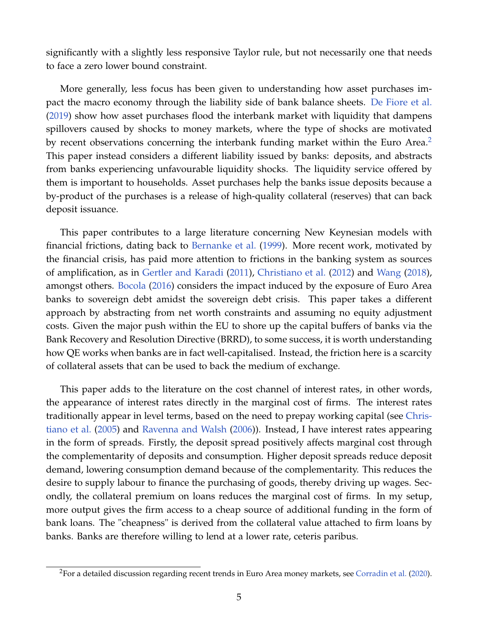significantly with a slightly less responsive Taylor rule, but not necessarily one that needs to face a zero lower bound constraint.

More generally, less focus has been given to understanding how asset purchases impact the macro economy through the liability side of bank balance sheets. [De Fiore et al.](#page-49-4) [\(2019\)](#page-49-4) show how asset purchases flood the interbank market with liquidity that dampens spillovers caused by shocks to money markets, where the type of shocks are motivated by recent observations concerning the interbank funding market within the Euro Area.<sup>[2](#page-0-0)</sup> This paper instead considers a different liability issued by banks: deposits, and abstracts from banks experiencing unfavourable liquidity shocks. The liquidity service offered by them is important to households. Asset purchases help the banks issue deposits because a by-product of the purchases is a release of high-quality collateral (reserves) that can back deposit issuance.

This paper contributes to a large literature concerning New Keynesian models with financial frictions, dating back to [Bernanke et al.](#page-48-2) [\(1999\)](#page-48-2). More recent work, motivated by the financial crisis, has paid more attention to frictions in the banking system as sources of amplification, as in [Gertler and Karadi](#page-49-5) [\(2011\)](#page-49-5), [Christiano et al.](#page-48-3) [\(2012\)](#page-48-3) and [Wang](#page-51-0) [\(2018\)](#page-51-0), amongst others. [Bocola](#page-48-4) [\(2016\)](#page-48-4) considers the impact induced by the exposure of Euro Area banks to sovereign debt amidst the sovereign debt crisis. This paper takes a different approach by abstracting from net worth constraints and assuming no equity adjustment costs. Given the major push within the EU to shore up the capital buffers of banks via the Bank Recovery and Resolution Directive (BRRD), to some success, it is worth understanding how QE works when banks are in fact well-capitalised. Instead, the friction here is a scarcity of collateral assets that can be used to back the medium of exchange.

This paper adds to the literature on the cost channel of interest rates, in other words, the appearance of interest rates directly in the marginal cost of firms. The interest rates traditionally appear in level terms, based on the need to prepay working capital (see [Chris](#page-48-5)[tiano et al.](#page-48-5) [\(2005\)](#page-48-5) and [Ravenna and Walsh](#page-50-0) [\(2006\)](#page-50-0)). Instead, I have interest rates appearing in the form of spreads. Firstly, the deposit spread positively affects marginal cost through the complementarity of deposits and consumption. Higher deposit spreads reduce deposit demand, lowering consumption demand because of the complementarity. This reduces the desire to supply labour to finance the purchasing of goods, thereby driving up wages. Secondly, the collateral premium on loans reduces the marginal cost of firms. In my setup, more output gives the firm access to a cheap source of additional funding in the form of bank loans. The "cheapness" is derived from the collateral value attached to firm loans by banks. Banks are therefore willing to lend at a lower rate, ceteris paribus.

<sup>&</sup>lt;sup>2</sup>For a detailed discussion regarding recent trends in Euro Area money markets, see [Corradin et al.](#page-49-6) [\(2020\)](#page-49-6).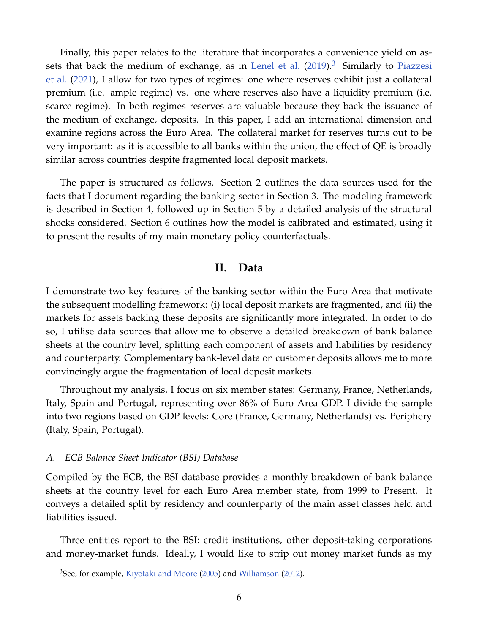Finally, this paper relates to the literature that incorporates a convenience yield on as-sets that back the medium of exchange, as in [Lenel et al.](#page-50-1)  $(2019)^3$  $(2019)^3$  $(2019)^3$  Similarly to [Piazzesi](#page-50-2) [et al.](#page-50-2) [\(2021\)](#page-50-2), I allow for two types of regimes: one where reserves exhibit just a collateral premium (i.e. ample regime) vs. one where reserves also have a liquidity premium (i.e. scarce regime). In both regimes reserves are valuable because they back the issuance of the medium of exchange, deposits. In this paper, I add an international dimension and examine regions across the Euro Area. The collateral market for reserves turns out to be very important: as it is accessible to all banks within the union, the effect of QE is broadly similar across countries despite fragmented local deposit markets.

The paper is structured as follows. Section 2 outlines the data sources used for the facts that I document regarding the banking sector in Section 3. The modeling framework is described in Section 4, followed up in Section 5 by a detailed analysis of the structural shocks considered. Section 6 outlines how the model is calibrated and estimated, using it to present the results of my main monetary policy counterfactuals.

## **II. Data**

I demonstrate two key features of the banking sector within the Euro Area that motivate the subsequent modelling framework: (i) local deposit markets are fragmented, and (ii) the markets for assets backing these deposits are significantly more integrated. In order to do so, I utilise data sources that allow me to observe a detailed breakdown of bank balance sheets at the country level, splitting each component of assets and liabilities by residency and counterparty. Complementary bank-level data on customer deposits allows me to more convincingly argue the fragmentation of local deposit markets.

Throughout my analysis, I focus on six member states: Germany, France, Netherlands, Italy, Spain and Portugal, representing over 86% of Euro Area GDP. I divide the sample into two regions based on GDP levels: Core (France, Germany, Netherlands) vs. Periphery (Italy, Spain, Portugal).

#### *A. ECB Balance Sheet Indicator (BSI) Database*

Compiled by the ECB, the BSI database provides a monthly breakdown of bank balance sheets at the country level for each Euro Area member state, from 1999 to Present. It conveys a detailed split by residency and counterparty of the main asset classes held and liabilities issued.

Three entities report to the BSI: credit institutions, other deposit-taking corporations and money-market funds. Ideally, I would like to strip out money market funds as my

<sup>&</sup>lt;sup>3</sup>See, for example, [Kiyotaki and Moore](#page-50-3) [\(2005\)](#page-50-3) and [Williamson](#page-51-1) [\(2012\)](#page-51-1).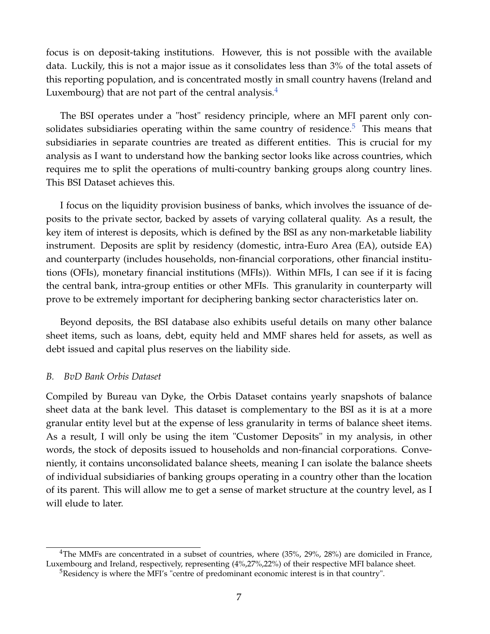focus is on deposit-taking institutions. However, this is not possible with the available data. Luckily, this is not a major issue as it consolidates less than 3% of the total assets of this reporting population, and is concentrated mostly in small country havens (Ireland and Luxembourg) that are not part of the central analysis. $4$ 

The BSI operates under a "host" residency principle, where an MFI parent only con-solidates subsidiaries operating within the same country of residence.<sup>[5](#page-0-0)</sup> This means that subsidiaries in separate countries are treated as different entities. This is crucial for my analysis as I want to understand how the banking sector looks like across countries, which requires me to split the operations of multi-country banking groups along country lines. This BSI Dataset achieves this.

I focus on the liquidity provision business of banks, which involves the issuance of deposits to the private sector, backed by assets of varying collateral quality. As a result, the key item of interest is deposits, which is defined by the BSI as any non-marketable liability instrument. Deposits are split by residency (domestic, intra-Euro Area (EA), outside EA) and counterparty (includes households, non-financial corporations, other financial institutions (OFIs), monetary financial institutions (MFIs)). Within MFIs, I can see if it is facing the central bank, intra-group entities or other MFIs. This granularity in counterparty will prove to be extremely important for deciphering banking sector characteristics later on.

Beyond deposits, the BSI database also exhibits useful details on many other balance sheet items, such as loans, debt, equity held and MMF shares held for assets, as well as debt issued and capital plus reserves on the liability side.

#### *B. BvD Bank Orbis Dataset*

Compiled by Bureau van Dyke, the Orbis Dataset contains yearly snapshots of balance sheet data at the bank level. This dataset is complementary to the BSI as it is at a more granular entity level but at the expense of less granularity in terms of balance sheet items. As a result, I will only be using the item "Customer Deposits" in my analysis, in other words, the stock of deposits issued to households and non-financial corporations. Conveniently, it contains unconsolidated balance sheets, meaning I can isolate the balance sheets of individual subsidiaries of banking groups operating in a country other than the location of its parent. This will allow me to get a sense of market structure at the country level, as I will elude to later.

<span id="page-7-0"></span> $4$ The MMFs are concentrated in a subset of countries, where (35%, 29%, 28%) are domiciled in France, Luxembourg and Ireland, respectively, representing (4%,27%,22%) of their respective MFI balance sheet.

 $5$ Residency is where the MFI's "centre of predominant economic interest is in that country".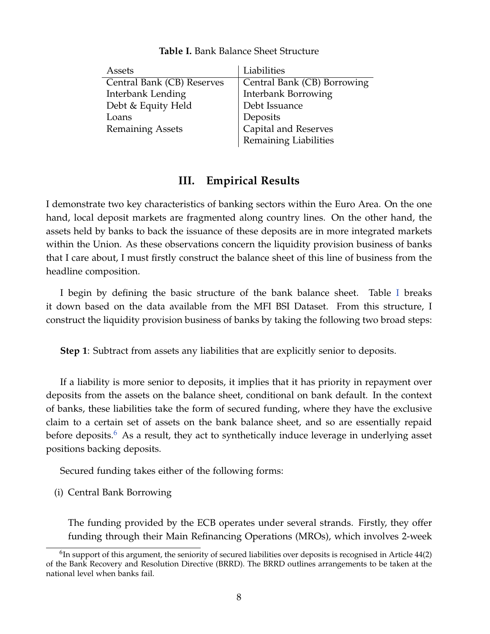<span id="page-8-0"></span>

| Assets                     | Liabilities                 |
|----------------------------|-----------------------------|
| Central Bank (CB) Reserves | Central Bank (CB) Borrowing |
| Interbank Lending          | <b>Interbank Borrowing</b>  |
| Debt & Equity Held         | Debt Issuance               |
| Loans                      | Deposits                    |
| <b>Remaining Assets</b>    | Capital and Reserves        |
|                            | Remaining Liabilities       |

**Table I.** Bank Balance Sheet Structure

## **III. Empirical Results**

I demonstrate two key characteristics of banking sectors within the Euro Area. On the one hand, local deposit markets are fragmented along country lines. On the other hand, the assets held by banks to back the issuance of these deposits are in more integrated markets within the Union. As these observations concern the liquidity provision business of banks that I care about, I must firstly construct the balance sheet of this line of business from the headline composition.

I begin by defining the basic structure of the bank balance sheet. Table [I](#page-8-0) breaks it down based on the data available from the MFI BSI Dataset. From this structure, I construct the liquidity provision business of banks by taking the following two broad steps:

**Step 1**: Subtract from assets any liabilities that are explicitly senior to deposits.

If a liability is more senior to deposits, it implies that it has priority in repayment over deposits from the assets on the balance sheet, conditional on bank default. In the context of banks, these liabilities take the form of secured funding, where they have the exclusive claim to a certain set of assets on the bank balance sheet, and so are essentially repaid before deposits.<sup>[6](#page-0-0)</sup> As a result, they act to synthetically induce leverage in underlying asset positions backing deposits.

Secured funding takes either of the following forms:

(i) Central Bank Borrowing

The funding provided by the ECB operates under several strands. Firstly, they offer funding through their Main Refinancing Operations (MROs), which involves 2-week

 $6$ In support of this argument, the seniority of secured liabilities over deposits is recognised in Article 44(2) of the Bank Recovery and Resolution Directive (BRRD). The BRRD outlines arrangements to be taken at the national level when banks fail.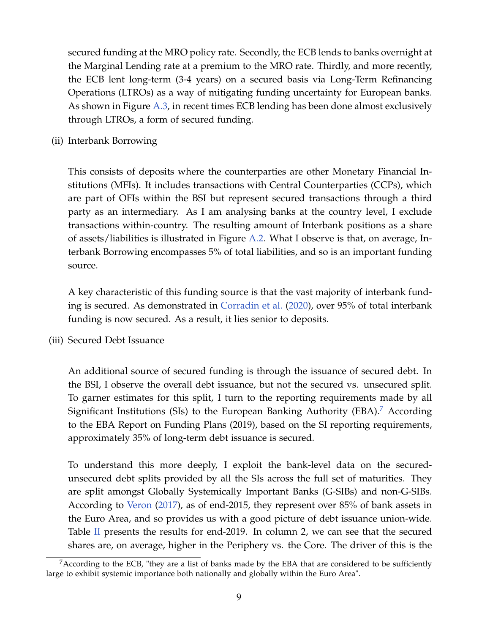secured funding at the MRO policy rate. Secondly, the ECB lends to banks overnight at the Marginal Lending rate at a premium to the MRO rate. Thirdly, and more recently, the ECB lent long-term (3-4 years) on a secured basis via Long-Term Refinancing Operations (LTROs) as a way of mitigating funding uncertainty for European banks. As shown in Figure [A.3,](#page-54-0) in recent times ECB lending has been done almost exclusively through LTROs, a form of secured funding.

(ii) Interbank Borrowing

This consists of deposits where the counterparties are other Monetary Financial Institutions (MFIs). It includes transactions with Central Counterparties (CCPs), which are part of OFIs within the BSI but represent secured transactions through a third party as an intermediary. As I am analysing banks at the country level, I exclude transactions within-country. The resulting amount of Interbank positions as a share of assets/liabilities is illustrated in Figure [A.2.](#page-53-0) What I observe is that, on average, Interbank Borrowing encompasses 5% of total liabilities, and so is an important funding source.

A key characteristic of this funding source is that the vast majority of interbank funding is secured. As demonstrated in [Corradin et al.](#page-49-6) [\(2020\)](#page-49-6), over 95% of total interbank funding is now secured. As a result, it lies senior to deposits.

(iii) Secured Debt Issuance

An additional source of secured funding is through the issuance of secured debt. In the BSI, I observe the overall debt issuance, but not the secured vs. unsecured split. To garner estimates for this split, I turn to the reporting requirements made by all Significant Institutions (SIs) to the European Banking Authority (EBA).<sup>[7](#page-0-0)</sup> According to the EBA Report on Funding Plans (2019), based on the SI reporting requirements, approximately 35% of long-term debt issuance is secured.

To understand this more deeply, I exploit the bank-level data on the securedunsecured debt splits provided by all the SIs across the full set of maturities. They are split amongst Globally Systemically Important Banks (G-SIBs) and non-G-SIBs. According to [Veron](#page-50-4) [\(2017\)](#page-50-4), as of end-2015, they represent over 85% of bank assets in the Euro Area, and so provides us with a good picture of debt issuance union-wide. Table  $\overline{II}$  $\overline{II}$  $\overline{II}$  presents the results for end-2019. In column 2, we can see that the secured shares are, on average, higher in the Periphery vs. the Core. The driver of this is the

 $7$ According to the ECB, "they are a list of banks made by the EBA that are considered to be sufficiently large to exhibit systemic importance both nationally and globally within the Euro Area".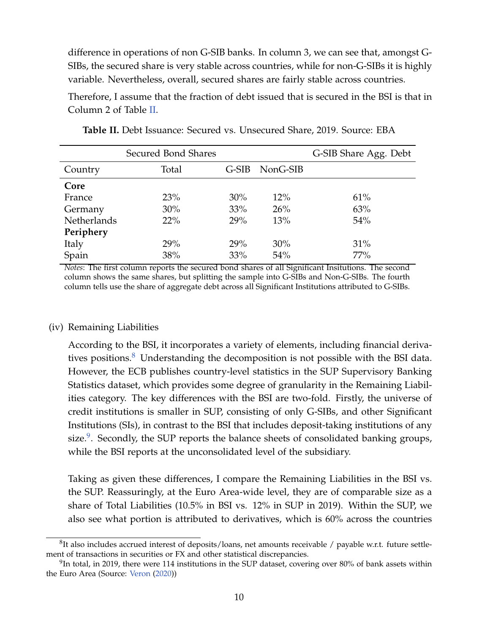difference in operations of non G-SIB banks. In column 3, we can see that, amongst G-SIBs, the secured share is very stable across countries, while for non-G-SIBs it is highly variable. Nevertheless, overall, secured shares are fairly stable across countries.

Therefore, I assume that the fraction of debt issued that is secured in the BSI is that in Column 2 of Table [II.](#page-10-0)

<span id="page-10-0"></span>

|             | Secured Bond Shares |         |          | G-SIB Share Agg. Debt |
|-------------|---------------------|---------|----------|-----------------------|
| Country     | Total               | $G-SIB$ | NonG-SIB |                       |
| Core        |                     |         |          |                       |
| France      | 23%                 | $30\%$  | 12%      | 61%                   |
| Germany     | 30%                 | 33%     | 26%      | 63%                   |
| Netherlands | 22%                 | 29%     | 13%      | 54%                   |
| Periphery   |                     |         |          |                       |
| Italy       | 29%                 | 29%     | 30%      | 31%                   |
| Spain       | 38%                 | 33%     | 54%      | 77%                   |

**Table II.** Debt Issuance: Secured vs. Unsecured Share, 2019. Source: EBA

*Notes*: The first column reports the secured bond shares of all Significant Insitutions. The second column shows the same shares, but splitting the sample into G-SIBs and Non-G-SIBs. The fourth column tells use the share of aggregate debt across all Significant Institutions attributed to G-SIBs.

#### (iv) Remaining Liabilities

According to the BSI, it incorporates a variety of elements, including financial derivatives positions. $8$  Understanding the decomposition is not possible with the BSI data. However, the ECB publishes country-level statistics in the SUP Supervisory Banking Statistics dataset, which provides some degree of granularity in the Remaining Liabilities category. The key differences with the BSI are two-fold. Firstly, the universe of credit institutions is smaller in SUP, consisting of only G-SIBs, and other Significant Institutions (SIs), in contrast to the BSI that includes deposit-taking institutions of any size.<sup>[9](#page-0-0)</sup>. Secondly, the SUP reports the balance sheets of consolidated banking groups, while the BSI reports at the unconsolidated level of the subsidiary.

Taking as given these differences, I compare the Remaining Liabilities in the BSI vs. the SUP. Reassuringly, at the Euro Area-wide level, they are of comparable size as a share of Total Liabilities (10.5% in BSI vs. 12% in SUP in 2019). Within the SUP, we also see what portion is attributed to derivatives, which is 60% across the countries

 ${}^{8}$ It also includes accrued interest of deposits/loans, net amounts receivable / payable w.r.t. future settlement of transactions in securities or FX and other statistical discrepancies.

 $^{9}$ In total, in 2019, there were 114 institutions in the SUP dataset, covering over 80% of bank assets within the Euro Area (Source: [Veron](#page-51-2) [\(2020\)](#page-51-2))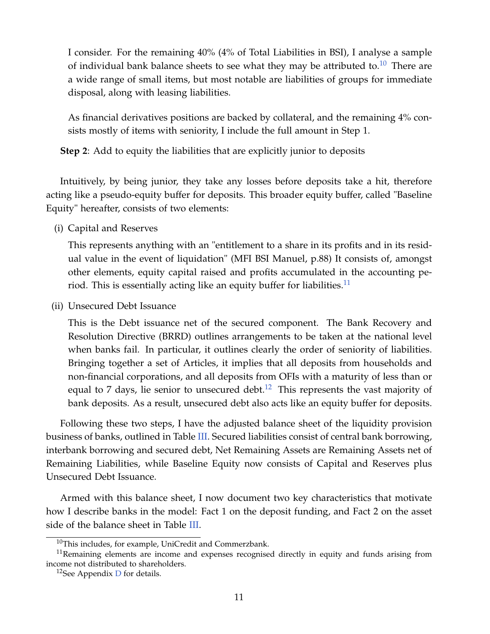I consider. For the remaining 40% (4% of Total Liabilities in BSI), I analyse a sample of individual bank balance sheets to see what they may be attributed to.<sup>[10](#page-0-0)</sup> There are a wide range of small items, but most notable are liabilities of groups for immediate disposal, along with leasing liabilities.

As financial derivatives positions are backed by collateral, and the remaining 4% consists mostly of items with seniority, I include the full amount in Step 1.

**Step 2**: Add to equity the liabilities that are explicitly junior to deposits

Intuitively, by being junior, they take any losses before deposits take a hit, therefore acting like a pseudo-equity buffer for deposits. This broader equity buffer, called "Baseline Equity" hereafter, consists of two elements:

(i) Capital and Reserves

This represents anything with an "entitlement to a share in its profits and in its residual value in the event of liquidation" (MFI BSI Manuel, p.88) It consists of, amongst other elements, equity capital raised and profits accumulated in the accounting pe-riod. This is essentially acting like an equity buffer for liabilities.<sup>[11](#page-0-0)</sup>

(ii) Unsecured Debt Issuance

This is the Debt issuance net of the secured component. The Bank Recovery and Resolution Directive (BRRD) outlines arrangements to be taken at the national level when banks fail. In particular, it outlines clearly the order of seniority of liabilities. Bringing together a set of Articles, it implies that all deposits from households and non-financial corporations, and all deposits from OFIs with a maturity of less than or equal to 7 days, lie senior to unsecured debt.<sup>[12](#page-0-0)</sup> This represents the vast majority of bank deposits. As a result, unsecured debt also acts like an equity buffer for deposits.

Following these two steps, I have the adjusted balance sheet of the liquidity provision business of banks, outlined in Table [III.](#page-12-0) Secured liabilities consist of central bank borrowing, interbank borrowing and secured debt, Net Remaining Assets are Remaining Assets net of Remaining Liabilities, while Baseline Equity now consists of Capital and Reserves plus Unsecured Debt Issuance.

Armed with this balance sheet, I now document two key characteristics that motivate how I describe banks in the model: Fact 1 on the deposit funding, and Fact 2 on the asset side of the balance sheet in Table [III.](#page-12-0)

 $10$ This includes, for example, UniCredit and Commerzbank.

 $11$ Remaining elements are income and expenses recognised directly in equity and funds arising from income not distributed to shareholders.

<sup>&</sup>lt;sup>12</sup>See Appendix  $D$  for details.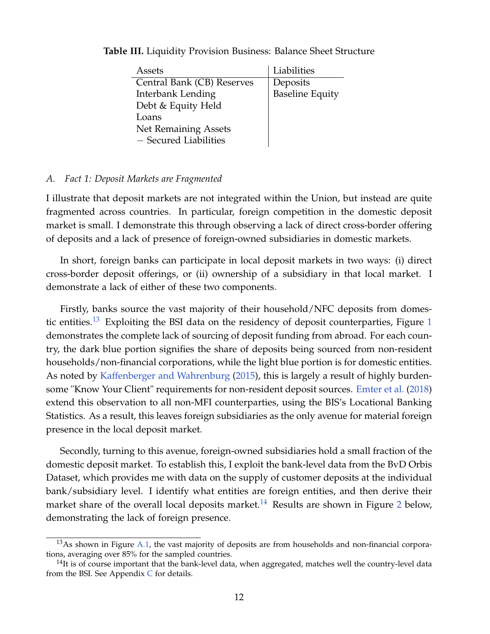| Assets                     | Liabilities            |
|----------------------------|------------------------|
| Central Bank (CB) Reserves | Deposits               |
| Interbank Lending          | <b>Baseline Equity</b> |
| Debt & Equity Held         |                        |
| Loans                      |                        |
| Net Remaining Assets       |                        |
| - Secured Liabilities      |                        |

<span id="page-12-0"></span>**Table III.** Liquidity Provision Business: Balance Sheet Structure

## *A. Fact 1: Deposit Markets are Fragmented*

I illustrate that deposit markets are not integrated within the Union, but instead are quite fragmented across countries. In particular, foreign competition in the domestic deposit market is small. I demonstrate this through observing a lack of direct cross-border offering of deposits and a lack of presence of foreign-owned subsidiaries in domestic markets.

In short, foreign banks can participate in local deposit markets in two ways: (i) direct cross-border deposit offerings, or (ii) ownership of a subsidiary in that local market. I demonstrate a lack of either of these two components.

Firstly, banks source the vast majority of their household/NFC deposits from domes-tic entities.<sup>[13](#page-0-0)</sup> Exploiting the BSI data on the residency of deposit counterparties, Figure [1](#page-13-0) demonstrates the complete lack of sourcing of deposit funding from abroad. For each country, the dark blue portion signifies the share of deposits being sourced from non-resident households/non-financial corporations, while the light blue portion is for domestic entities. As noted by [Kaffenberger and Wahrenburg](#page-50-5) [\(2015\)](#page-50-5), this is largely a result of highly burdensome "Know Your Client" requirements for non-resident deposit sources. [Emter et al.](#page-49-7) [\(2018\)](#page-49-7) extend this observation to all non-MFI counterparties, using the BIS's Locational Banking Statistics. As a result, this leaves foreign subsidiaries as the only avenue for material foreign presence in the local deposit market.

Secondly, turning to this avenue, foreign-owned subsidiaries hold a small fraction of the domestic deposit market. To establish this, I exploit the bank-level data from the BvD Orbis Dataset, which provides me with data on the supply of customer deposits at the individual bank/subsidiary level. I identify what entities are foreign entities, and then derive their market share of the overall local deposits market.<sup>[14](#page-0-0)</sup> Results are shown in Figure [2](#page-14-0) below, demonstrating the lack of foreign presence.

 $13$ As shown in Figure [A.1,](#page-52-0) the vast majority of deposits are from households and non-financial corporations, averaging over 85% for the sampled countries.

 $<sup>14</sup>$ It is of course important that the bank-level data, when aggregated, matches well the country-level data</sup> from the BSI. See Appendix  $C$  for details.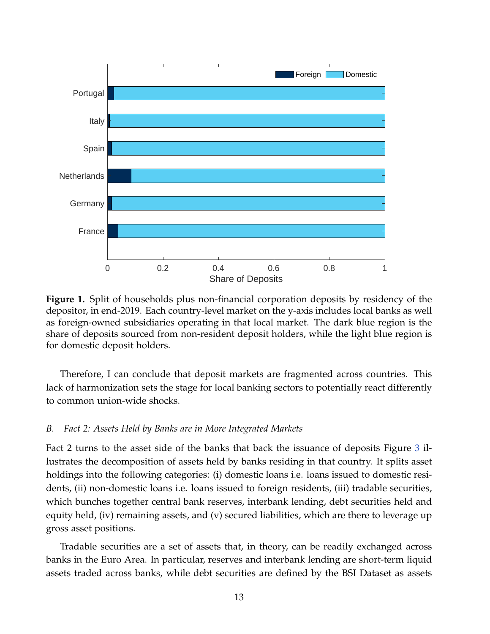<span id="page-13-0"></span>

**Figure 1.** Split of households plus non-financial corporation deposits by residency of the depositor, in end-2019. Each country-level market on the y-axis includes local banks as well as foreign-owned subsidiaries operating in that local market. The dark blue region is the share of deposits sourced from non-resident deposit holders, while the light blue region is for domestic deposit holders.

Therefore, I can conclude that deposit markets are fragmented across countries. This lack of harmonization sets the stage for local banking sectors to potentially react differently to common union-wide shocks.

#### *B. Fact 2: Assets Held by Banks are in More Integrated Markets*

Fact 2 turns to the asset side of the banks that back the issuance of deposits Figure [3](#page-15-0) illustrates the decomposition of assets held by banks residing in that country. It splits asset holdings into the following categories: (i) domestic loans i.e. loans issued to domestic residents, (ii) non-domestic loans i.e. loans issued to foreign residents, (iii) tradable securities, which bunches together central bank reserves, interbank lending, debt securities held and equity held, (iv) remaining assets, and (v) secured liabilities, which are there to leverage up gross asset positions.

Tradable securities are a set of assets that, in theory, can be readily exchanged across banks in the Euro Area. In particular, reserves and interbank lending are short-term liquid assets traded across banks, while debt securities are defined by the BSI Dataset as assets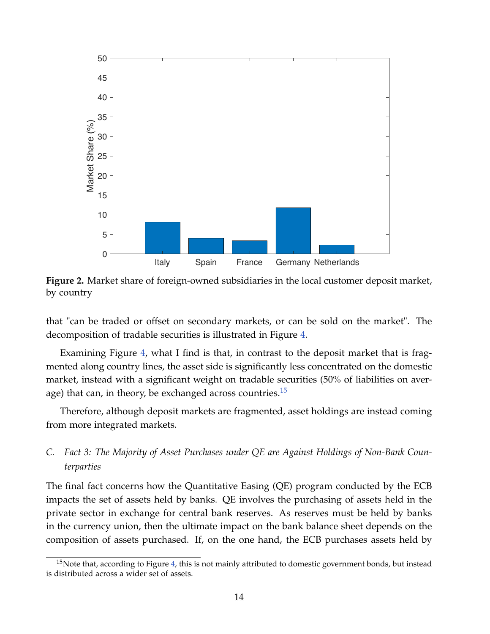<span id="page-14-0"></span>

**Figure 2.** Market share of foreign-owned subsidiaries in the local customer deposit market, by country

that "can be traded or offset on secondary markets, or can be sold on the market". The decomposition of tradable securities is illustrated in Figure [4.](#page-16-0)

Examining Figure [4,](#page-16-0) what I find is that, in contrast to the deposit market that is fragmented along country lines, the asset side is significantly less concentrated on the domestic market, instead with a significant weight on tradable securities (50% of liabilities on average) that can, in theory, be exchanged across countries. $15$ 

Therefore, although deposit markets are fragmented, asset holdings are instead coming from more integrated markets.

## *C. Fact 3: The Majority of Asset Purchases under QE are Against Holdings of Non-Bank Counterparties*

The final fact concerns how the Quantitative Easing (QE) program conducted by the ECB impacts the set of assets held by banks. QE involves the purchasing of assets held in the private sector in exchange for central bank reserves. As reserves must be held by banks in the currency union, then the ultimate impact on the bank balance sheet depends on the composition of assets purchased. If, on the one hand, the ECB purchases assets held by

 $15$ Note that, according to Figure [4,](#page-16-0) this is not mainly attributed to domestic government bonds, but instead is distributed across a wider set of assets.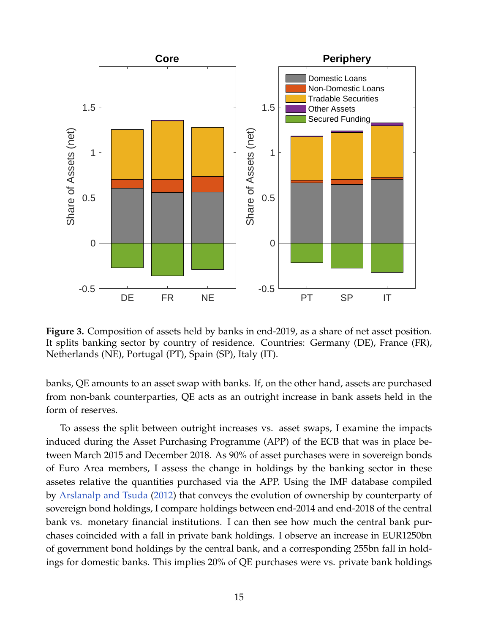<span id="page-15-0"></span>

**Figure 3.** Composition of assets held by banks in end-2019, as a share of net asset position. It splits banking sector by country of residence. Countries: Germany (DE), France (FR), Netherlands (NE), Portugal (PT), Spain (SP), Italy (IT).

banks, QE amounts to an asset swap with banks. If, on the other hand, assets are purchased from non-bank counterparties, QE acts as an outright increase in bank assets held in the form of reserves.

To assess the split between outright increases vs. asset swaps, I examine the impacts induced during the Asset Purchasing Programme (APP) of the ECB that was in place between March 2015 and December 2018. As 90% of asset purchases were in sovereign bonds of Euro Area members, I assess the change in holdings by the banking sector in these assetes relative the quantities purchased via the APP. Using the IMF database compiled by [Arslanalp and Tsuda](#page-48-6) [\(2012\)](#page-48-6) that conveys the evolution of ownership by counterparty of sovereign bond holdings, I compare holdings between end-2014 and end-2018 of the central bank vs. monetary financial institutions. I can then see how much the central bank purchases coincided with a fall in private bank holdings. I observe an increase in EUR1250bn of government bond holdings by the central bank, and a corresponding 255bn fall in holdings for domestic banks. This implies 20% of QE purchases were vs. private bank holdings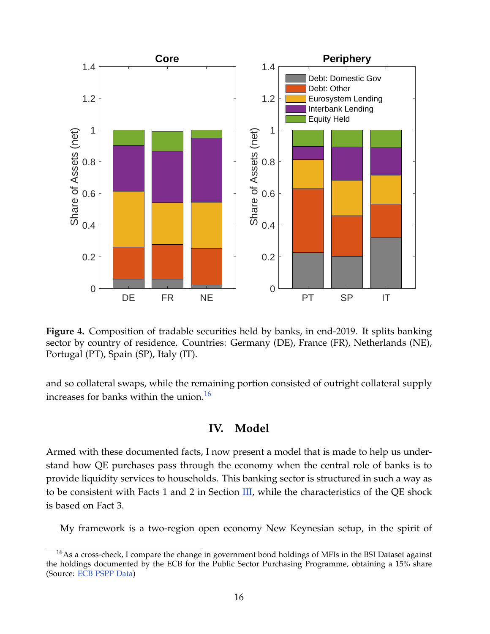<span id="page-16-0"></span>

**Figure 4.** Composition of tradable securities held by banks, in end-2019. It splits banking sector by country of residence. Countries: Germany (DE), France (FR), Netherlands (NE), Portugal (PT), Spain (SP), Italy (IT).

<span id="page-16-1"></span>and so collateral swaps, while the remaining portion consisted of outright collateral supply increases for banks within the union.<sup>[16](#page-0-0)</sup>

## **IV. Model**

Armed with these documented facts, I now present a model that is made to help us understand how QE purchases pass through the economy when the central role of banks is to provide liquidity services to households. This banking sector is structured in such a way as to be consistent with Facts 1 and 2 in Section [III,](#page-7-0) while the characteristics of the QE shock is based on Fact 3.

My framework is a two-region open economy New Keynesian setup, in the spirit of

<sup>&</sup>lt;sup>16</sup>As a cross-check, I compare the change in government bond holdings of MFIs in the BSI Dataset against the holdings documented by the ECB for the Public Sector Purchasing Programme, obtaining a 15% share (Source: [ECB PSPP Data\)](https://www.ecb.europa.eu/mopo/pdf/PSPP_breakdown_history.csv?920d3e0ab9cd8bd4fc7dbe2ba90c6aff)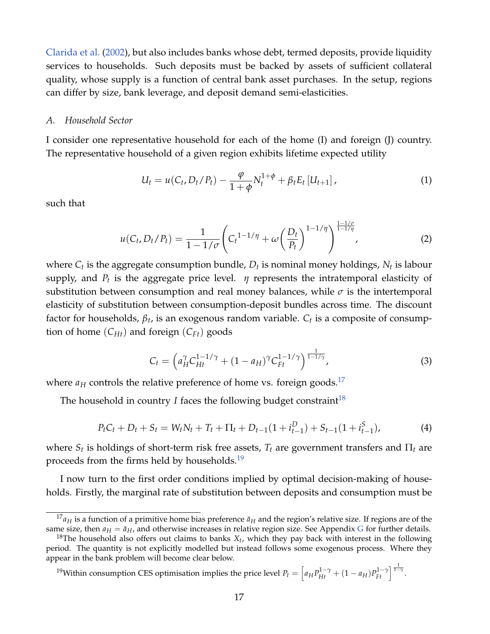[Clarida et al.](#page-49-0) [\(2002\)](#page-49-0), but also includes banks whose debt, termed deposits, provide liquidity services to households. Such deposits must be backed by assets of sufficient collateral quality, whose supply is a function of central bank asset purchases. In the setup, regions can differ by size, bank leverage, and deposit demand semi-elasticities.

#### *A. Household Sector*

I consider one representative household for each of the home (I) and foreign (J) country. The representative household of a given region exhibits lifetime expected utility

$$
U_t = u(C_t, D_t/P_t) - \frac{\varphi}{1+\phi} N_t^{1+\phi} + \beta_t E_t [U_{t+1}], \qquad (1)
$$

such that

$$
u(C_t, D_t/P_t) = \frac{1}{1 - 1/\sigma} \left( C_t^{1 - 1/\eta} + \omega \left( \frac{D_t}{P_t} \right)^{1 - 1/\eta} \right)^{\frac{1 - 1/\sigma}{1 - 1/\eta}},
$$
(2)

where  $C_t$  is the aggregate consumption bundle*,*  $D_t$  is nominal money holdings*,*  $N_t$  is labour supply, and  $P_t$  is the aggregate price level.  $\,\eta$  represents the intratemporal elasticity of substitution between consumption and real money balances, while  $\sigma$  is the intertemporal elasticity of substitution between consumption-deposit bundles across time. The discount factor for households,  $β_t$ , is an exogenous random variable.  $C_t$  is a composite of consumption of home  $(C_{Ht})$  and foreign  $(C_{Ft})$  goods

$$
C_t = \left( a_H^{\gamma} C_{Ht}^{1-1/\gamma} + (1 - a_H)^{\gamma} C_{Ft}^{1-1/\gamma} \right)^{\frac{1}{1-1/\gamma}}, \tag{3}
$$

where  $a_H$  controls the relative preference of home vs. foreign goods.<sup>[17](#page-0-0)</sup>

The household in country *I* faces the following budget constraint<sup>[18](#page-0-0)</sup>

$$
P_t C_t + D_t + S_t = W_t N_t + T_t + \Pi_t + D_{t-1} (1 + i_{t-1}^D) + S_{t-1} (1 + i_{t-1}^S),
$$
\n(4)

where  $S_t$  is holdings of short-term risk free assets,  $T_t$  are government transfers and  $\Pi_t$  are proceeds from the firms held by households.<sup>[19](#page-0-0)</sup>

I now turn to the first order conditions implied by optimal decision-making of households. Firstly, the marginal rate of substitution between deposits and consumption must be

# <sup>19</sup>Within consumption CES optimisation implies the price level  $P_t = \left[a_H P_{Ht}^{1-\gamma} + (1-a_H)P_{Ft}^{1-\gamma}\right]^{\frac{1}{1-\gamma}}$ .

 $^{17}a_H$  is a function of a primitive home bias preference  $\bar{a}_H$  and the region's relative size. If regions are of the same size, then  $a_H = \bar{a}_H$ , and otherwise increases in relative region size. See Appendix [G](#page-62-0) for further details.

 $^{18}$ The household also offers out claims to banks  $X_t$ , which they pay back with interest in the following period. The quantity is not explicitly modelled but instead follows some exogenous process. Where they appear in the bank problem will become clear below.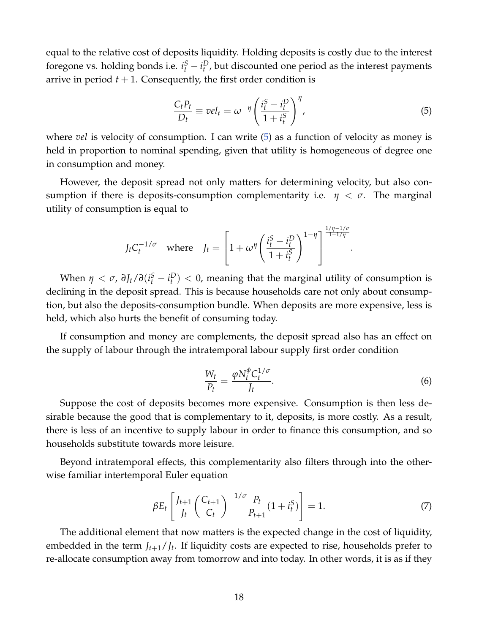equal to the relative cost of deposits liquidity. Holding deposits is costly due to the interest foregone vs. holding bonds i.e.  $i_t^S - i_t^D$ , but discounted one period as the interest payments arrive in period  $t + 1$ . Consequently, the first order condition is

<span id="page-18-0"></span>
$$
\frac{C_t P_t}{D_t} \equiv vel_t = \omega^{-\eta} \left( \frac{i_t^S - i_t^D}{1 + i_t^S} \right)^{\eta},\tag{5}
$$

where *vel* is velocity of consumption. I can write [\(5\)](#page-18-0) as a function of velocity as money is held in proportion to nominal spending, given that utility is homogeneous of degree one in consumption and money.

However, the deposit spread not only matters for determining velocity, but also consumption if there is deposits-consumption complementarity i.e.  $\eta < \sigma$ . The marginal utility of consumption is equal to

$$
J_t C_t^{-1/\sigma} \quad \text{where} \quad J_t = \left[1 + \omega^\eta \left(\frac{i_t^S - i_t^D}{1 + i_t^S}\right)^{1 - \eta}\right]^{\frac{1/\eta - 1/\sigma}{1 - 1/\eta}}.
$$

When  $\eta < \sigma$ ,  $\partial J_t / \partial (i_t^S - i_t^D) < 0$ , meaning that the marginal utility of consumption is declining in the deposit spread. This is because households care not only about consumption, but also the deposits-consumption bundle. When deposits are more expensive, less is held, which also hurts the benefit of consuming today.

If consumption and money are complements, the deposit spread also has an effect on the supply of labour through the intratemporal labour supply first order condition

$$
\frac{W_t}{P_t} = \frac{\varphi N_t^{\phi} C_t^{1/\sigma}}{J_t}.
$$
\n(6)

Suppose the cost of deposits becomes more expensive. Consumption is then less desirable because the good that is complementary to it, deposits, is more costly. As a result, there is less of an incentive to supply labour in order to finance this consumption, and so households substitute towards more leisure.

Beyond intratemporal effects, this complementarity also filters through into the otherwise familiar intertemporal Euler equation

$$
\beta E_t \left[ \frac{J_{t+1}}{J_t} \left( \frac{C_{t+1}}{C_t} \right)^{-1/\sigma} \frac{P_t}{P_{t+1}} (1 + i_t^S) \right] = 1. \tag{7}
$$

The additional element that now matters is the expected change in the cost of liquidity, embedded in the term *Jt*+1/*J<sup>t</sup>* . If liquidity costs are expected to rise, households prefer to re-allocate consumption away from tomorrow and into today. In other words, it is as if they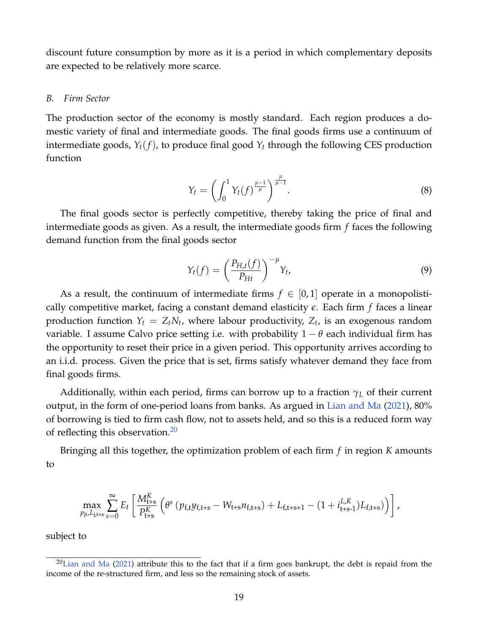discount future consumption by more as it is a period in which complementary deposits are expected to be relatively more scarce.

#### *B. Firm Sector*

The production sector of the economy is mostly standard. Each region produces a domestic variety of final and intermediate goods. The final goods firms use a continuum of intermediate goods,  $Y_t(f)$ , to produce final good  $Y_t$  through the following CES production function

$$
Y_t = \left(\int_0^1 Y_t(f)^{\frac{\mu-1}{\mu}}\right)^{\frac{\mu}{\mu-1}}.\tag{8}
$$

The final goods sector is perfectly competitive, thereby taking the price of final and intermediate goods as given. As a result, the intermediate goods firm *f* faces the following demand function from the final goods sector

$$
Y_t(f) = \left(\frac{P_{H,t}(f)}{P_{Ht}}\right)^{-\mu} Y_t,
$$
\n(9)

As a result, the continuum of intermediate firms  $f \in [0,1]$  operate in a monopolistically competitive market, facing a constant demand elasticity *e*. Each firm *f* faces a linear production function  $Y_t = Z_t N_t$ , where labour productivity,  $Z_t$ , is an exogenous random variable. I assume Calvo price setting i.e. with probability  $1 - \theta$  each individual firm has the opportunity to reset their price in a given period. This opportunity arrives according to an i.i.d. process. Given the price that is set, firms satisfy whatever demand they face from final goods firms.

Additionally, within each period, firms can borrow up to a fraction *γ<sup>L</sup>* of their current output, in the form of one-period loans from banks. As argued in [Lian and Ma](#page-50-6) [\(2021\)](#page-50-6), 80% of borrowing is tied to firm cash flow, not to assets held, and so this is a reduced form way of reflecting this observation. $20$ 

Bringing all this together, the optimization problem of each firm *f* in region *K* amounts to

<span id="page-19-0"></span>
$$
\max_{p_{\mathrm{jt}},L_{\mathrm{j},\mathrm{t+s}}}\sum_{s=0}^{\infty}E_{t}\left[\frac{M_{\mathrm{t+s}}^{K}}{P_{\mathrm{t+s}}^{K}}\left(\theta^{s}\left(p_{\mathrm{f,t}}y_{\mathrm{f,t+s}}-W_{\mathrm{t+s}}n_{\mathrm{f,t+s}}\right)+L_{\mathrm{f,t+s+1}}-\left(1+i_{\mathrm{t+s-1}}^{L,K})L_{\mathrm{f,t+s}}\right)\right)\right],
$$

subject to

 $20$ [Lian and Ma](#page-50-6) [\(2021\)](#page-50-6) attribute this to the fact that if a firm goes bankrupt, the debt is repaid from the income of the re-structured firm, and less so the remaining stock of assets.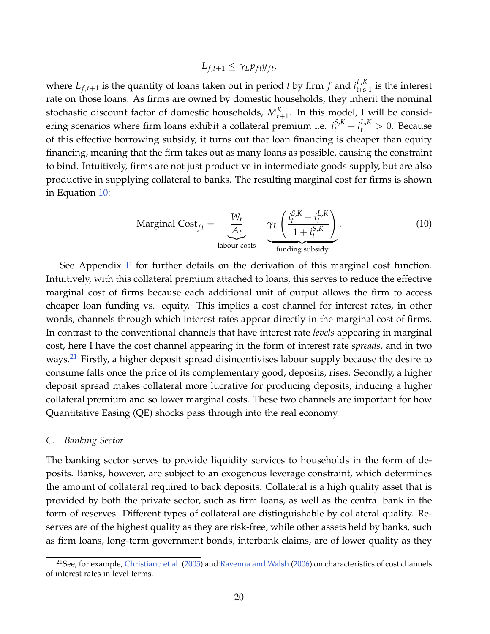$$
L_{f,t+1} \leq \gamma_L p_{ft} y_{ft},
$$

where  $L_{f,t+1}$  is the quantity of loans taken out in period *t* by firm *f* and  $i_{t+s-1}^{L,K}$  is the interest rate on those loans. As firms are owned by domestic households, they inherit the nominal stochastic discount factor of domestic households,  $M_{t+1}^K$ . In this model, I will be considering scenarios where firm loans exhibit a collateral premium i.e.  $i_t^{S,K} - i_t^{L,K} > 0$ . Because of this effective borrowing subsidy, it turns out that loan financing is cheaper than equity financing, meaning that the firm takes out as many loans as possible, causing the constraint to bind. Intuitively, firms are not just productive in intermediate goods supply, but are also productive in supplying collateral to banks. The resulting marginal cost for firms is shown in Equation [10:](#page-19-0)

Marginal Cost<sub>ft</sub> = 
$$
\underbrace{\frac{W_t}{A_t}}_{\text{labour costs}} - \underbrace{\gamma_L \left( \frac{i_t^{S,K} - i_t^{L,K}}{1 + i_t^{S,K}} \right)}_{\text{funding subsidy}}.
$$
 (10)

See Appendix [E](#page-59-0) for further details on the derivation of this marginal cost function. Intuitively, with this collateral premium attached to loans, this serves to reduce the effective marginal cost of firms because each additional unit of output allows the firm to access cheaper loan funding vs. equity. This implies a cost channel for interest rates, in other words, channels through which interest rates appear directly in the marginal cost of firms. In contrast to the conventional channels that have interest rate *levels* appearing in marginal cost, here I have the cost channel appearing in the form of interest rate *spreads*, and in two ways.<sup>[21](#page-0-0)</sup> Firstly, a higher deposit spread disincentivises labour supply because the desire to consume falls once the price of its complementary good, deposits, rises. Secondly, a higher deposit spread makes collateral more lucrative for producing deposits, inducing a higher collateral premium and so lower marginal costs. These two channels are important for how Quantitative Easing (QE) shocks pass through into the real economy.

#### *C. Banking Sector*

The banking sector serves to provide liquidity services to households in the form of deposits. Banks, however, are subject to an exogenous leverage constraint, which determines the amount of collateral required to back deposits. Collateral is a high quality asset that is provided by both the private sector, such as firm loans, as well as the central bank in the form of reserves. Different types of collateral are distinguishable by collateral quality. Reserves are of the highest quality as they are risk-free, while other assets held by banks, such as firm loans, long-term government bonds, interbank claims, are of lower quality as they

<sup>&</sup>lt;sup>21</sup>See, for example, [Christiano et al.](#page-48-5) [\(2005\)](#page-48-5) and [Ravenna and Walsh](#page-50-0) [\(2006\)](#page-50-0) on characteristics of cost channels of interest rates in level terms.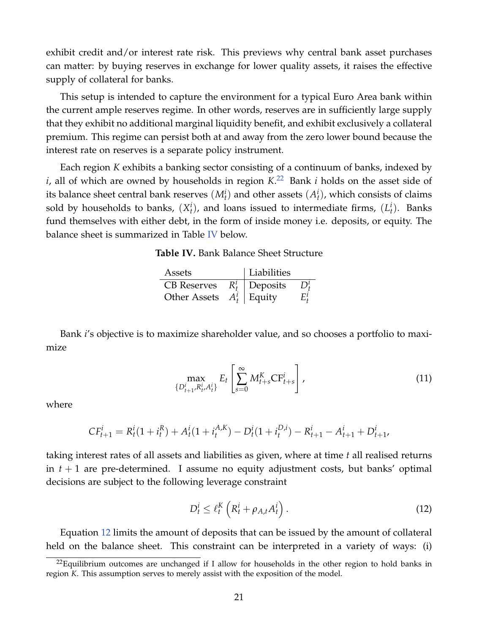exhibit credit and/or interest rate risk. This previews why central bank asset purchases can matter: by buying reserves in exchange for lower quality assets, it raises the effective supply of collateral for banks.

This setup is intended to capture the environment for a typical Euro Area bank within the current ample reserves regime. In other words, reserves are in sufficiently large supply that they exhibit no additional marginal liquidity benefit, and exhibit exclusively a collateral premium. This regime can persist both at and away from the zero lower bound because the interest rate on reserves is a separate policy instrument.

<span id="page-21-0"></span>Each region *K* exhibits a banking sector consisting of a continuum of banks, indexed by *i*, all of which are owned by households in region *K*. [22](#page-0-0) Bank *i* holds on the asset side of its balance sheet central bank reserves  $(M_t^i)$  and other assets  $(A_t^i)$ , which consists of claims sold by households to banks,  $(X_t^i)$ , and loans issued to intermediate firms,  $(L_t^i)$ . Banks fund themselves with either debt, in the form of inside money i.e. deposits, or equity. The balance sheet is summarized in Table [IV](#page-21-0) below.

**Table IV.** Bank Balance Sheet Structure

| Assets                      | Liabilities        |  |
|-----------------------------|--------------------|--|
| <b>CB</b> Reserves          | $R_t^i$   Deposits |  |
| Other Assets $A_t^i$ Equity |                    |  |

Bank *i*'s objective is to maximize shareholder value, and so chooses a portfolio to maximize

$$
\max_{\{D_{t+1}^i, R_{t'}^i, A_t^i\}} E_t \left[ \sum_{s=0}^{\infty} M_{t+s}^K C F_{t+s}^i \right],
$$
\n(11)

where

<span id="page-21-1"></span>
$$
CF_{t+1}^i = R_t^i(1 + i_t^R) + A_t^i(1 + i_t^{A,K}) - D_t^i(1 + i_t^{D,i}) - R_{t+1}^i - A_{t+1}^i + D_{t+1}^i
$$

taking interest rates of all assets and liabilities as given, where at time *t* all realised returns in  $t + 1$  are pre-determined. I assume no equity adjustment costs, but banks' optimal decisions are subject to the following leverage constraint

$$
D_t^i \leq \ell_t^K \left( R_t^i + \rho_{A,t} A_t^i \right). \tag{12}
$$

Equation [12](#page-21-1) limits the amount of deposits that can be issued by the amount of collateral held on the balance sheet. This constraint can be interpreted in a variety of ways: (i)

 $^{22}$ Equilibrium outcomes are unchanged if I allow for households in the other region to hold banks in region *K*. This assumption serves to merely assist with the exposition of the model.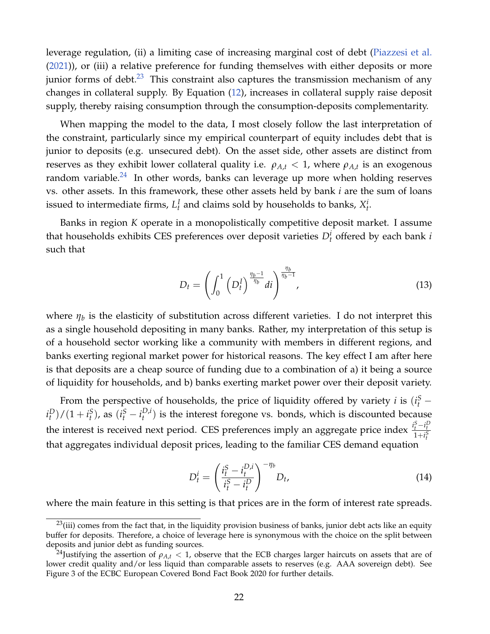leverage regulation, (ii) a limiting case of increasing marginal cost of debt [\(Piazzesi et al.](#page-50-2) [\(2021\)](#page-50-2)), or (iii) a relative preference for funding themselves with either deposits or more junior forms of debt. $23$  This constraint also captures the transmission mechanism of any changes in collateral supply. By Equation [\(12\)](#page-21-1), increases in collateral supply raise deposit supply, thereby raising consumption through the consumption-deposits complementarity.

When mapping the model to the data, I most closely follow the last interpretation of the constraint, particularly since my empirical counterpart of equity includes debt that is junior to deposits (e.g. unsecured debt). On the asset side, other assets are distinct from reserves as they exhibit lower collateral quality i.e.  $\rho_{A,t} < 1$ , where  $\rho_{A,t}$  is an exogenous random variable. $^{24}$  $^{24}$  $^{24}$  In other words, banks can leverage up more when holding reserves vs. other assets. In this framework, these other assets held by bank *i* are the sum of loans issued to intermediate firms,  $L_t^I$  and claims sold by households to banks,  $X_t^i$ .

Banks in region *K* operate in a monopolistically competitive deposit market. I assume that households exhibits CES preferences over deposit varieties  $D_t^i$  offered by each bank *i* such that

$$
D_t = \left( \int_0^1 \left( D_t^I \right)^{\frac{\eta_b - 1}{\eta_b}} dt \right)^{\frac{\eta_b}{\eta_b - 1}}, \tag{13}
$$

where  $\eta_b$  is the elasticity of substitution across different varieties. I do not interpret this as a single household depositing in many banks. Rather, my interpretation of this setup is of a household sector working like a community with members in different regions, and banks exerting regional market power for historical reasons. The key effect I am after here is that deposits are a cheap source of funding due to a combination of a) it being a source of liquidity for households, and b) banks exerting market power over their deposit variety.

From the perspective of households, the price of liquidity offered by variety *i* is  $(i_t^S (i_t^D)/(1 + i_t^S)$ , as  $(i_t^S - i_t^{D,i})$  $t^{D,1}$  is the interest foregone vs. bonds, which is discounted because the interest is received next period. CES preferences imply an aggregate price index  $\frac{i_t^S - i_t^D}{1 + i_t^S}$ that aggregates individual deposit prices, leading to the familiar CES demand equation

$$
D_t^i = \left(\frac{i_t^S - i_t^{D,i}}{i_t^S - i_t^D}\right)^{-\eta_b} D_t,
$$
\n(14)

where the main feature in this setting is that prices are in the form of interest rate spreads.

 $^{23}$ (iii) comes from the fact that, in the liquidity provision business of banks, junior debt acts like an equity buffer for deposits. Therefore, a choice of leverage here is synonymous with the choice on the split between deposits and junior debt as funding sources.

<sup>&</sup>lt;sup>24</sup>Justifying the assertion of  $\rho_{A,t}$  < 1, observe that the ECB charges larger haircuts on assets that are of lower credit quality and/or less liquid than comparable assets to reserves (e.g. AAA sovereign debt). See Figure 3 of the ECBC European Covered Bond Fact Book 2020 for further details.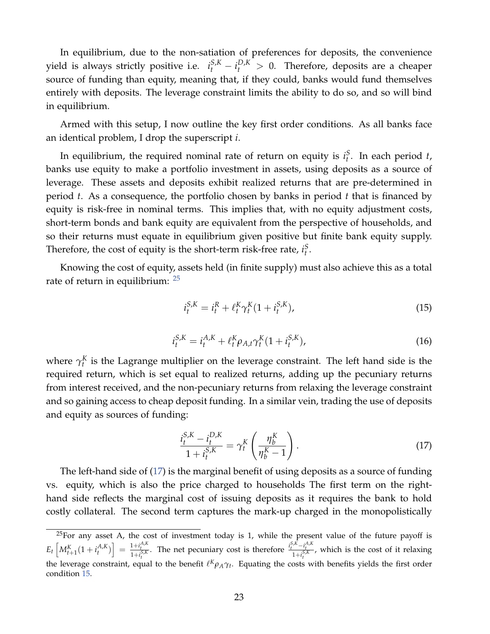In equilibrium, due to the non-satiation of preferences for deposits, the convenience yield is always strictly positive i.e.  $i_t^{S,K} - i_t^{D,K} > 0$ . Therefore, deposits are a cheaper source of funding than equity, meaning that, if they could, banks would fund themselves entirely with deposits. The leverage constraint limits the ability to do so, and so will bind in equilibrium.

Armed with this setup, I now outline the key first order conditions. As all banks face an identical problem, I drop the superscript *i*.

In equilibrium, the required nominal rate of return on equity is  $i_t^S$ . In each period *t*, banks use equity to make a portfolio investment in assets, using deposits as a source of leverage. These assets and deposits exhibit realized returns that are pre-determined in period *t*. As a consequence, the portfolio chosen by banks in period *t* that is financed by equity is risk-free in nominal terms. This implies that, with no equity adjustment costs, short-term bonds and bank equity are equivalent from the perspective of households, and so their returns must equate in equilibrium given positive but finite bank equity supply. Therefore, the cost of equity is the short-term risk-free rate,  $i_t^S$ .

Knowing the cost of equity, assets held (in finite supply) must also achieve this as a total rate of return in equilibrium:  $25$ 

<span id="page-23-1"></span>
$$
i_t^{S,K} = i_t^R + \ell_t^K \gamma_t^K (1 + i_t^{S,K}), \tag{15}
$$

$$
i_t^{S,K} = i_t^{A,K} + \ell_t^K \rho_{A,t} \gamma_t^K (1 + i_t^{S,K}), \qquad (16)
$$

where  $\gamma_t^K$  is the Lagrange multiplier on the leverage constraint. The left hand side is the required return, which is set equal to realized returns, adding up the pecuniary returns from interest received, and the non-pecuniary returns from relaxing the leverage constraint and so gaining access to cheap deposit funding. In a similar vein, trading the use of deposits and equity as sources of funding:

<span id="page-23-0"></span>
$$
\frac{i_{t}^{S,K} - i_{t}^{D,K}}{1 + i_{t}^{S,K}} = \gamma_{t}^{K} \left( \frac{\eta_{b}^{K}}{\eta_{b}^{K} - 1} \right).
$$
\n(17)

The left-hand side of [\(17\)](#page-23-0) is the marginal benefit of using deposits as a source of funding vs. equity, which is also the price charged to households The first term on the righthand side reflects the marginal cost of issuing deposits as it requires the bank to hold costly collateral. The second term captures the mark-up charged in the monopolistically

 $25$  For any asset A, the cost of investment today is 1, while the present value of the future payoff is  $E_t\left[M_{t+1}^K(1+i_t^{A,K})\right] = \frac{1+i_t^{A,K}}{1+i_t^{S,K}}$ . The net pecuniary cost is therefore  $\frac{i_t^{S,K}-i_t^{A,K}}{1+i_t^{S,K}}$ , which is the cost of it relaxing the leverage constraint, equal to the benefit  $\ell^K \rho_A \gamma_t$ . Equating the costs with benefits yields the first order condition [15.](#page-23-1)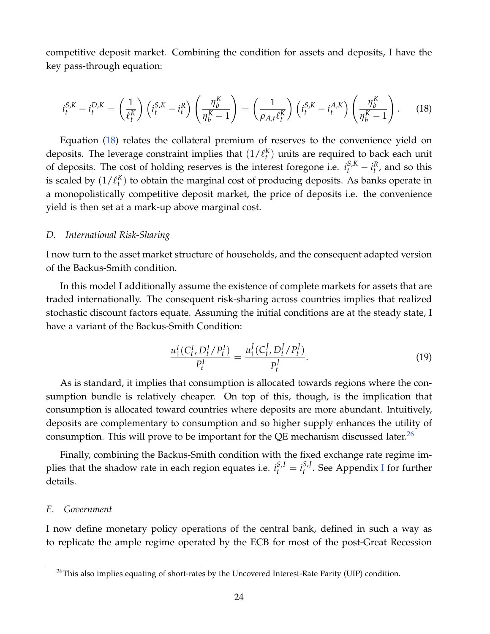competitive deposit market. Combining the condition for assets and deposits, I have the key pass-through equation:

<span id="page-24-0"></span>
$$
i_t^{S,K} - i_t^{D,K} = \left(\frac{1}{\ell_t^K}\right) \left(i_t^{S,K} - i_t^R\right) \left(\frac{\eta_b^K}{\eta_b^K - 1}\right) = \left(\frac{1}{\rho_{A,t}\ell_t^K}\right) \left(i_t^{S,K} - i_t^{A,K}\right) \left(\frac{\eta_b^K}{\eta_b^K - 1}\right). \tag{18}
$$

Equation [\(18\)](#page-24-0) relates the collateral premium of reserves to the convenience yield on deposits. The leverage constraint implies that  $(1/\ell_t^K)$  units are required to back each unit of deposits. The cost of holding reserves is the interest foregone i.e.  $i_t^{S,K} - i_t^R$ , and so this is scaled by  $(1/\ell_t^K)$  to obtain the marginal cost of producing deposits. As banks operate in a monopolistically competitive deposit market, the price of deposits i.e. the convenience yield is then set at a mark-up above marginal cost.

#### *D. International Risk-Sharing*

I now turn to the asset market structure of households, and the consequent adapted version of the Backus-Smith condition.

In this model I additionally assume the existence of complete markets for assets that are traded internationally. The consequent risk-sharing across countries implies that realized stochastic discount factors equate. Assuming the initial conditions are at the steady state, I have a variant of the Backus-Smith Condition:

$$
\frac{u_1^I(C_t^I, D_t^I / P_t^I)}{P_t^I} = \frac{u_1^I(C_t^I, D_t^I / P_t^I)}{P_t^I}.
$$
\n(19)

As is standard, it implies that consumption is allocated towards regions where the consumption bundle is relatively cheaper. On top of this, though, is the implication that consumption is allocated toward countries where deposits are more abundant. Intuitively, deposits are complementary to consumption and so higher supply enhances the utility of consumption. This will prove to be important for the QE mechanism discussed later.<sup>[26](#page-0-0)</sup>

Finally, combining the Backus-Smith condition with the fixed exchange rate regime implies that the shadow rate in each region equates i.e.  $i_t^{S,I} = i_t^{S,J}$ *t* . See Appendix [I](#page-67-0) for further details.

#### *E. Government*

I now define monetary policy operations of the central bank, defined in such a way as to replicate the ample regime operated by the ECB for most of the post-Great Recession

<sup>&</sup>lt;sup>26</sup>This also implies equating of short-rates by the Uncovered Interest-Rate Parity (UIP) condition.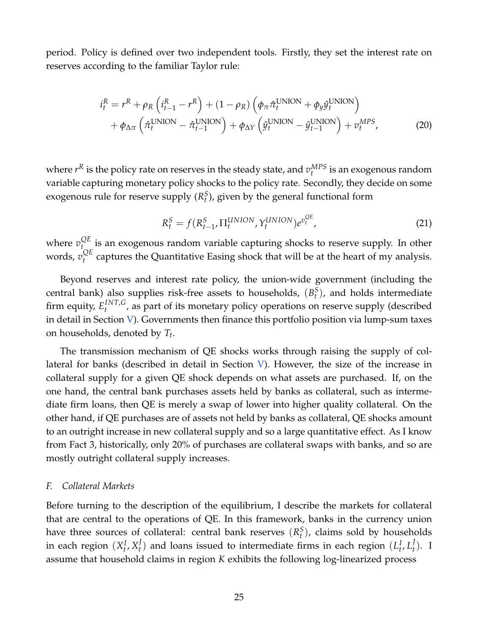period. Policy is defined over two independent tools. Firstly, they set the interest rate on reserves according to the familiar Taylor rule:

$$
i_t^R = r^R + \rho_R \left( i_{t-1}^R - r^R \right) + (1 - \rho_R) \left( \phi_\pi \hat{\tau}_t^{\text{UNION}} + \phi_y \hat{y}_t^{\text{UNION}} \right) + \phi_{\Delta \pi} \left( \hat{\tau}_t^{\text{UNION}} - \hat{\tau}_{t-1}^{\text{UNION}} \right) + \phi_{\Delta Y} \left( \hat{y}_t^{\text{UNION}} - \hat{y}_{t-1}^{\text{UNION}} \right) + v_t^{\text{MPS}},
$$
(20)

where  $r^R$  is the policy rate on reserves in the steady state, and  $v_t^{MPS}$  is an exogenous random variable capturing monetary policy shocks to the policy rate. Secondly, they decide on some exogenous rule for reserve supply  $(R_t^S)$ , given by the general functional form

<span id="page-25-1"></span>
$$
R_t^S = f(R_{t-1}^S, \Pi_t^{UNION}, Y_t^{UNION})e^{v_t^{QE}},\tag{21}
$$

where  $v_t^{QE}$  $t_{\text{on}}^{\text{UL}}$  is an exogenous random variable capturing shocks to reserve supply. In other words, *v QE*  $t_t^{\mathcal{Q}L}$  captures the Quantitative Easing shock that will be at the heart of my analysis.

Beyond reserves and interest rate policy, the union-wide government (including the central bank) also supplies risk-free assets to households,  $(B_t^S)$ , and holds intermediate firm equity,  $E_t^{INT,G}$ <sup>*tiv1,G*</sup>, as part of its monetary policy operations on reserve supply (described in detail in Section [V\)](#page-30-0). Governments then finance this portfolio position via lump-sum taxes on households, denoted by *T<sup>t</sup>* .

The transmission mechanism of QE shocks works through raising the supply of collateral for banks (described in detail in Section [V\)](#page-30-0). However, the size of the increase in collateral supply for a given QE shock depends on what assets are purchased. If, on the one hand, the central bank purchases assets held by banks as collateral, such as intermediate firm loans, then QE is merely a swap of lower into higher quality collateral. On the other hand, if QE purchases are of assets not held by banks as collateral, QE shocks amount to an outright increase in new collateral supply and so a large quantitative effect. As I know from Fact 3, historically, only 20% of purchases are collateral swaps with banks, and so are mostly outright collateral supply increases.

#### <span id="page-25-0"></span>*F. Collateral Markets*

Before turning to the description of the equilibrium, I describe the markets for collateral that are central to the operations of QE. In this framework, banks in the currency union have three sources of collateral: central bank reserves  $(R_t^S)$ , claims sold by households in each region  $(X_t^I, X_t^J)$  $\left\{ \begin{matrix} I_t & I_t \end{matrix} \right\}$  and loans issued to intermediate firms in each region  $\left( L_t^I, L_t^J \right)$ *t* ). I assume that household claims in region *K* exhibits the following log-linearized process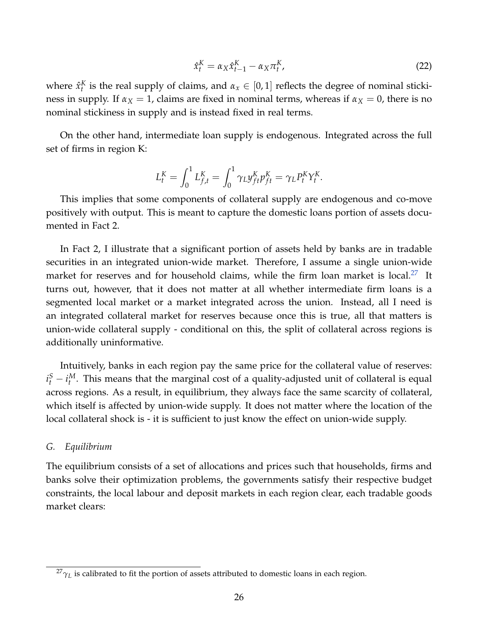$$
\hat{x}_t^K = \alpha_X \hat{x}_{t-1}^K - \alpha_X \pi_t^K,\tag{22}
$$

where  $\hat{x}_t^K$  is the real supply of claims, and  $\alpha_x \in [0,1]$  reflects the degree of nominal stickiness in supply. If  $\alpha_X = 1$ , claims are fixed in nominal terms, whereas if  $\alpha_X = 0$ , there is no nominal stickiness in supply and is instead fixed in real terms.

On the other hand, intermediate loan supply is endogenous. Integrated across the full set of firms in region K:

$$
L_t^K = \int_0^1 L_{f,t}^K = \int_0^1 \gamma_L y_{ft}^K p_{ft}^K = \gamma_L P_t^K Y_t^K.
$$

This implies that some components of collateral supply are endogenous and co-move positively with output. This is meant to capture the domestic loans portion of assets documented in Fact 2.

In Fact 2, I illustrate that a significant portion of assets held by banks are in tradable securities in an integrated union-wide market. Therefore, I assume a single union-wide market for reserves and for household claims, while the firm loan market is local.<sup>[27](#page-0-0)</sup> It turns out, however, that it does not matter at all whether intermediate firm loans is a segmented local market or a market integrated across the union. Instead, all I need is an integrated collateral market for reserves because once this is true, all that matters is union-wide collateral supply - conditional on this, the split of collateral across regions is additionally uninformative.

Intuitively, banks in each region pay the same price for the collateral value of reserves:  $i_t^S - i_t^M$ . This means that the marginal cost of a quality-adjusted unit of collateral is equal across regions. As a result, in equilibrium, they always face the same scarcity of collateral, which itself is affected by union-wide supply. It does not matter where the location of the local collateral shock is - it is sufficient to just know the effect on union-wide supply.

#### *G. Equilibrium*

The equilibrium consists of a set of allocations and prices such that households, firms and banks solve their optimization problems, the governments satisfy their respective budget constraints, the local labour and deposit markets in each region clear, each tradable goods market clears:

 $^{27}\gamma_L$  is calibrated to fit the portion of assets attributed to domestic loans in each region.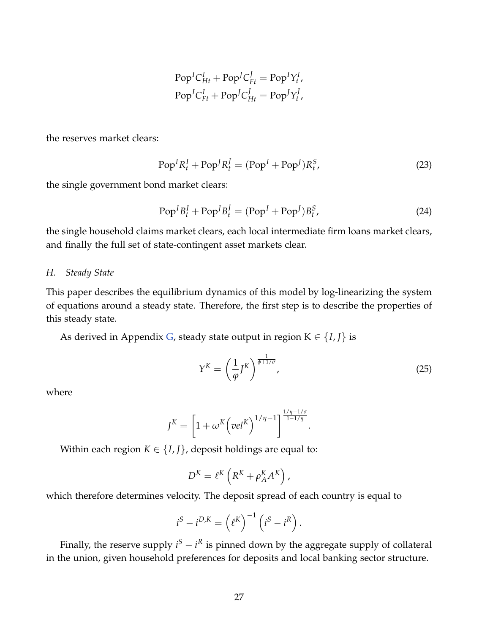$$
PopICHtI + PopJCEtI = PopIYtI,
$$
  
Pop<sup>I</sup>C<sub>Et</sub><sup>I</sup> + Pop<sup>J</sup>C<sub>Ht</sub><sup>I</sup> = Pop<sup>J</sup>Y<sub>t</sub><sup>I</sup>,

the reserves market clears:

$$
PopI RtI + PopJ RtI = (PopI + PopJ) RtS,
$$
\n(23)

the single government bond market clears:

$$
PopIBtI + PopJBtI = (PopI + PopJ)BtS,
$$
\n(24)

the single household claims market clears, each local intermediate firm loans market clears, and finally the full set of state-contingent asset markets clear.

#### *H. Steady State*

This paper describes the equilibrium dynamics of this model by log-linearizing the system of equations around a steady state. Therefore, the first step is to describe the properties of this steady state.

As derived in Appendix [G,](#page-62-0) steady state output in region  $K \in \{I, J\}$  is

$$
Y^K = \left(\frac{1}{\varphi} J^K\right)^{\frac{1}{\varphi + 1/\sigma}},\tag{25}
$$

where

$$
J^K = \left[1 + \omega^K \left(\text{vel}^K\right)^{1/\eta - 1}\right]^{\frac{1/\eta - 1/\sigma}{1 - 1/\eta}}.
$$

Within each region  $K \in \{I, J\}$ , deposit holdings are equal to:

$$
D^{K} = \ell^{K} \left( R^{K} + \rho_{A}^{K} A^{K} \right),
$$

which therefore determines velocity. The deposit spread of each country is equal to

$$
iS - iD,K = (\ellK)-1 (iS - iR).
$$

Finally, the reserve supply  $i^S - i^R$  is pinned down by the aggregate supply of collateral in the union, given household preferences for deposits and local banking sector structure.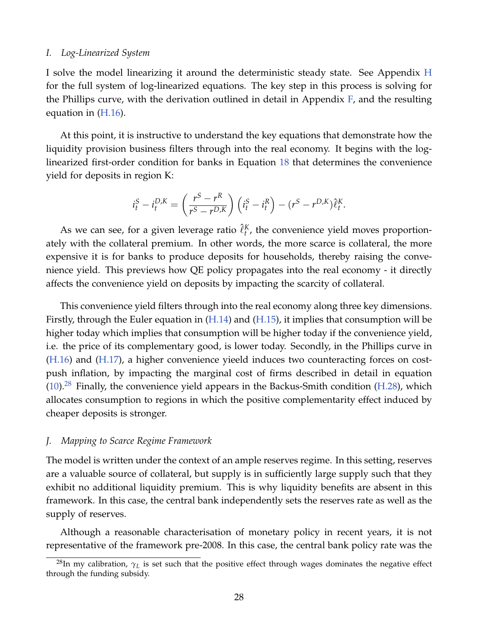#### *I. Log-Linearized System*

I solve the model linearizing it around the deterministic steady state. See Appendix [H](#page-64-0) for the full system of log-linearized equations. The key step in this process is solving for the Phillips curve, with the derivation outlined in detail in Appendix [F,](#page-60-0) and the resulting equation in  $(H.16)$ .

At this point, it is instructive to understand the key equations that demonstrate how the liquidity provision business filters through into the real economy. It begins with the loglinearized first-order condition for banks in Equation [18](#page-24-0) that determines the convenience yield for deposits in region K:

$$
i_t^S - i_t^{D,K} = \left(\frac{r^S - r^R}{r^S - r^{D,K}}\right) \left(i_t^S - i_t^R\right) - (r^S - r^{D,K})\hat{\ell}_t^K.
$$

As we can see, for a given leverage ratio  $\hat{\ell}_t^K$ , the convenience yield moves proportionately with the collateral premium. In other words, the more scarce is collateral, the more expensive it is for banks to produce deposits for households, thereby raising the convenience yield. This previews how QE policy propagates into the real economy - it directly affects the convenience yield on deposits by impacting the scarcity of collateral.

This convenience yield filters through into the real economy along three key dimensions. Firstly, through the Euler equation in [\(H.14\)](#page-64-1) and [\(H.15\)](#page-64-2), it implies that consumption will be higher today which implies that consumption will be higher today if the convenience yield, i.e. the price of its complementary good, is lower today. Secondly, in the Phillips curve in [\(H.16\)](#page-65-0) and [\(H.17\)](#page-65-1), a higher convenience yieeld induces two counteracting forces on costpush inflation, by impacting the marginal cost of firms described in detail in equation  $(10).^{28}$  $(10).^{28}$  $(10).^{28}$  $(10).^{28}$  Finally, the convenience yield appears in the Backus-Smith condition [\(H.28\)](#page-66-0), which allocates consumption to regions in which the positive complementarity effect induced by cheaper deposits is stronger.

#### *J. Mapping to Scarce Regime Framework*

The model is written under the context of an ample reserves regime. In this setting, reserves are a valuable source of collateral, but supply is in sufficiently large supply such that they exhibit no additional liquidity premium. This is why liquidity benefits are absent in this framework. In this case, the central bank independently sets the reserves rate as well as the supply of reserves.

Although a reasonable characterisation of monetary policy in recent years, it is not representative of the framework pre-2008. In this case, the central bank policy rate was the

<sup>&</sup>lt;sup>28</sup>In my calibration,  $\gamma_L$  is set such that the positive effect through wages dominates the negative effect through the funding subsidy.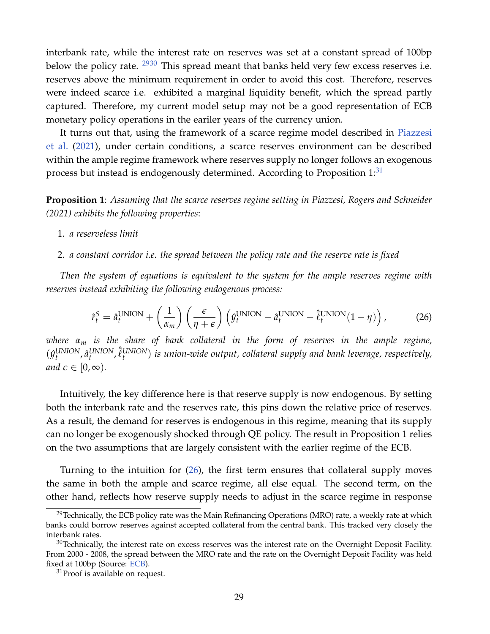interbank rate, while the interest rate on reserves was set at a constant spread of 100bp below the policy rate.  $2930$  This spread meant that banks held very few excess reserves i.e. reserves above the minimum requirement in order to avoid this cost. Therefore, reserves were indeed scarce i.e. exhibited a marginal liquidity benefit, which the spread partly captured. Therefore, my current model setup may not be a good representation of ECB monetary policy operations in the eariler years of the currency union.

It turns out that, using the framework of a scarce regime model described in [Piazzesi](#page-50-2) [et al.](#page-50-2) [\(2021\)](#page-50-2), under certain conditions, a scarce reserves environment can be described within the ample regime framework where reserves supply no longer follows an exogenous process but instead is endogenously determined. According to Proposition  $1:31$  $1:31$ 

**Proposition 1**: *Assuming that the scarce reserves regime setting in Piazzesi, Rogers and Schneider (2021) exhibits the following properties*:

- 1. *a reserveless limit*
- 2. *a constant corridor i.e. the spread between the policy rate and the reserve rate is fixed*

*Then the system of equations is equivalent to the system for the ample reserves regime with reserves instead exhibiting the following endogenous process:*

<span id="page-29-0"></span>
$$
\hat{r}_t^S = \hat{a}_t^{\text{UNION}} + \left(\frac{1}{\alpha_m}\right) \left(\frac{\epsilon}{\eta + \epsilon}\right) \left(\hat{y}_t^{\text{UNION}} - \hat{a}_t^{\text{UNION}} - \hat{\ell}_t^{\text{UNION}}(1 - \eta)\right),\tag{26}
$$

*where α<sup>m</sup> is the share of bank collateral in the form of reserves in the ample regime,*  $(\hat{y}^{\text{UNION}}_t, \hat{a}^{\text{UNION}}_t, \hat{\ell}^{\text{UNION}}_t)$  is union-wide output, collateral supply and bank leverage, respectively, *and*  $\epsilon \in [0, \infty)$ *.* 

Intuitively, the key difference here is that reserve supply is now endogenous. By setting both the interbank rate and the reserves rate, this pins down the relative price of reserves. As a result, the demand for reserves is endogenous in this regime, meaning that its supply can no longer be exogenously shocked through QE policy. The result in Proposition 1 relies on the two assumptions that are largely consistent with the earlier regime of the ECB.

Turning to the intuition for [\(26\)](#page-29-0), the first term ensures that collateral supply moves the same in both the ample and scarce regime, all else equal. The second term, on the other hand, reflects how reserve supply needs to adjust in the scarce regime in response

<sup>&</sup>lt;sup>29</sup>Technically, the ECB policy rate was the Main Refinancing Operations (MRO) rate, a weekly rate at which banks could borrow reserves against accepted collateral from the central bank. This tracked very closely the interbank rates.

 $30$ Technically, the interest rate on excess reserves was the interest rate on the Overnight Deposit Facility. From 2000 - 2008, the spread between the MRO rate and the rate on the Overnight Deposit Facility was held fixed at 100bp (Source: [ECB\)](https://www.ecb.europa.eu/stats/policy_and_exchange_rates/key_ecb_interest_rates/html/index.en.html).

 $31$ Proof is available on request.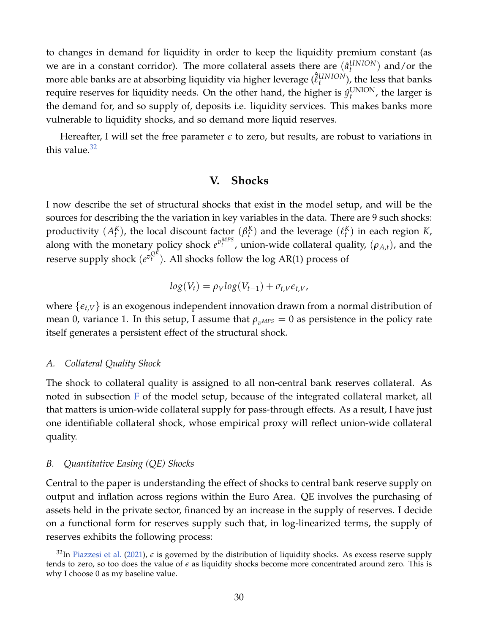to changes in demand for liquidity in order to keep the liquidity premium constant (as we are in a constant corridor). The more collateral assets there are  $(\hat{a}_t^{UNION})$  and/or the more able banks are at absorbing liquidity via higher leverage  $(\hat{\ell}_{t}^{UNION})$ , the less that banks require reserves for liquidity needs. On the other hand, the higher is  $\hat{y}^{\text{UNION}}_{t}$ , the larger is the demand for, and so supply of, deposits i.e. liquidity services. This makes banks more vulnerable to liquidity shocks, and so demand more liquid reserves.

<span id="page-30-0"></span>Hereafter, I will set the free parameter  $\epsilon$  to zero, but results, are robust to variations in this value. $32$ 

## **V. Shocks**

I now describe the set of structural shocks that exist in the model setup, and will be the sources for describing the the variation in key variables in the data. There are 9 such shocks: productivity  $(A^K_t)$ , the local discount factor  $(\beta^K_t)$  and the leverage  $(\ell^K_t)$  in each region *K*, *t*), the local discount factor  $(p_t)$  and the levelage  $(v_t)$ along with the monetary policy shock  $e^{v_t^{MPS}}$ , union-wide collateral quality,  $(\rho_{A,t})$ , and the reserve supply shock  $(e^{v_t^{QE}})$ . All shocks follow the log AR(1) process of

$$
log(V_t) = \rho_V log(V_{t-1}) + \sigma_{t,V} \epsilon_{t,V},
$$

where  $\{\epsilon_{t,V}\}\$ is an exogenous independent innovation drawn from a normal distribution of mean 0, variance 1. In this setup, I assume that  $\rho_{\eta MPS} = 0$  as persistence in the policy rate itself generates a persistent effect of the structural shock.

#### *A. Collateral Quality Shock*

The shock to collateral quality is assigned to all non-central bank reserves collateral. As noted in subsection [F](#page-25-0) of the model setup, because of the integrated collateral market, all that matters is union-wide collateral supply for pass-through effects. As a result, I have just one identifiable collateral shock, whose empirical proxy will reflect union-wide collateral quality.

#### *B. Quantitative Easing (QE) Shocks*

Central to the paper is understanding the effect of shocks to central bank reserve supply on output and inflation across regions within the Euro Area. QE involves the purchasing of assets held in the private sector, financed by an increase in the supply of reserves. I decide on a functional form for reserves supply such that, in log-linearized terms, the supply of reserves exhibits the following process:

 $32$ In [Piazzesi et al.](#page-50-2) [\(2021\)](#page-50-2),  $\epsilon$  is governed by the distribution of liquidity shocks. As excess reserve supply tends to zero, so too does the value of  $\epsilon$  as liquidity shocks become more concentrated around zero. This is why I choose 0 as my baseline value.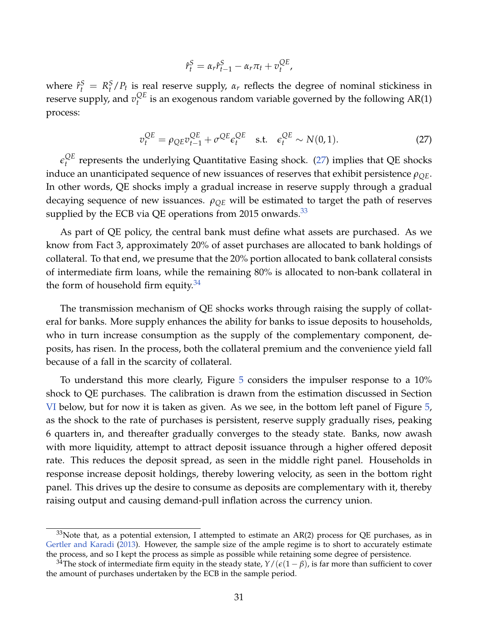$$
\hat{r}_t^S = \alpha_r \hat{r}_{t-1}^S - \alpha_r \pi_t + v_t^{QE},
$$

where  $\hat{r}_t^S = R_t^S/P_t$  is real reserve supply,  $\alpha_r$  reflects the degree of nominal stickiness in reserve supply, and  $v_t^{QE}$  $t_t^{\mathcal{Q}L}$  is an exogenous random variable governed by the following  $AR(1)$ process:

<span id="page-31-0"></span>
$$
v_t^{QE} = \rho_{QE} v_{t-1}^{QE} + \sigma^{QE} \epsilon_t^{QE} \quad \text{s.t.} \quad \epsilon_t^{QE} \sim N(0, 1). \tag{27}
$$

 $\epsilon_t^{QE}$  $t_t^{\text{QL}}$  represents the underlying Quantitative Easing shock. [\(27\)](#page-31-0) implies that QE shocks induce an unanticipated sequence of new issuances of reserves that exhibit persistence  $\rho_{OE}$ . In other words, QE shocks imply a gradual increase in reserve supply through a gradual decaying sequence of new issuances.  $\rho_{OE}$  will be estimated to target the path of reserves supplied by the ECB via QE operations from 2015 onwards. $33$ 

As part of QE policy, the central bank must define what assets are purchased. As we know from Fact 3, approximately 20% of asset purchases are allocated to bank holdings of collateral. To that end, we presume that the 20% portion allocated to bank collateral consists of intermediate firm loans, while the remaining 80% is allocated to non-bank collateral in the form of household firm equity. $34$ 

The transmission mechanism of QE shocks works through raising the supply of collateral for banks. More supply enhances the ability for banks to issue deposits to households, who in turn increase consumption as the supply of the complementary component, deposits, has risen. In the process, both the collateral premium and the convenience yield fall because of a fall in the scarcity of collateral.

To understand this more clearly, Figure [5](#page-32-0) considers the impulser response to a 10% shock to QE purchases. The calibration is drawn from the estimation discussed in Section [VI](#page-32-1) below, but for now it is taken as given. As we see, in the bottom left panel of Figure [5,](#page-32-0) as the shock to the rate of purchases is persistent, reserve supply gradually rises, peaking 6 quarters in, and thereafter gradually converges to the steady state. Banks, now awash with more liquidity, attempt to attract deposit issuance through a higher offered deposit rate. This reduces the deposit spread, as seen in the middle right panel. Households in response increase deposit holdings, thereby lowering velocity, as seen in the bottom right panel. This drives up the desire to consume as deposits are complementary with it, thereby raising output and causing demand-pull inflation across the currency union.

 $33$ Note that, as a potential extension, I attempted to estimate an AR(2) process for QE purchases, as in [Gertler and Karadi](#page-49-3) [\(2013\)](#page-49-3). However, the sample size of the ample regime is to short to accurately estimate the process, and so I kept the process as simple as possible while retaining some degree of persistence.

<sup>&</sup>lt;sup>34</sup>The stock of intermediate firm equity in the steady state,  $Y/(\epsilon(1-\beta))$ , is far more than sufficient to cover the amount of purchases undertaken by the ECB in the sample period.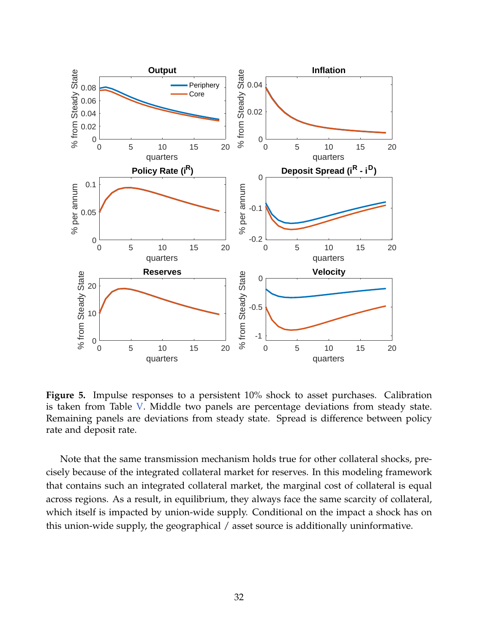<span id="page-32-0"></span>

**Figure 5.** Impulse responses to a persistent 10% shock to asset purchases. Calibration is taken from Table [V.](#page-36-0) Middle two panels are percentage deviations from steady state. Remaining panels are deviations from steady state. Spread is difference between policy rate and deposit rate.

<span id="page-32-1"></span>Note that the same transmission mechanism holds true for other collateral shocks, precisely because of the integrated collateral market for reserves. In this modeling framework that contains such an integrated collateral market, the marginal cost of collateral is equal across regions. As a result, in equilibrium, they always face the same scarcity of collateral, which itself is impacted by union-wide supply. Conditional on the impact a shock has on this union-wide supply, the geographical / asset source is additionally uninformative.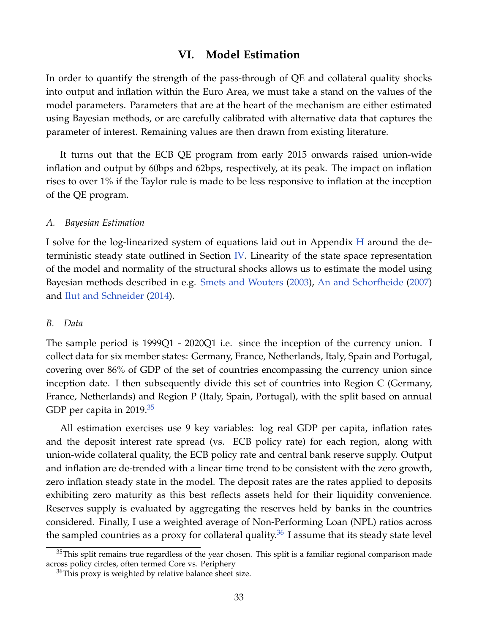## **VI. Model Estimation**

In order to quantify the strength of the pass-through of QE and collateral quality shocks into output and inflation within the Euro Area, we must take a stand on the values of the model parameters. Parameters that are at the heart of the mechanism are either estimated using Bayesian methods, or are carefully calibrated with alternative data that captures the parameter of interest. Remaining values are then drawn from existing literature.

It turns out that the ECB QE program from early 2015 onwards raised union-wide inflation and output by 60bps and 62bps, respectively, at its peak. The impact on inflation rises to over 1% if the Taylor rule is made to be less responsive to inflation at the inception of the QE program.

#### *A. Bayesian Estimation*

I solve for the log-linearized system of equations laid out in Appendix [H](#page-64-0) around the deterministic steady state outlined in Section [IV.](#page-16-1) Linearity of the state space representation of the model and normality of the structural shocks allows us to estimate the model using Bayesian methods described in e.g. [Smets and Wouters](#page-50-7) [\(2003\)](#page-50-7), [An and Schorfheide](#page-48-7) [\(2007\)](#page-48-7) and [Ilut and Schneider](#page-49-8) [\(2014\)](#page-49-8).

#### <span id="page-33-0"></span>*B. Data*

The sample period is 1999Q1 - 2020Q1 i.e. since the inception of the currency union. I collect data for six member states: Germany, France, Netherlands, Italy, Spain and Portugal, covering over 86% of GDP of the set of countries encompassing the currency union since inception date. I then subsequently divide this set of countries into Region C (Germany, France, Netherlands) and Region P (Italy, Spain, Portugal), with the split based on annual GDP per capita in 2019.<sup>[35](#page-0-0)</sup>

All estimation exercises use 9 key variables: log real GDP per capita, inflation rates and the deposit interest rate spread (vs. ECB policy rate) for each region, along with union-wide collateral quality, the ECB policy rate and central bank reserve supply. Output and inflation are de-trended with a linear time trend to be consistent with the zero growth, zero inflation steady state in the model. The deposit rates are the rates applied to deposits exhibiting zero maturity as this best reflects assets held for their liquidity convenience. Reserves supply is evaluated by aggregating the reserves held by banks in the countries considered. Finally, I use a weighted average of Non-Performing Loan (NPL) ratios across the sampled countries as a proxy for collateral quality.<sup>[36](#page-0-0)</sup> I assume that its steady state level

 $35$ This split remains true regardless of the year chosen. This split is a familiar regional comparison made across policy circles, often termed Core vs. Periphery

 $36$ This proxy is weighted by relative balance sheet size.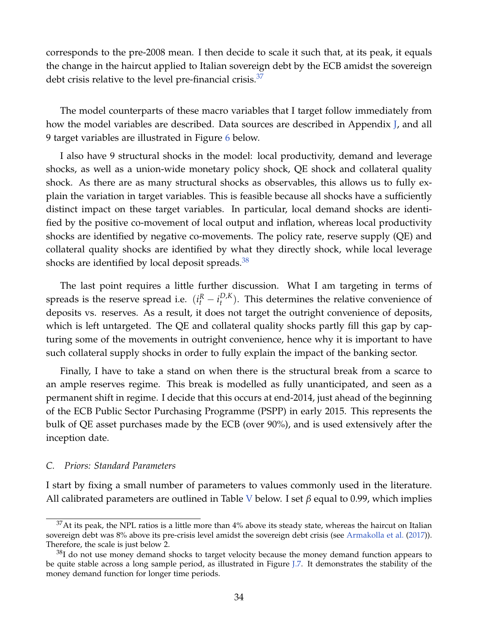corresponds to the pre-2008 mean. I then decide to scale it such that, at its peak, it equals the change in the haircut applied to Italian sovereign debt by the ECB amidst the sovereign debt crisis relative to the level pre-financial crisis. $37$ 

The model counterparts of these macro variables that I target follow immediately from how the model variables are described. Data sources are described in Appendix [J,](#page-67-1) and all 9 target variables are illustrated in Figure [6](#page-35-0) below.

I also have 9 structural shocks in the model: local productivity, demand and leverage shocks, as well as a union-wide monetary policy shock, QE shock and collateral quality shock. As there are as many structural shocks as observables, this allows us to fully explain the variation in target variables. This is feasible because all shocks have a sufficiently distinct impact on these target variables. In particular, local demand shocks are identified by the positive co-movement of local output and inflation, whereas local productivity shocks are identified by negative co-movements. The policy rate, reserve supply (QE) and collateral quality shocks are identified by what they directly shock, while local leverage shocks are identified by local deposit spreads. $38$ 

The last point requires a little further discussion. What I am targeting in terms of spreads is the reserve spread i.e.  $(i_t^R - i_t^{D,K})$  $t<sub>t</sub><sup>D,K</sup>$ ). This determines the relative convenience of deposits vs. reserves. As a result, it does not target the outright convenience of deposits, which is left untargeted. The QE and collateral quality shocks partly fill this gap by capturing some of the movements in outright convenience, hence why it is important to have such collateral supply shocks in order to fully explain the impact of the banking sector.

Finally, I have to take a stand on when there is the structural break from a scarce to an ample reserves regime. This break is modelled as fully unanticipated, and seen as a permanent shift in regime. I decide that this occurs at end-2014, just ahead of the beginning of the ECB Public Sector Purchasing Programme (PSPP) in early 2015. This represents the bulk of QE asset purchases made by the ECB (over 90%), and is used extensively after the inception date.

#### *C. Priors: Standard Parameters*

I start by fixing a small number of parameters to values commonly used in the literature. All calibrated parameters are outlined in Table [V](#page-36-0) below. I set *β* equal to 0.99, which implies

 $37$ At its peak, the NPL ratios is a little more than 4% above its steady state, whereas the haircut on Italian sovereign debt was 8% above its pre-crisis level amidst the sovereign debt crisis (see [Armakolla et al.](#page-48-8) [\(2017\)](#page-48-8)). Therefore, the scale is just below 2.

 $38$ I do not use money demand shocks to target velocity because the money demand function appears to be quite stable across a long sample period, as illustrated in Figure [J.7.](#page-70-0) It demonstrates the stability of the money demand function for longer time periods.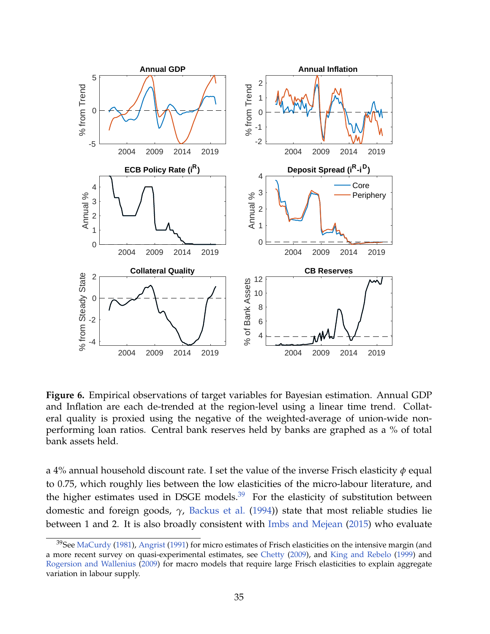<span id="page-35-0"></span>

**Figure 6.** Empirical observations of target variables for Bayesian estimation. Annual GDP and Inflation are each de-trended at the region-level using a linear time trend. Collateral quality is proxied using the negative of the weighted-average of union-wide nonperforming loan ratios. Central bank reserves held by banks are graphed as a % of total bank assets held.

a 4% annual household discount rate. I set the value of the inverse Frisch elasticity *φ* equal to 0.75, which roughly lies between the low elasticities of the micro-labour literature, and the higher estimates used in DSGE models. $39$  For the elasticity of substitution between domestic and foreign goods, *γ*, [Backus et al.](#page-48-9) [\(1994\)](#page-48-9)) state that most reliable studies lie between 1 and 2. It is also broadly consistent with [Imbs and Mejean](#page-50-8) [\(2015\)](#page-50-8) who evaluate

<sup>&</sup>lt;sup>39</sup>See [MaCurdy](#page-50-9) [\(1981\)](#page-50-9), [Angrist](#page-48-10) [\(1991\)](#page-48-10) for micro estimates of Frisch elasticities on the intensive margin (and a more recent survey on quasi-experimental estimates, see [Chetty](#page-48-11) [\(2009\)](#page-48-11), and [King and Rebelo](#page-50-10) [\(1999\)](#page-50-10) and [Rogersion and Wallenius](#page-50-11) [\(2009\)](#page-50-11) for macro models that require large Frisch elasticities to explain aggregate variation in labour supply.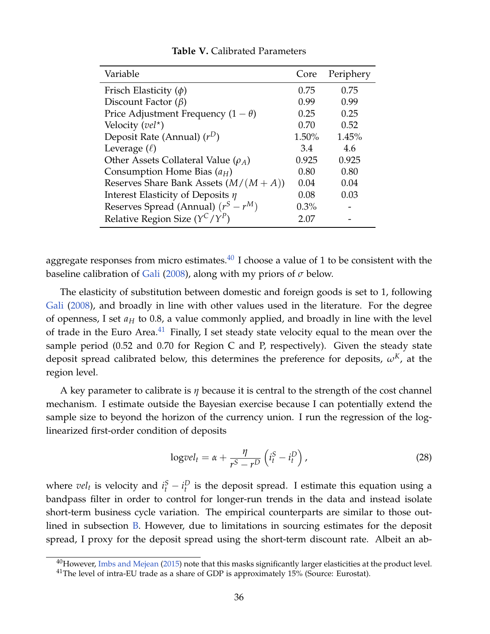<span id="page-36-0"></span>

| Variable                                   | Core    | Periphery |
|--------------------------------------------|---------|-----------|
| Frisch Elasticity $(\phi)$                 | 0.75    | 0.75      |
| Discount Factor $(\beta)$                  | 0.99    | 0.99      |
| Price Adjustment Frequency $(1 - \theta)$  | 0.25    | 0.25      |
| Velocity ( $vel^*$ )                       | 0.70    | 0.52      |
| Deposit Rate (Annual) $(r^D)$              | 1.50%   | 1.45%     |
| Leverage $(\ell)$                          | 3.4     | 4.6       |
| Other Assets Collateral Value ( $\rho_A$ ) | 0.925   | 0.925     |
| Consumption Home Bias $(a_H)$              | 0.80    | 0.80      |
| Reserves Share Bank Assets $(M/(M+A))$     | 0.04    | 0.04      |
| Interest Elasticity of Deposits $\eta$     | 0.08    | 0.03      |
| Reserves Spread (Annual) $(r^S - r^M)$     | $0.3\%$ |           |
| Relative Region Size $(Y^C/Y^P)$           | 2.07    |           |

#### **Table V.** Calibrated Parameters

aggregate responses from micro estimates. $40$  I choose a value of 1 to be consistent with the baseline calibration of [Gali](#page-49-9) [\(2008\)](#page-49-9), along with my priors of *σ* below.

The elasticity of substitution between domestic and foreign goods is set to 1, following [Gali](#page-49-9) [\(2008\)](#page-49-9), and broadly in line with other values used in the literature. For the degree of openness, I set  $a_H$  to 0.8, a value commonly applied, and broadly in line with the level of trade in the Euro Area.<sup>[41](#page-0-0)</sup> Finally, I set steady state velocity equal to the mean over the sample period (0.52 and 0.70 for Region C and P, respectively). Given the steady state deposit spread calibrated below, this determines the preference for deposits,  $\omega<sup>K</sup>$ , at the region level.

A key parameter to calibrate is *η* because it is central to the strength of the cost channel mechanism. I estimate outside the Bayesian exercise because I can potentially extend the sample size to beyond the horizon of the currency union. I run the regression of the loglinearized first-order condition of deposits

$$
\log vel_t = \alpha + \frac{\eta}{r^S - r^D} \left( i_t^S - i_t^D \right),\tag{28}
$$

where  $vel_t$  is velocity and  $i_t^S - i_t^D$  is the deposit spread. I estimate this equation using a bandpass filter in order to control for longer-run trends in the data and instead isolate short-term business cycle variation. The empirical counterparts are similar to those outlined in subsection [B.](#page-33-0) However, due to limitations in sourcing estimates for the deposit spread, I proxy for the deposit spread using the short-term discount rate. Albeit an ab-

 $^{40}$ However, [Imbs and Mejean](#page-50-8) [\(2015\)](#page-50-8) note that this masks significantly larger elasticities at the product level.  $41$ The level of intra-EU trade as a share of GDP is approximately 15% (Source: Eurostat).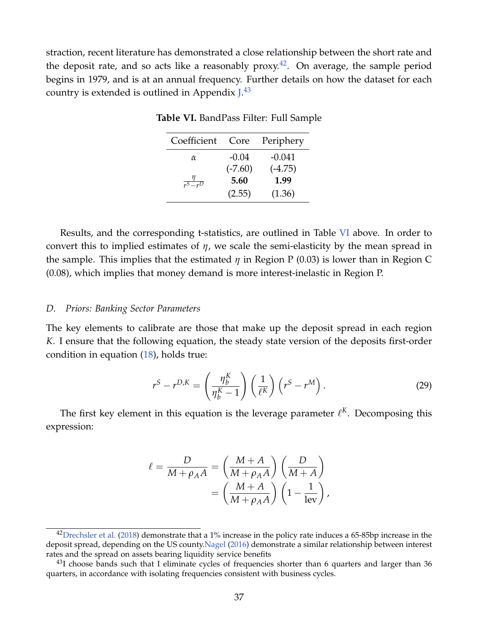<span id="page-37-0"></span>straction, recent literature has demonstrated a close relationship between the short rate and the deposit rate, and so acts like a reasonably  $prox<sup>42</sup>$  $prox<sup>42</sup>$  $prox<sup>42</sup>$ . On average, the sample period begins in 1979, and is at an annual frequency. Further details on how the dataset for each country is extended is outlined in Appendix  $J^{43}$  $J^{43}$  $J^{43}$ 

| Coefficient            | Core      | Periphery |
|------------------------|-----------|-----------|
| α                      | $-0.04$   | $-0.041$  |
|                        | $(-7.60)$ | $(-4.75)$ |
| $\frac{\eta}{r^S-r^D}$ | 5.60      | 1.99      |
|                        | (2.55)    | (1.36)    |

**Table VI.** BandPass Filter: Full Sample

Results, and the corresponding t-statistics, are outlined in Table [VI](#page-37-0) above. In order to convert this to implied estimates of *η*, we scale the semi-elasticity by the mean spread in the sample. This implies that the estimated *η* in Region P (0.03) is lower than in Region C (0.08), which implies that money demand is more interest-inelastic in Region P.

#### *D. Priors: Banking Sector Parameters*

The key elements to calibrate are those that make up the deposit spread in each region *K*. I ensure that the following equation, the steady state version of the deposits first-order condition in equation [\(18\)](#page-24-0), holds true:

<span id="page-37-1"></span>
$$
r^{S} - r^{D,K} = \left(\frac{\eta_b^{K}}{\eta_b^{K} - 1}\right) \left(\frac{1}{\ell^{K}}\right) \left(r^{S} - r^{M}\right). \tag{29}
$$

The first key element in this equation is the leverage parameter  $\ell^K$ . Decomposing this expression:

$$
\ell = \frac{D}{M + \rho_A A} = \left(\frac{M + A}{M + \rho_A A}\right) \left(\frac{D}{M + A}\right) \n= \left(\frac{M + A}{M + \rho_A A}\right) \left(1 - \frac{1}{\text{lev}}\right),
$$

 $42$ [Drechsler et al.](#page-49-10) [\(2018\)](#page-49-10) demonstrate that a 1% increase in the policy rate induces a 65-85bp increase in the deposit spread, depending on the US county[.Nagel](#page-50-12) [\(2016\)](#page-50-12) demonstrate a similar relationship between interest rates and the spread on assets bearing liquidity service benefits

 $^{43}$ I choose bands such that I eliminate cycles of frequencies shorter than 6 quarters and larger than 36 quarters, in accordance with isolating frequencies consistent with business cycles.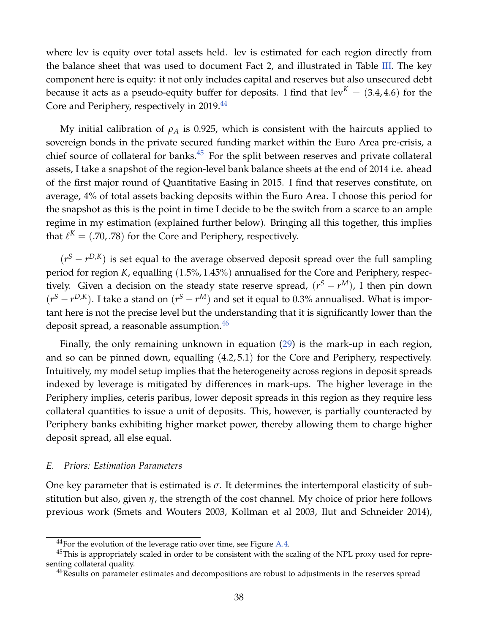where lev is equity over total assets held. lev is estimated for each region directly from the balance sheet that was used to document Fact 2, and illustrated in Table [III.](#page-12-0) The key component here is equity: it not only includes capital and reserves but also unsecured debt because it acts as a pseudo-equity buffer for deposits. I find that  $lev^{K} = (3.4, 4.6)$  for the Core and Periphery, respectively in 2019.<sup>[44](#page-0-0)</sup>

My initial calibration of  $\rho_A$  is 0.925, which is consistent with the haircuts applied to sovereign bonds in the private secured funding market within the Euro Area pre-crisis, a chief source of collateral for banks. $45$  For the split between reserves and private collateral assets, I take a snapshot of the region-level bank balance sheets at the end of 2014 i.e. ahead of the first major round of Quantitative Easing in 2015. I find that reserves constitute, on average, 4% of total assets backing deposits within the Euro Area. I choose this period for the snapshot as this is the point in time I decide to be the switch from a scarce to an ample regime in my estimation (explained further below). Bringing all this together, this implies that  $\ell^K = (.70, .78)$  for the Core and Periphery, respectively.

 $(r^{S} - r^{D,K})$  is set equal to the average observed deposit spread over the full sampling period for region *K*, equalling (1.5%, 1.45%) annualised for the Core and Periphery, respectively. Given a decision on the steady state reserve spread,  $(r^S - r^M)$ , I then pin down  $(r^{S} - r^{D,K})$ . I take a stand on  $(r^{S} - r^{M})$  and set it equal to 0.3% annualised. What is important here is not the precise level but the understanding that it is significantly lower than the deposit spread, a reasonable assumption.<sup>[46](#page-0-0)</sup>

Finally, the only remaining unknown in equation [\(29\)](#page-37-1) is the mark-up in each region, and so can be pinned down, equalling (4.2, 5.1) for the Core and Periphery, respectively. Intuitively, my model setup implies that the heterogeneity across regions in deposit spreads indexed by leverage is mitigated by differences in mark-ups. The higher leverage in the Periphery implies, ceteris paribus, lower deposit spreads in this region as they require less collateral quantities to issue a unit of deposits. This, however, is partially counteracted by Periphery banks exhibiting higher market power, thereby allowing them to charge higher deposit spread, all else equal.

#### *E. Priors: Estimation Parameters*

One key parameter that is estimated is  $\sigma$ . It determines the intertemporal elasticity of substitution but also, given *η*, the strength of the cost channel. My choice of prior here follows previous work (Smets and Wouters 2003, Kollman et al 2003, Ilut and Schneider 2014),

 $^{44}$ For the evolution of the leverage ratio over time, see Figure [A.4.](#page-55-0)

<sup>&</sup>lt;sup>45</sup>This is appropriately scaled in order to be consistent with the scaling of the NPL proxy used for representing collateral quality.

<sup>&</sup>lt;sup>46</sup>Results on parameter estimates and decompositions are robust to adjustments in the reserves spread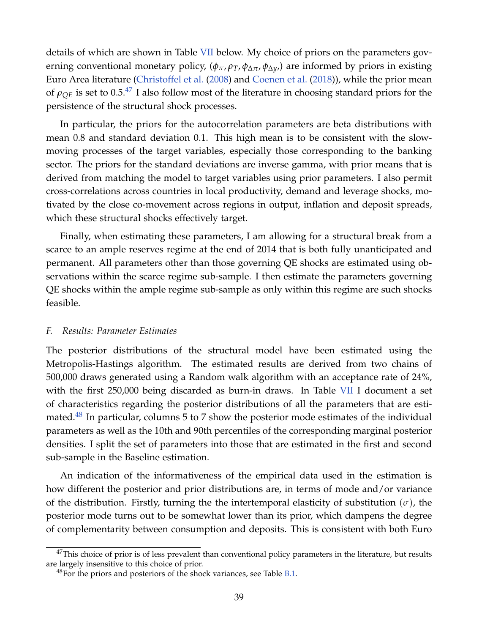details of which are shown in Table [VII](#page-40-0) below. My choice of priors on the parameters governing conventional monetary policy, (*φπ*, *ρT*, *φ*∆*π*, *φ*∆*y*,) are informed by priors in existing Euro Area literature [\(Christoffel et al.](#page-49-2) [\(2008\)](#page-49-2) and [Coenen et al.](#page-49-1) [\(2018\)](#page-49-1)), while the prior mean of  $\rho_{OE}$  is set to 0.5.<sup>[47](#page-0-0)</sup> I also follow most of the literature in choosing standard priors for the persistence of the structural shock processes.

In particular, the priors for the autocorrelation parameters are beta distributions with mean 0.8 and standard deviation 0.1. This high mean is to be consistent with the slowmoving processes of the target variables, especially those corresponding to the banking sector. The priors for the standard deviations are inverse gamma, with prior means that is derived from matching the model to target variables using prior parameters. I also permit cross-correlations across countries in local productivity, demand and leverage shocks, motivated by the close co-movement across regions in output, inflation and deposit spreads, which these structural shocks effectively target.

Finally, when estimating these parameters, I am allowing for a structural break from a scarce to an ample reserves regime at the end of 2014 that is both fully unanticipated and permanent. All parameters other than those governing QE shocks are estimated using observations within the scarce regime sub-sample. I then estimate the parameters governing QE shocks within the ample regime sub-sample as only within this regime are such shocks feasible.

## *F. Results: Parameter Estimates*

The posterior distributions of the structural model have been estimated using the Metropolis-Hastings algorithm. The estimated results are derived from two chains of 500,000 draws generated using a Random walk algorithm with an acceptance rate of 24%, with the first 250,000 being discarded as burn-in draws. In Table [VII](#page-40-0) I document a set of characteristics regarding the posterior distributions of all the parameters that are esti-mated.<sup>[48](#page-0-0)</sup> In particular, columns 5 to 7 show the posterior mode estimates of the individual parameters as well as the 10th and 90th percentiles of the corresponding marginal posterior densities. I split the set of parameters into those that are estimated in the first and second sub-sample in the Baseline estimation.

An indication of the informativeness of the empirical data used in the estimation is how different the posterior and prior distributions are, in terms of mode and/or variance of the distribution. Firstly, turning the the intertemporal elasticity of substitution  $(\sigma)$ , the posterior mode turns out to be somewhat lower than its prior, which dampens the degree of complementarity between consumption and deposits. This is consistent with both Euro

 $47$ This choice of prior is of less prevalent than conventional policy parameters in the literature, but results are largely insensitive to this choice of prior.

 $^{48}$ For the priors and posteriors of the shock variances, see Table [B.1.](#page-55-1)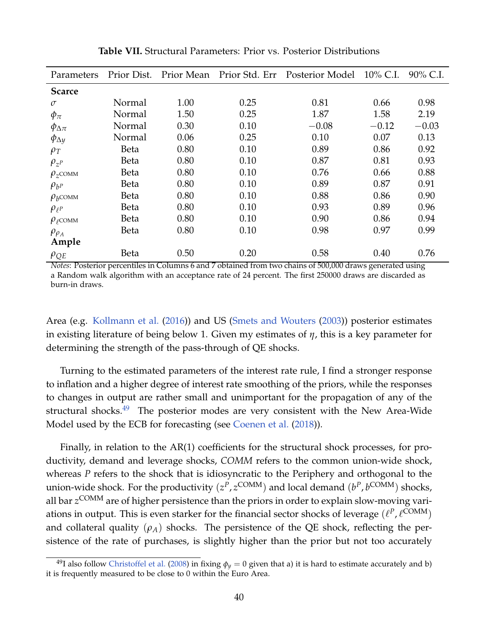<span id="page-40-0"></span>

| Parameters               | Prior Dist. | Prior Mean |      | Prior Std. Err Posterior Model | 10% C.I. | 90% C.I. |
|--------------------------|-------------|------------|------|--------------------------------|----------|----------|
| <b>Scarce</b>            |             |            |      |                                |          |          |
| $\sigma$                 | Normal      | 1.00       | 0.25 | 0.81                           | 0.66     | 0.98     |
| $\phi_{\pi}$             | Normal      | 1.50       | 0.25 | 1.87                           | 1.58     | 2.19     |
| $\phi_{\Delta \pi}$      | Normal      | 0.30       | 0.10 | $-0.08$                        | $-0.12$  | $-0.03$  |
| $\phi_{\Delta y}$        | Normal      | 0.06       | 0.25 | 0.10                           | 0.07     | 0.13     |
| $\rho_T$                 | Beta        | 0.80       | 0.10 | 0.89                           | 0.86     | 0.92     |
| $\rho_{z^p}$             | Beta        | 0.80       | 0.10 | 0.87                           | 0.81     | 0.93     |
| $\rho_{z}$ COMM          | Beta        | 0.80       | 0.10 | 0.76                           | 0.66     | 0.88     |
| $\rho_{b^P}$             | <b>Beta</b> | 0.80       | 0.10 | 0.89                           | 0.87     | 0.91     |
| $\rho_b$ COMM            | Beta        | 0.80       | 0.10 | 0.88                           | 0.86     | 0.90     |
| $\rho_{\ell^P}$          | Beta        | 0.80       | 0.10 | 0.93                           | 0.89     | 0.96     |
| $\rho_{\rho\text{COMM}}$ | Beta        | 0.80       | 0.10 | 0.90                           | 0.86     | 0.94     |
| $\rho_{\rho_A}$          | Beta        | 0.80       | 0.10 | 0.98                           | 0.97     | 0.99     |
| Ample                    |             |            |      |                                |          |          |
| $\rho_{QE}$              | Beta        | 0.50       | 0.20 | 0.58                           | 0.40     | 0.76     |

**Table VII.** Structural Parameters: Prior vs. Posterior Distributions

*Notes*: Posterior percentiles in Columns 6 and 7 obtained from two chains of 500,000 draws generated using a Random walk algorithm with an acceptance rate of 24 percent. The first 250000 draws are discarded as burn-in draws.

Area (e.g. [Kollmann et al.](#page-50-13) [\(2016\)](#page-50-13)) and US [\(Smets and Wouters](#page-50-7) [\(2003\)](#page-50-7)) posterior estimates in existing literature of being below 1. Given my estimates of *η*, this is a key parameter for determining the strength of the pass-through of QE shocks.

Turning to the estimated parameters of the interest rate rule, I find a stronger response to inflation and a higher degree of interest rate smoothing of the priors, while the responses to changes in output are rather small and unimportant for the propagation of any of the structural shocks.[49](#page-0-0) The posterior modes are very consistent with the New Area-Wide Model used by the ECB for forecasting (see [Coenen et al.](#page-49-1) [\(2018\)](#page-49-1)).

Finally, in relation to the AR(1) coefficients for the structural shock processes, for productivity, demand and leverage shocks, *COMM* refers to the common union-wide shock, whereas *P* refers to the shock that is idiosyncratic to the Periphery and orthogonal to the union-wide shock. For the productivity  $(z^P, z^{\text{COMM}})$  and local demand  $(b^P, b^{\text{COMM}})$  shocks, all bar *z* COMM are of higher persistence than the priors in order to explain slow-moving variations in output. This is even starker for the financial sector shocks of leverage  $(\ell^P,\ell^{\rm COMM})$ and collateral quality  $(\rho_A)$  shocks. The persistence of the QE shock, reflecting the persistence of the rate of purchases, is slightly higher than the prior but not too accurately

<sup>&</sup>lt;sup>49</sup>I also follow [Christoffel et al.](#page-49-2) [\(2008\)](#page-49-2) in fixing  $\phi_y = 0$  given that a) it is hard to estimate accurately and b) it is frequently measured to be close to 0 within the Euro Area.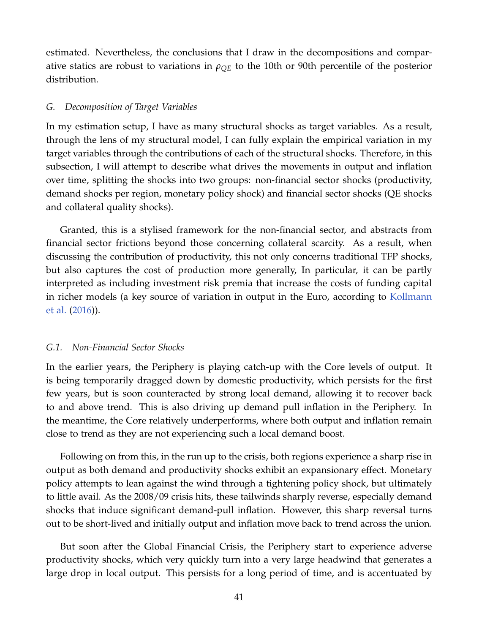estimated. Nevertheless, the conclusions that I draw in the decompositions and comparative statics are robust to variations in  $\rho_{OE}$  to the 10th or 90th percentile of the posterior distribution.

## *G. Decomposition of Target Variables*

In my estimation setup, I have as many structural shocks as target variables. As a result, through the lens of my structural model, I can fully explain the empirical variation in my target variables through the contributions of each of the structural shocks. Therefore, in this subsection, I will attempt to describe what drives the movements in output and inflation over time, splitting the shocks into two groups: non-financial sector shocks (productivity, demand shocks per region, monetary policy shock) and financial sector shocks (QE shocks and collateral quality shocks).

Granted, this is a stylised framework for the non-financial sector, and abstracts from financial sector frictions beyond those concerning collateral scarcity. As a result, when discussing the contribution of productivity, this not only concerns traditional TFP shocks, but also captures the cost of production more generally, In particular, it can be partly interpreted as including investment risk premia that increase the costs of funding capital in richer models (a key source of variation in output in the Euro, according to [Kollmann](#page-50-13) [et al.](#page-50-13) [\(2016\)](#page-50-13)).

## *G.1. Non-Financial Sector Shocks*

In the earlier years, the Periphery is playing catch-up with the Core levels of output. It is being temporarily dragged down by domestic productivity, which persists for the first few years, but is soon counteracted by strong local demand, allowing it to recover back to and above trend. This is also driving up demand pull inflation in the Periphery. In the meantime, the Core relatively underperforms, where both output and inflation remain close to trend as they are not experiencing such a local demand boost.

Following on from this, in the run up to the crisis, both regions experience a sharp rise in output as both demand and productivity shocks exhibit an expansionary effect. Monetary policy attempts to lean against the wind through a tightening policy shock, but ultimately to little avail. As the 2008/09 crisis hits, these tailwinds sharply reverse, especially demand shocks that induce significant demand-pull inflation. However, this sharp reversal turns out to be short-lived and initially output and inflation move back to trend across the union.

But soon after the Global Financial Crisis, the Periphery start to experience adverse productivity shocks, which very quickly turn into a very large headwind that generates a large drop in local output. This persists for a long period of time, and is accentuated by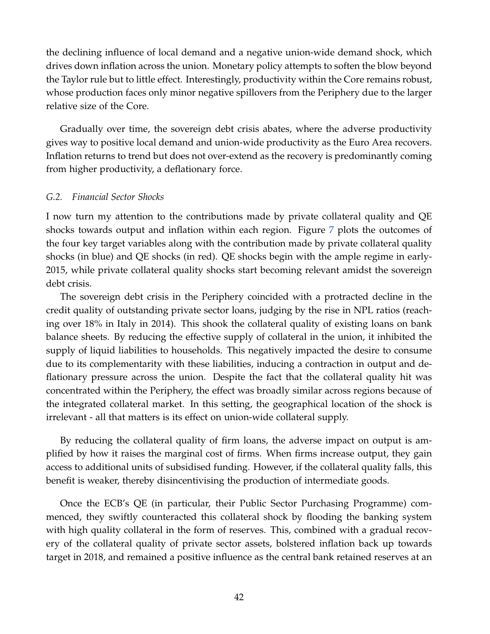the declining influence of local demand and a negative union-wide demand shock, which drives down inflation across the union. Monetary policy attempts to soften the blow beyond the Taylor rule but to little effect. Interestingly, productivity within the Core remains robust, whose production faces only minor negative spillovers from the Periphery due to the larger relative size of the Core.

Gradually over time, the sovereign debt crisis abates, where the adverse productivity gives way to positive local demand and union-wide productivity as the Euro Area recovers. Inflation returns to trend but does not over-extend as the recovery is predominantly coming from higher productivity, a deflationary force.

## *G.2. Financial Sector Shocks*

I now turn my attention to the contributions made by private collateral quality and QE shocks towards output and inflation within each region. Figure [7](#page-43-0) plots the outcomes of the four key target variables along with the contribution made by private collateral quality shocks (in blue) and QE shocks (in red). QE shocks begin with the ample regime in early-2015, while private collateral quality shocks start becoming relevant amidst the sovereign debt crisis.

The sovereign debt crisis in the Periphery coincided with a protracted decline in the credit quality of outstanding private sector loans, judging by the rise in NPL ratios (reaching over 18% in Italy in 2014). This shook the collateral quality of existing loans on bank balance sheets. By reducing the effective supply of collateral in the union, it inhibited the supply of liquid liabilities to households. This negatively impacted the desire to consume due to its complementarity with these liabilities, inducing a contraction in output and deflationary pressure across the union. Despite the fact that the collateral quality hit was concentrated within the Periphery, the effect was broadly similar across regions because of the integrated collateral market. In this setting, the geographical location of the shock is irrelevant - all that matters is its effect on union-wide collateral supply.

By reducing the collateral quality of firm loans, the adverse impact on output is amplified by how it raises the marginal cost of firms. When firms increase output, they gain access to additional units of subsidised funding. However, if the collateral quality falls, this benefit is weaker, thereby disincentivising the production of intermediate goods.

Once the ECB's QE (in particular, their Public Sector Purchasing Programme) commenced, they swiftly counteracted this collateral shock by flooding the banking system with high quality collateral in the form of reserves. This, combined with a gradual recovery of the collateral quality of private sector assets, bolstered inflation back up towards target in 2018, and remained a positive influence as the central bank retained reserves at an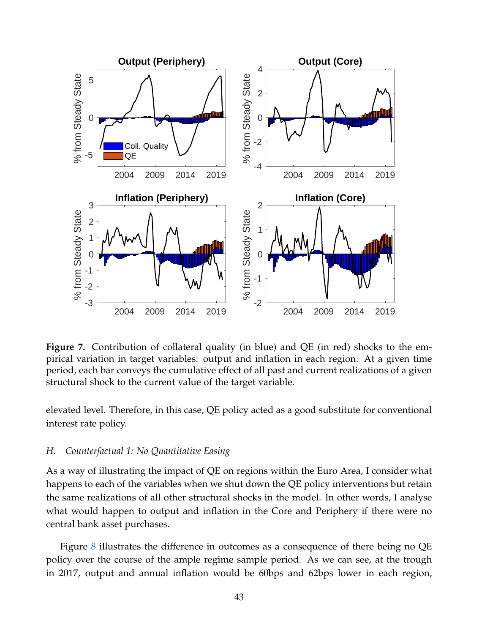<span id="page-43-0"></span>

**Figure 7.** Contribution of collateral quality (in blue) and QE (in red) shocks to the empirical variation in target variables: output and inflation in each region. At a given time period, each bar conveys the cumulative effect of all past and current realizations of a given structural shock to the current value of the target variable.

elevated level. Therefore, in this case, QE policy acted as a good substitute for conventional interest rate policy.

#### *H. Counterfactual 1: No Quantitative Easing*

As a way of illustrating the impact of QE on regions within the Euro Area, I consider what happens to each of the variables when we shut down the QE policy interventions but retain the same realizations of all other structural shocks in the model. In other words, I analyse what would happen to output and inflation in the Core and Periphery if there were no central bank asset purchases.

Figure [8](#page-44-0) illustrates the difference in outcomes as a consequence of there being no QE policy over the course of the ample regime sample period. As we can see, at the trough in 2017, output and annual inflation would be 60bps and 62bps lower in each region,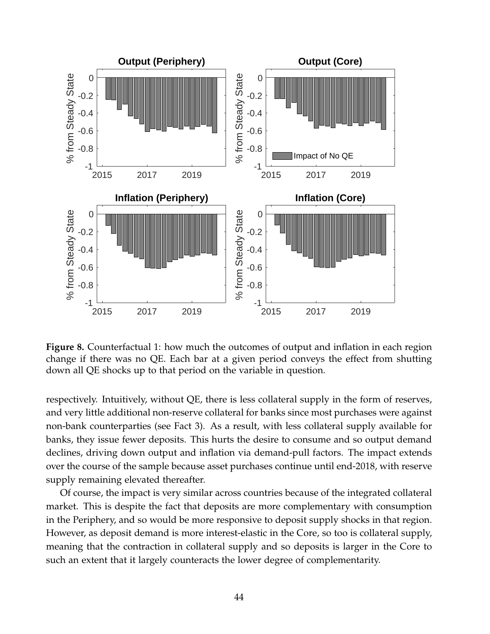<span id="page-44-0"></span>

**Figure 8.** Counterfactual 1: how much the outcomes of output and inflation in each region change if there was no QE. Each bar at a given period conveys the effect from shutting down all QE shocks up to that period on the variable in question.

respectively. Intuitively, without QE, there is less collateral supply in the form of reserves, and very little additional non-reserve collateral for banks since most purchases were against non-bank counterparties (see Fact 3). As a result, with less collateral supply available for banks, they issue fewer deposits. This hurts the desire to consume and so output demand declines, driving down output and inflation via demand-pull factors. The impact extends over the course of the sample because asset purchases continue until end-2018, with reserve supply remaining elevated thereafter.

Of course, the impact is very similar across countries because of the integrated collateral market. This is despite the fact that deposits are more complementary with consumption in the Periphery, and so would be more responsive to deposit supply shocks in that region. However, as deposit demand is more interest-elastic in the Core, so too is collateral supply, meaning that the contraction in collateral supply and so deposits is larger in the Core to such an extent that it largely counteracts the lower degree of complementarity.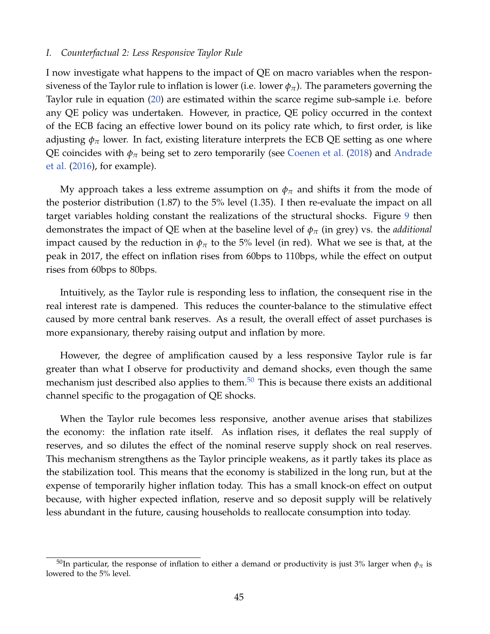#### *I. Counterfactual 2: Less Responsive Taylor Rule*

I now investigate what happens to the impact of QE on macro variables when the responsiveness of the Taylor rule to inflation is lower (i.e. lower  $\phi_{\pi}$ ). The parameters governing the Taylor rule in equation [\(20\)](#page-25-1) are estimated within the scarce regime sub-sample i.e. before any QE policy was undertaken. However, in practice, QE policy occurred in the context of the ECB facing an effective lower bound on its policy rate which, to first order, is like adjusting  $\phi_{\pi}$  lower. In fact, existing literature interprets the ECB QE setting as one where QE coincides with  $\phi_{\pi}$  being set to zero temporarily (see [Coenen et al.](#page-49-1) [\(2018\)](#page-49-1) and [Andrade](#page-48-0) [et al.](#page-48-0) [\(2016\)](#page-48-0), for example).

My approach takes a less extreme assumption on  $\phi_{\pi}$  and shifts it from the mode of the posterior distribution (1.87) to the 5% level (1.35). I then re-evaluate the impact on all target variables holding constant the realizations of the structural shocks. Figure [9](#page-46-0) then demonstrates the impact of QE when at the baseline level of *φ<sup>π</sup>* (in grey) vs. the *additional* impact caused by the reduction in  $\phi_{\pi}$  to the 5% level (in red). What we see is that, at the peak in 2017, the effect on inflation rises from 60bps to 110bps, while the effect on output rises from 60bps to 80bps.

Intuitively, as the Taylor rule is responding less to inflation, the consequent rise in the real interest rate is dampened. This reduces the counter-balance to the stimulative effect caused by more central bank reserves. As a result, the overall effect of asset purchases is more expansionary, thereby raising output and inflation by more.

However, the degree of amplification caused by a less responsive Taylor rule is far greater than what I observe for productivity and demand shocks, even though the same mechanism just described also applies to them. $50$  This is because there exists an additional channel specific to the progagation of QE shocks.

When the Taylor rule becomes less responsive, another avenue arises that stabilizes the economy: the inflation rate itself. As inflation rises, it deflates the real supply of reserves, and so dilutes the effect of the nominal reserve supply shock on real reserves. This mechanism strengthens as the Taylor principle weakens, as it partly takes its place as the stabilization tool. This means that the economy is stabilized in the long run, but at the expense of temporarily higher inflation today. This has a small knock-on effect on output because, with higher expected inflation, reserve and so deposit supply will be relatively less abundant in the future, causing households to reallocate consumption into today.

<sup>&</sup>lt;sup>50</sup>In particular, the response of inflation to either a demand or productivity is just 3% larger when  $\phi_{\pi}$  is lowered to the 5% level.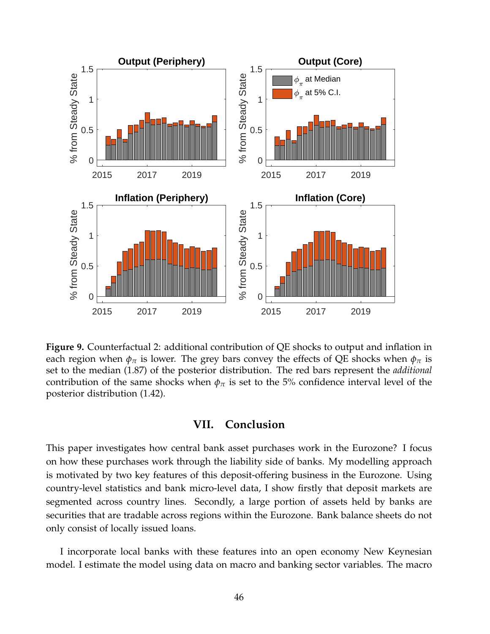<span id="page-46-0"></span>

**Figure 9.** Counterfactual 2: additional contribution of QE shocks to output and inflation in each region when  $\phi_{\pi}$  is lower. The grey bars convey the effects of QE shocks when  $\phi_{\pi}$  is set to the median (1.87) of the posterior distribution. The red bars represent the *additional* contribution of the same shocks when  $\phi_{\pi}$  is set to the 5% confidence interval level of the posterior distribution (1.42).

## **VII. Conclusion**

This paper investigates how central bank asset purchases work in the Eurozone? I focus on how these purchases work through the liability side of banks. My modelling approach is motivated by two key features of this deposit-offering business in the Eurozone. Using country-level statistics and bank micro-level data, I show firstly that deposit markets are segmented across country lines. Secondly, a large portion of assets held by banks are securities that are tradable across regions within the Eurozone. Bank balance sheets do not only consist of locally issued loans.

I incorporate local banks with these features into an open economy New Keynesian model. I estimate the model using data on macro and banking sector variables. The macro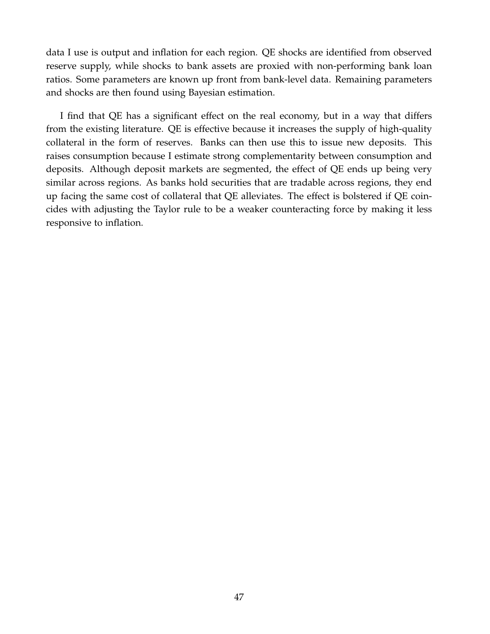data I use is output and inflation for each region. QE shocks are identified from observed reserve supply, while shocks to bank assets are proxied with non-performing bank loan ratios. Some parameters are known up front from bank-level data. Remaining parameters and shocks are then found using Bayesian estimation.

I find that QE has a significant effect on the real economy, but in a way that differs from the existing literature. QE is effective because it increases the supply of high-quality collateral in the form of reserves. Banks can then use this to issue new deposits. This raises consumption because I estimate strong complementarity between consumption and deposits. Although deposit markets are segmented, the effect of QE ends up being very similar across regions. As banks hold securities that are tradable across regions, they end up facing the same cost of collateral that QE alleviates. The effect is bolstered if QE coincides with adjusting the Taylor rule to be a weaker counteracting force by making it less responsive to inflation.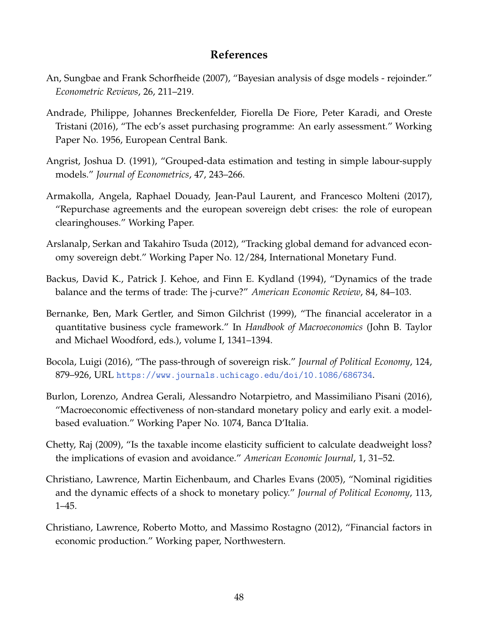## **References**

- <span id="page-48-7"></span>An, Sungbae and Frank Schorfheide (2007), "Bayesian analysis of dsge models - rejoinder." *Econometric Reviews*, 26, 211–219.
- <span id="page-48-0"></span>Andrade, Philippe, Johannes Breckenfelder, Fiorella De Fiore, Peter Karadi, and Oreste Tristani (2016), "The ecb's asset purchasing programme: An early assessment." Working Paper No. 1956, European Central Bank.
- <span id="page-48-10"></span>Angrist, Joshua D. (1991), "Grouped-data estimation and testing in simple labour-supply models." *Journal of Econometrics*, 47, 243–266.
- <span id="page-48-8"></span>Armakolla, Angela, Raphael Douady, Jean-Paul Laurent, and Francesco Molteni (2017), "Repurchase agreements and the european sovereign debt crises: the role of european clearinghouses." Working Paper.
- <span id="page-48-6"></span>Arslanalp, Serkan and Takahiro Tsuda (2012), "Tracking global demand for advanced economy sovereign debt." Working Paper No. 12/284, International Monetary Fund.
- <span id="page-48-9"></span>Backus, David K., Patrick J. Kehoe, and Finn E. Kydland (1994), "Dynamics of the trade balance and the terms of trade: The j-curve?" *American Economic Review*, 84, 84–103.
- <span id="page-48-2"></span>Bernanke, Ben, Mark Gertler, and Simon Gilchrist (1999), "The financial accelerator in a quantitative business cycle framework." In *Handbook of Macroeconomics* (John B. Taylor and Michael Woodford, eds.), volume I, 1341–1394.
- <span id="page-48-4"></span>Bocola, Luigi (2016), "The pass-through of sovereign risk." *Journal of Political Economy*, 124, 879–926, URL <https://www.journals.uchicago.edu/doi/10.1086/686734>.
- <span id="page-48-1"></span>Burlon, Lorenzo, Andrea Gerali, Alessandro Notarpietro, and Massimiliano Pisani (2016), "Macroeconomic effectiveness of non-standard monetary policy and early exit. a modelbased evaluation." Working Paper No. 1074, Banca D'Italia.
- <span id="page-48-11"></span>Chetty, Raj (2009), "Is the taxable income elasticity sufficient to calculate deadweight loss? the implications of evasion and avoidance." *American Economic Journal*, 1, 31–52.
- <span id="page-48-5"></span>Christiano, Lawrence, Martin Eichenbaum, and Charles Evans (2005), "Nominal rigidities and the dynamic effects of a shock to monetary policy." *Journal of Political Economy*, 113, 1–45.
- <span id="page-48-3"></span>Christiano, Lawrence, Roberto Motto, and Massimo Rostagno (2012), "Financial factors in economic production." Working paper, Northwestern.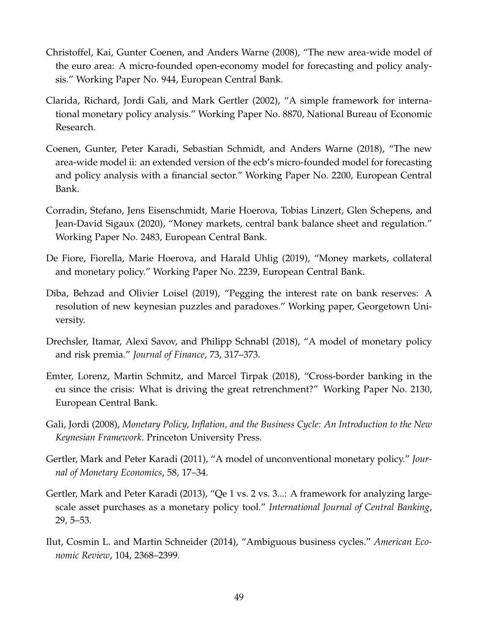- <span id="page-49-2"></span>Christoffel, Kai, Gunter Coenen, and Anders Warne (2008), "The new area-wide model of the euro area: A micro-founded open-economy model for forecasting and policy analysis." Working Paper No. 944, European Central Bank.
- <span id="page-49-0"></span>Clarida, Richard, Jordi Gali, and Mark Gertler (2002), "A simple framework for international monetary policy analysis." Working Paper No. 8870, National Bureau of Economic Research.
- <span id="page-49-1"></span>Coenen, Gunter, Peter Karadi, Sebastian Schmidt, and Anders Warne (2018), "The new area-wide model ii: an extended version of the ecb's micro-founded model for forecasting and policy analysis with a financial sector." Working Paper No. 2200, European Central Bank.
- <span id="page-49-6"></span>Corradin, Stefano, Jens Eisenschmidt, Marie Hoerova, Tobias Linzert, Glen Schepens, and Jean-David Sigaux (2020), "Money markets, central bank balance sheet and regulation." Working Paper No. 2483, European Central Bank.
- <span id="page-49-4"></span>De Fiore, Fiorella, Marie Hoerova, and Harald Uhlig (2019), "Money markets, collateral and monetary policy." Working Paper No. 2239, European Central Bank.
- Diba, Behzad and Olivier Loisel (2019), "Pegging the interest rate on bank reserves: A resolution of new keynesian puzzles and paradoxes." Working paper, Georgetown University.
- <span id="page-49-10"></span>Drechsler, Itamar, Alexi Savov, and Philipp Schnabl (2018), "A model of monetary policy and risk premia." *Journal of Finance*, 73, 317–373.
- <span id="page-49-7"></span>Emter, Lorenz, Martin Schmitz, and Marcel Tirpak (2018), "Cross-border banking in the eu since the crisis: What is driving the great retrenchment?" Working Paper No. 2130, European Central Bank.
- <span id="page-49-9"></span>Gali, Jordi (2008), *Monetary Policy, Inflation, and the Business Cycle: An Introduction to the New Keynesian Framework*. Princeton University Press.
- <span id="page-49-5"></span>Gertler, Mark and Peter Karadi (2011), "A model of unconventional monetary policy." *Journal of Monetary Economics*, 58, 17–34.
- <span id="page-49-3"></span>Gertler, Mark and Peter Karadi (2013), "Qe 1 vs. 2 vs. 3...: A framework for analyzing largescale asset purchases as a monetary policy tool." *International Journal of Central Banking*, 29, 5–53.
- <span id="page-49-8"></span>Ilut, Cosmin L. and Martin Schneider (2014), "Ambiguous business cycles." *American Economic Review*, 104, 2368–2399.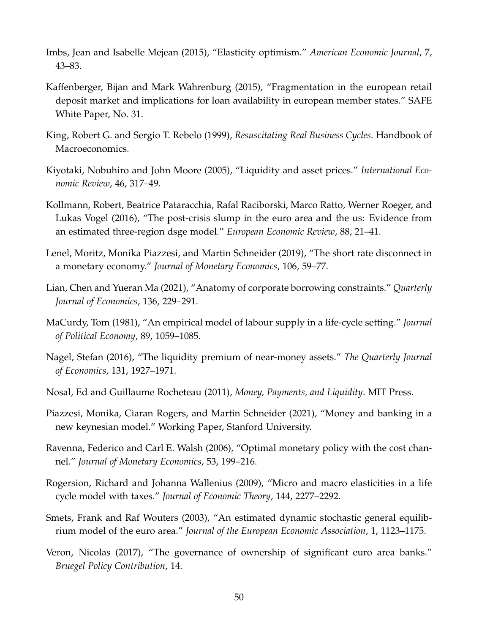- <span id="page-50-8"></span>Imbs, Jean and Isabelle Mejean (2015), "Elasticity optimism." *American Economic Journal*, 7, 43–83.
- <span id="page-50-5"></span>Kaffenberger, Bijan and Mark Wahrenburg (2015), "Fragmentation in the european retail deposit market and implications for loan availability in european member states." SAFE White Paper, No. 31.
- <span id="page-50-10"></span>King, Robert G. and Sergio T. Rebelo (1999), *Resuscitating Real Business Cycles*. Handbook of Macroeconomics.
- <span id="page-50-3"></span>Kiyotaki, Nobuhiro and John Moore (2005), "Liquidity and asset prices." *International Economic Review*, 46, 317–49.
- <span id="page-50-13"></span>Kollmann, Robert, Beatrice Pataracchia, Rafal Raciborski, Marco Ratto, Werner Roeger, and Lukas Vogel (2016), "The post-crisis slump in the euro area and the us: Evidence from an estimated three-region dsge model." *European Economic Review*, 88, 21–41.
- <span id="page-50-1"></span>Lenel, Moritz, Monika Piazzesi, and Martin Schneider (2019), "The short rate disconnect in a monetary economy." *Journal of Monetary Economics*, 106, 59–77.
- <span id="page-50-6"></span>Lian, Chen and Yueran Ma (2021), "Anatomy of corporate borrowing constraints." *Quarterly Journal of Economics*, 136, 229–291.
- <span id="page-50-9"></span>MaCurdy, Tom (1981), "An empirical model of labour supply in a life-cycle setting." *Journal of Political Economy*, 89, 1059–1085.
- <span id="page-50-12"></span>Nagel, Stefan (2016), "The liquidity premium of near-money assets." *The Quarterly Journal of Economics*, 131, 1927–1971.
- Nosal, Ed and Guillaume Rocheteau (2011), *Money, Payments, and Liquidity*. MIT Press.
- <span id="page-50-2"></span>Piazzesi, Monika, Ciaran Rogers, and Martin Schneider (2021), "Money and banking in a new keynesian model." Working Paper, Stanford University.
- <span id="page-50-0"></span>Ravenna, Federico and Carl E. Walsh (2006), "Optimal monetary policy with the cost channel." *Journal of Monetary Economics*, 53, 199–216.
- <span id="page-50-11"></span>Rogersion, Richard and Johanna Wallenius (2009), "Micro and macro elasticities in a life cycle model with taxes." *Journal of Economic Theory*, 144, 2277–2292.
- <span id="page-50-7"></span>Smets, Frank and Raf Wouters (2003), "An estimated dynamic stochastic general equilibrium model of the euro area." *Journal of the European Economic Association*, 1, 1123–1175.
- <span id="page-50-4"></span>Veron, Nicolas (2017), "The governance of ownership of significant euro area banks." *Bruegel Policy Contribution*, 14.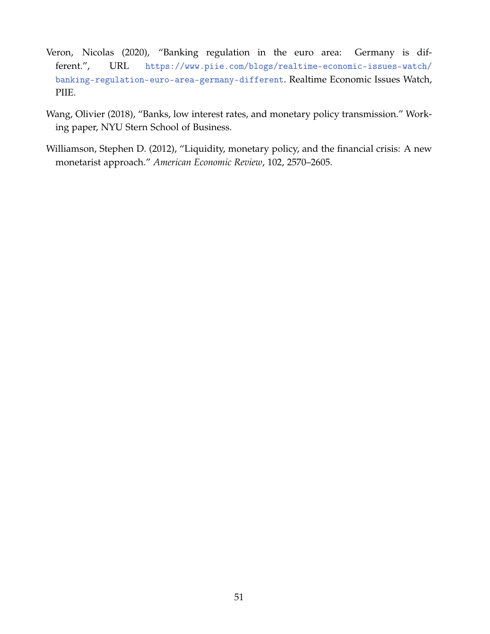- <span id="page-51-2"></span>Veron, Nicolas (2020), "Banking regulation in the euro area: Germany is different.", URL [https://www.piie.com/blogs/realtime-economic-issues-watch/](https://www.piie.com/blogs/realtime-economic-issues-watch/banking-regulation-euro-area-germany-different) [banking-regulation-euro-area-germany-different](https://www.piie.com/blogs/realtime-economic-issues-watch/banking-regulation-euro-area-germany-different). Realtime Economic Issues Watch, PIIE.
- <span id="page-51-0"></span>Wang, Olivier (2018), "Banks, low interest rates, and monetary policy transmission." Working paper, NYU Stern School of Business.
- <span id="page-51-1"></span>Williamson, Stephen D. (2012), "Liquidity, monetary policy, and the financial crisis: A new monetarist approach." *American Economic Review*, 102, 2570–2605.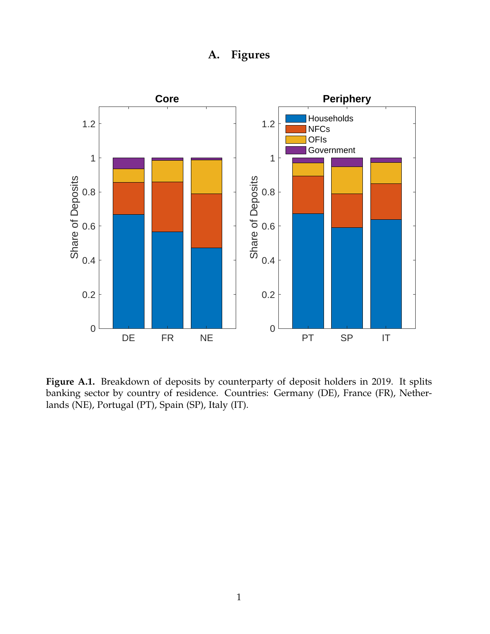## **A. Figures**

<span id="page-52-0"></span>

**Figure A.1.** Breakdown of deposits by counterparty of deposit holders in 2019. It splits banking sector by country of residence. Countries: Germany (DE), France (FR), Netherlands (NE), Portugal (PT), Spain (SP), Italy (IT).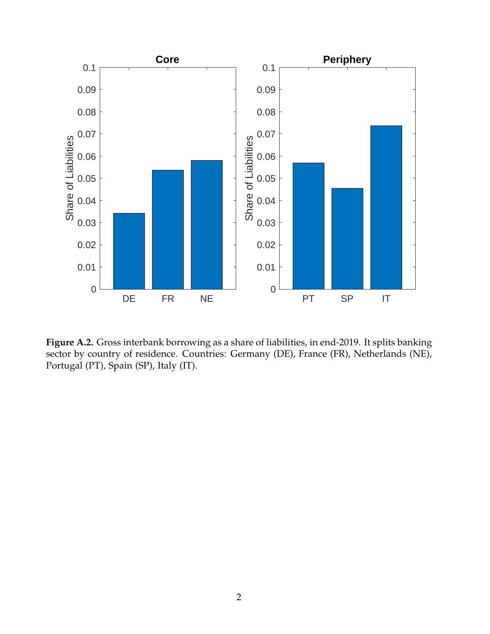<span id="page-53-0"></span>

**Figure A.2.** Gross interbank borrowing as a share of liabilities, in end-2019. It splits banking sector by country of residence. Countries: Germany (DE), France (FR), Netherlands (NE), Portugal (PT), Spain (SP), Italy (IT).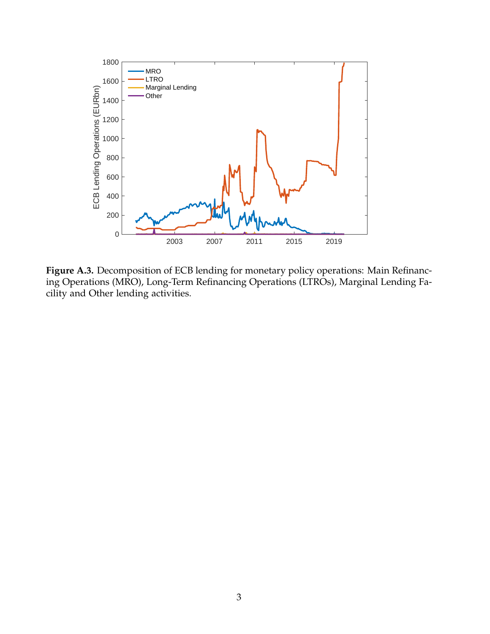<span id="page-54-0"></span>

**Figure A.3.** Decomposition of ECB lending for monetary policy operations: Main Refinancing Operations (MRO), Long-Term Refinancing Operations (LTROs), Marginal Lending Facility and Other lending activities.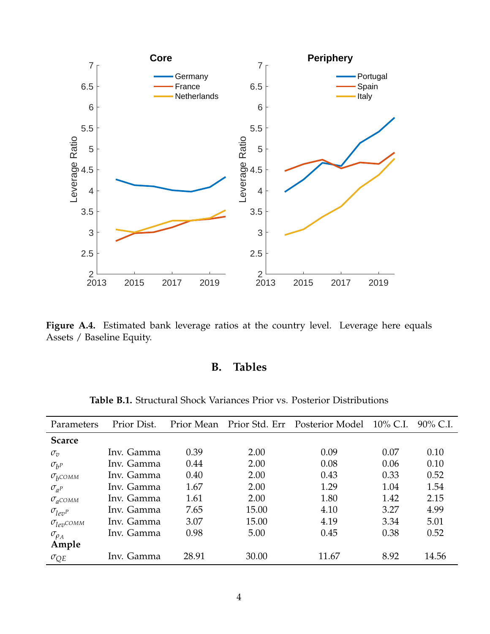<span id="page-55-0"></span>

**Figure A.4.** Estimated bank leverage ratios at the country level. Leverage here equals Assets / Baseline Equity.

## **B. Tables**

<span id="page-55-1"></span>

| Parameters                  | Prior Dist. |       |       | Prior Mean Prior Std. Err Posterior Model | $10\%$ C.I. | 90% C.I. |
|-----------------------------|-------------|-------|-------|-------------------------------------------|-------------|----------|
| <b>Scarce</b>               |             |       |       |                                           |             |          |
| $\sigma_v$                  | Inv. Gamma  | 0.39  | 2.00  | 0.09                                      | 0.07        | 0.10     |
| $\sigma_{h^P}$              | Inv. Gamma  | 0.44  | 2.00  | 0.08                                      | 0.06        | 0.10     |
| $\sigma_b$ COMM             | Inv. Gamma  | 0.40  | 2.00  | 0.43                                      | 0.33        | 0.52     |
| $\sigma_{a}P$               | Inv. Gamma  | 1.67  | 2.00  | 1.29                                      | 1.04        | 1.54     |
| $\sigma_a$ COMM             | Inv. Gamma  | 1.61  | 2.00  | 1.80                                      | 1.42        | 2.15     |
| $\sigma_{lev}$ <sup>p</sup> | Inv. Gamma  | 7.65  | 15.00 | 4.10                                      | 3.27        | 4.99     |
| $\sigma_{lev}$ COMM         | Inv. Gamma  | 3.07  | 15.00 | 4.19                                      | 3.34        | 5.01     |
| $\sigma_{\rho_A}$           | Inv. Gamma  | 0.98  | 5.00  | 0.45                                      | 0.38        | 0.52     |
| Ample                       |             |       |       |                                           |             |          |
| $\sigma_{OE}$               | Inv. Gamma  | 28.91 | 30.00 | 11.67                                     | 8.92        | 14.56    |

**Table B.1.** Structural Shock Variances Prior vs. Posterior Distributions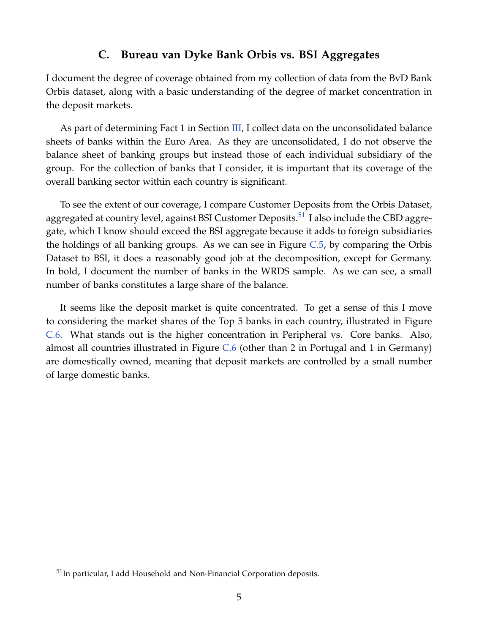## **C. Bureau van Dyke Bank Orbis vs. BSI Aggregates**

<span id="page-56-0"></span>I document the degree of coverage obtained from my collection of data from the BvD Bank Orbis dataset, along with a basic understanding of the degree of market concentration in the deposit markets.

As part of determining Fact 1 in Section  $III$ , I collect data on the unconsolidated balance sheets of banks within the Euro Area. As they are unconsolidated, I do not observe the balance sheet of banking groups but instead those of each individual subsidiary of the group. For the collection of banks that I consider, it is important that its coverage of the overall banking sector within each country is significant.

To see the extent of our coverage, I compare Customer Deposits from the Orbis Dataset, aggregated at country level, against BSI Customer Deposits.<sup>[51](#page-0-0)</sup> I also include the CBD aggregate, which I know should exceed the BSI aggregate because it adds to foreign subsidiaries the holdings of all banking groups. As we can see in Figure [C.5,](#page-57-0) by comparing the Orbis Dataset to BSI, it does a reasonably good job at the decomposition, except for Germany. In bold, I document the number of banks in the WRDS sample. As we can see, a small number of banks constitutes a large share of the balance.

It seems like the deposit market is quite concentrated. To get a sense of this I move to considering the market shares of the Top 5 banks in each country, illustrated in Figure [C.6.](#page-57-1) What stands out is the higher concentration in Peripheral vs. Core banks. Also, almost all countries illustrated in Figure [C.6](#page-57-1) (other than 2 in Portugal and 1 in Germany) are domestically owned, meaning that deposit markets are controlled by a small number of large domestic banks.

<sup>&</sup>lt;sup>51</sup>In particular, I add Household and Non-Financial Corporation deposits.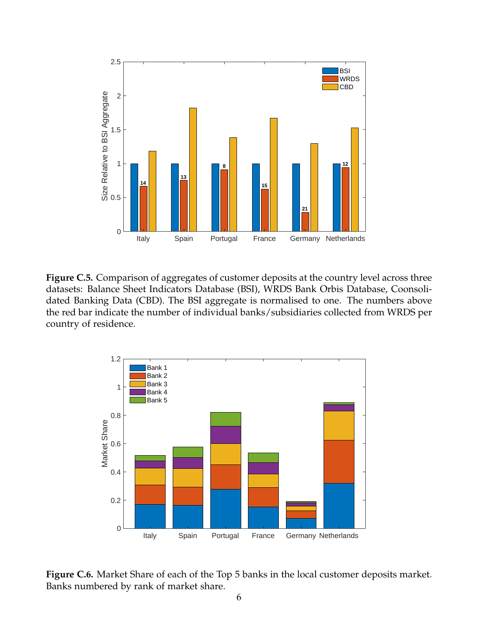<span id="page-57-0"></span>

Figure C.5. Comparison of aggregates of customer deposits at the country level across three datasets: Balance Sheet Indicators Database (BSI), WRDS Bank Orbis Database, Coonsolidated Banking Data (CBD). The BSI aggregate is normalised to one. The numbers above the red bar indicate the number of individual banks/subsidiaries collected from WRDS per country of residence.

<span id="page-57-1"></span>

**Figure C.6.** Market Share of each of the Top 5 banks in the local customer deposits market. Banks numbered by rank of market share.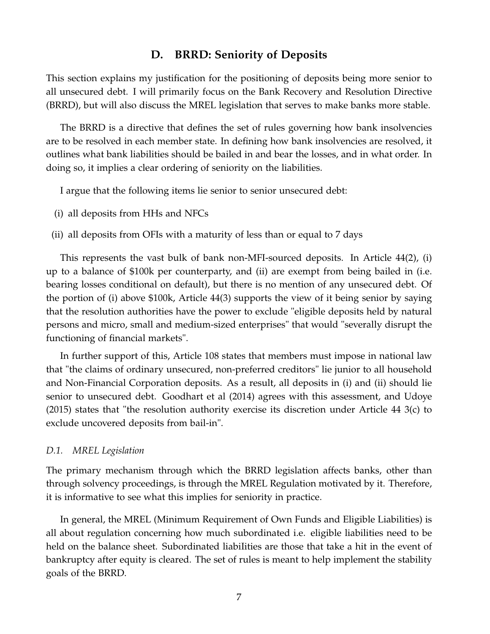## **D. BRRD: Seniority of Deposits**

<span id="page-58-0"></span>This section explains my justification for the positioning of deposits being more senior to all unsecured debt. I will primarily focus on the Bank Recovery and Resolution Directive (BRRD), but will also discuss the MREL legislation that serves to make banks more stable.

The BRRD is a directive that defines the set of rules governing how bank insolvencies are to be resolved in each member state. In defining how bank insolvencies are resolved, it outlines what bank liabilities should be bailed in and bear the losses, and in what order. In doing so, it implies a clear ordering of seniority on the liabilities.

I argue that the following items lie senior to senior unsecured debt:

- (i) all deposits from HHs and NFCs
- (ii) all deposits from OFIs with a maturity of less than or equal to 7 days

This represents the vast bulk of bank non-MFI-sourced deposits. In Article 44(2), (i) up to a balance of \$100k per counterparty, and (ii) are exempt from being bailed in (i.e. bearing losses conditional on default), but there is no mention of any unsecured debt. Of the portion of (i) above \$100k, Article 44(3) supports the view of it being senior by saying that the resolution authorities have the power to exclude "eligible deposits held by natural persons and micro, small and medium-sized enterprises" that would "severally disrupt the functioning of financial markets".

In further support of this, Article 108 states that members must impose in national law that "the claims of ordinary unsecured, non-preferred creditors" lie junior to all household and Non-Financial Corporation deposits. As a result, all deposits in (i) and (ii) should lie senior to unsecured debt. Goodhart et al (2014) agrees with this assessment, and Udoye (2015) states that "the resolution authority exercise its discretion under Article 44 3(c) to exclude uncovered deposits from bail-in".

#### *D.1. MREL Legislation*

The primary mechanism through which the BRRD legislation affects banks, other than through solvency proceedings, is through the MREL Regulation motivated by it. Therefore, it is informative to see what this implies for seniority in practice.

In general, the MREL (Minimum Requirement of Own Funds and Eligible Liabilities) is all about regulation concerning how much subordinated i.e. eligible liabilities need to be held on the balance sheet. Subordinated liabiIities are those that take a hit in the event of bankruptcy after equity is cleared. The set of rules is meant to help implement the stability goals of the BRRD.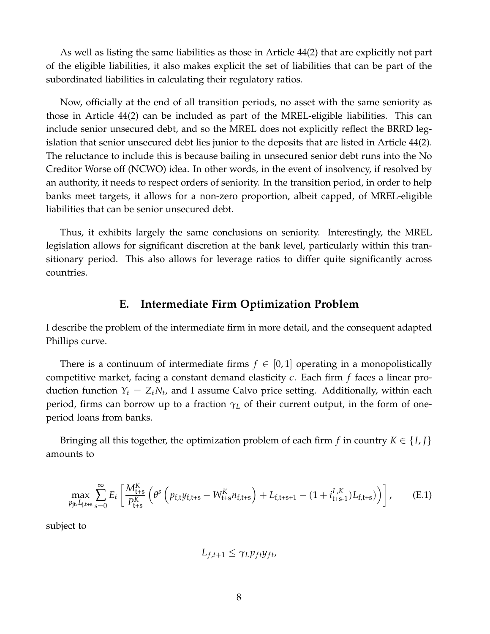As well as listing the same liabilities as those in Article 44(2) that are explicitly not part of the eligible liabilities, it also makes explicit the set of liabilities that can be part of the subordinated liabilities in calculating their regulatory ratios.

Now, officially at the end of all transition periods, no asset with the same seniority as those in Article 44(2) can be included as part of the MREL-eligible liabilities. This can include senior unsecured debt, and so the MREL does not explicitly reflect the BRRD legislation that senior unsecured debt lies junior to the deposits that are listed in Article 44(2). The reluctance to include this is because bailing in unsecured senior debt runs into the No Creditor Worse off (NCWO) idea. In other words, in the event of insolvency, if resolved by an authority, it needs to respect orders of seniority. In the transition period, in order to help banks meet targets, it allows for a non-zero proportion, albeit capped, of MREL-eligible liabilities that can be senior unsecured debt.

<span id="page-59-0"></span>Thus, it exhibits largely the same conclusions on seniority. Interestingly, the MREL legislation allows for significant discretion at the bank level, particularly within this transitionary period. This also allows for leverage ratios to differ quite significantly across countries.

## **E. Intermediate Firm Optimization Problem**

I describe the problem of the intermediate firm in more detail, and the consequent adapted Phillips curve.

There is a continuum of intermediate firms  $f \in [0,1]$  operating in a monopolistically competitive market, facing a constant demand elasticity *e*. Each firm *f* faces a linear production function  $Y_t = Z_t N_t$ , and I assume Calvo price setting. Additionally, within each period, firms can borrow up to a fraction *γ<sup>L</sup>* of their current output, in the form of oneperiod loans from banks.

Bringing all this together, the optimization problem of each firm *f* in country  $K \in \{I, J\}$ amounts to

$$
\max_{p_{\text{jt}}L_{\text{j,t+s}}}\sum_{s=0}^{\infty}E_{t}\left[\frac{M_{\text{t+s}}^{K}}{P_{\text{t+s}}^{K}}\left(\theta^{s}\left(p_{\text{f,t}}y_{\text{f,t+s}}-W_{\text{t+s}}^{K}n_{\text{f,t+s}}\right)+L_{\text{f,t+s+1}}-(1+i_{\text{t+s-1}}^{L,K})L_{\text{f,t+s}})\right)\right],\tag{E.1}
$$

subject to

$$
L_{f,t+1} \leq \gamma_L p_{ft} y_{ft},
$$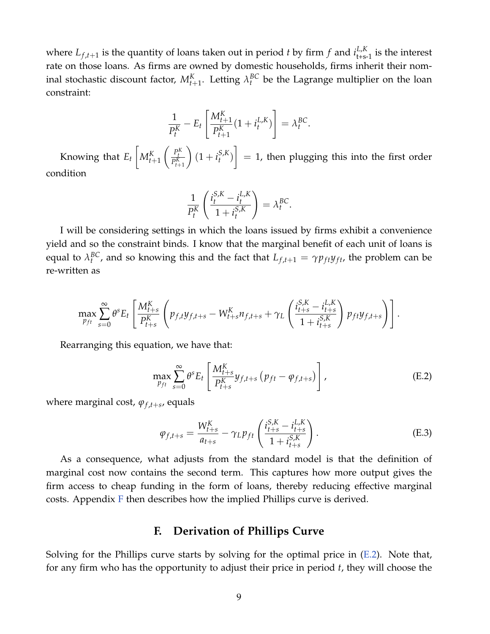where  $L_{f,t+1}$  is the quantity of loans taken out in period *t* by firm *f* and  $i_{t+s-1}^{L,K}$  is the interest rate on those loans. As firms are owned by domestic households, firms inherit their nominal stochastic discount factor,  $M_{t+1}^K$ . Letting  $\lambda_t^{BC}$  be the Lagrange multiplier on the loan constraint:

$$
\frac{1}{P_t^K}-E_t\left[\frac{M_{t+1}^K}{P_{t+1}^K}(1+i_t^{L,K})\right]=\lambda_t^{BC}.
$$

Knowing that *E<sup>t</sup>*  $M_{t+1}^K$  $\left(\frac{P_t^K}{P_{t+1}^K}\right)$  $(1 + i_t^{S,K})$  $\begin{bmatrix} S_{t} K_{t} \end{bmatrix} = 1$ , then plugging this into the first order condition

$$
\frac{1}{P_t^K}\left(\frac{i_t^{S,K}-i_t^{L,K}}{1+i_t^{S,K}}\right)=\lambda_t^{BC}.
$$

I will be considering settings in which the loans issued by firms exhibit a convenience yield and so the constraint binds. I know that the marginal benefit of each unit of loans is equal to  $\lambda_t^{BC}$ , and so knowing this and the fact that  $L_{f,t+1} = \gamma p_{ft}y_{ft}$ , the problem can be re-written as

$$
\max_{p_{ft}} \sum_{s=0}^{\infty} \theta^s E_t \left[ \frac{M_{t+s}^K}{P_{t+s}^K} \left( p_{f,t} y_{f,t+s} - W_{t+s}^K n_{f,t+s} + \gamma_L \left( \frac{i_{t+s}^{S,K} - i_{t+s}^{L,K}}{1 + i_{t+s}^{S,K}} \right) p_{ft} y_{f,t+s} \right) \right].
$$

Rearranging this equation, we have that:

<span id="page-60-1"></span>
$$
\max_{p_{ft}} \sum_{s=0}^{\infty} \theta^s E_t \left[ \frac{M_{t+s}^K}{P_{t+s}^K} y_{f,t+s} \left( p_{ft} - \varphi_{f,t+s} \right) \right], \tag{E.2}
$$

where marginal cost, *ϕ<sup>f</sup>* ,*t*+*<sup>s</sup>* , equals

$$
\varphi_{f,t+s} = \frac{W_{t+s}^K}{a_{t+s}} - \gamma_L p_{ft} \left( \frac{i_{t+s}^{S,K} - i_{t+s}^{L,K}}{1 + i_{t+s}^{S,K}} \right). \tag{E.3}
$$

As a consequence, what adjusts from the standard model is that the definition of marginal cost now contains the second term. This captures how more output gives the firm access to cheap funding in the form of loans, thereby reducing effective marginal costs. Appendix [F](#page-60-0) then describes how the implied Phillips curve is derived.

## **F. Derivation of Phillips Curve**

<span id="page-60-0"></span>Solving for the Phillips curve starts by solving for the optimal price in  $(E.2)$ . Note that, for any firm who has the opportunity to adjust their price in period *t*, they will choose the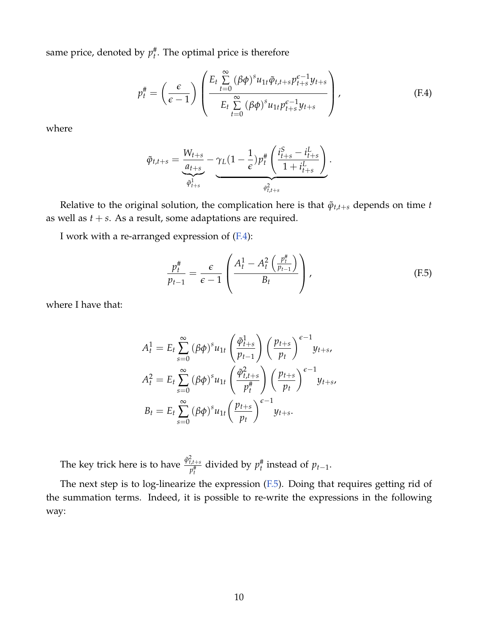same price, denoted by  $p_t^{\#}$ . The optimal price is therefore

<span id="page-61-0"></span>
$$
p_t^{\#} = \left(\frac{\epsilon}{\epsilon - 1}\right) \left( \frac{E_t \sum_{t=0}^{\infty} (\beta \phi)^s u_{1t} \tilde{\varphi}_{t,t+s} p_{t+s}^{\epsilon-1} y_{t+s}}{E_t \sum_{t=0}^{\infty} (\beta \phi)^s u_{1t} p_{t+s}^{\epsilon-1} y_{t+s}} \right), \tag{F.4}
$$

where

$$
\tilde{\varphi}_{t,t+s} = \underbrace{\frac{W_{t+s}}{a_{t+s}}}_{\tilde{\varphi}_{t+s}^1} - \underbrace{\gamma_L (1 - \frac{1}{\epsilon}) p_t^{\#} \left( \frac{i_{t+s}^S - i_{t+s}^L}{1 + i_{t+s}^L} \right)}_{\tilde{\varphi}_{t,t+s}^2}.
$$

Relative to the original solution, the complication here is that  $\tilde{\varphi}_{t,t+s}$  depends on time *t* as well as  $t + s$ . As a result, some adaptations are required.

I work with a re-arranged expression of [\(F.4\)](#page-61-0):

<span id="page-61-1"></span>
$$
\frac{p_t^{\#}}{p_{t-1}} = \frac{\epsilon}{\epsilon - 1} \left( \frac{A_t^1 - A_t^2 \left( \frac{p_t^{\#}}{p_{t-1}} \right)}{B_t} \right), \tag{F.5}
$$

where I have that:

$$
A_t^1 = E_t \sum_{s=0}^{\infty} (\beta \phi)^s u_{1t} \left(\frac{\tilde{\varphi}_{t+s}^1}{p_{t-1}}\right) \left(\frac{p_{t+s}}{p_t}\right)^{\epsilon-1} y_{t+s},
$$
  

$$
A_t^2 = E_t \sum_{s=0}^{\infty} (\beta \phi)^s u_{1t} \left(\frac{\tilde{\varphi}_{t,t+s}^2}{p_t^{\#}}\right) \left(\frac{p_{t+s}}{p_t}\right)^{\epsilon-1} y_{t+s},
$$
  

$$
B_t = E_t \sum_{s=0}^{\infty} (\beta \phi)^s u_{1t} \left(\frac{p_{t+s}}{p_t}\right)^{\epsilon-1} y_{t+s}.
$$

The key trick here is to have  $\frac{\tilde{\varphi}_{t,t+s}^2}{\mu t}$  $p_t^{\frac{t}{t}t+s}$  divided by  $p_t^{\#}$  instead of  $p_{t-1}$ .

The next step is to log-linearize the expression [\(F.5\)](#page-61-1). Doing that requires getting rid of the summation terms. Indeed, it is possible to re-write the expressions in the following way: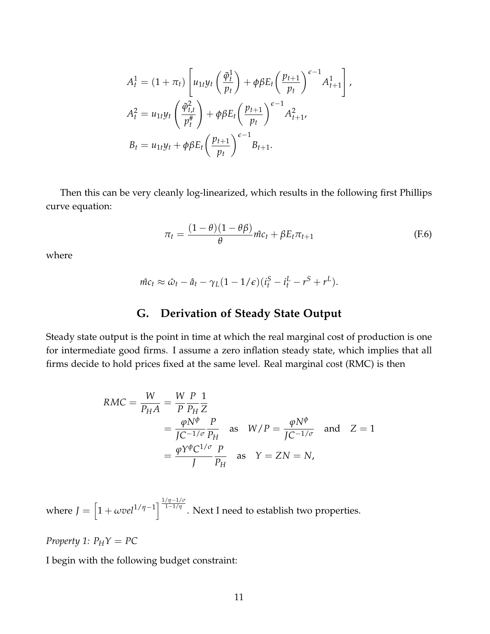$$
A_t^1 = (1 + \pi_t) \left[ u_{1t} y_t \left( \frac{\tilde{\varphi}_t^1}{p_t} \right) + \varphi \beta E_t \left( \frac{p_{t+1}}{p_t} \right)^{\epsilon - 1} A_{t+1}^1 \right],
$$
  

$$
A_t^2 = u_{1t} y_t \left( \frac{\tilde{\varphi}_{t,t}^2}{p_t^{\#}} \right) + \varphi \beta E_t \left( \frac{p_{t+1}}{p_t} \right)^{\epsilon - 1} A_{t+1}^2,
$$
  

$$
B_t = u_{1t} y_t + \varphi \beta E_t \left( \frac{p_{t+1}}{p_t} \right)^{\epsilon - 1} B_{t+1}.
$$

Then this can be very cleanly log-linearized, which results in the following first Phillips curve equation:

$$
\pi_t = \frac{(1 - \theta)(1 - \theta\beta)}{\theta} \hat{mc}_t + \beta E_t \pi_{t+1}
$$
 (F.6)

where

$$
\hat{mc}_t \approx \hat{\omega}_t - \hat{a}_t - \gamma_L (1 - 1/\epsilon) (i_t^S - i_t^L - r^S + r^L).
$$

## **G. Derivation of Steady State Output**

<span id="page-62-0"></span>Steady state output is the point in time at which the real marginal cost of production is one for intermediate good firms. I assume a zero inflation steady state, which implies that all firms decide to hold prices fixed at the same level. Real marginal cost (RMC) is then

$$
RMC = \frac{W}{P_H A} = \frac{W}{P} \frac{P}{P_H} \frac{1}{Z}
$$
  
=  $\frac{\varphi N^{\phi}}{JC^{-1/\sigma} P_H}$  as  $W/P = \frac{\varphi N^{\phi}}{JC^{-1/\sigma}}$  and  $Z = 1$   
=  $\frac{\varphi Y^{\phi} C^{1/\sigma} P_H}{J P_H}$  as  $Y = ZN = N$ ,

where  $J = \left[1 + \omega \nu e l^{1/\eta - 1}\right]^{\frac{1/\eta - 1/\sigma}{1 - 1/\eta}}$ 1−1/*η* . Next I need to establish two properties.

*Property 1:*  $P_HY = PC$ 

I begin with the following budget constraint: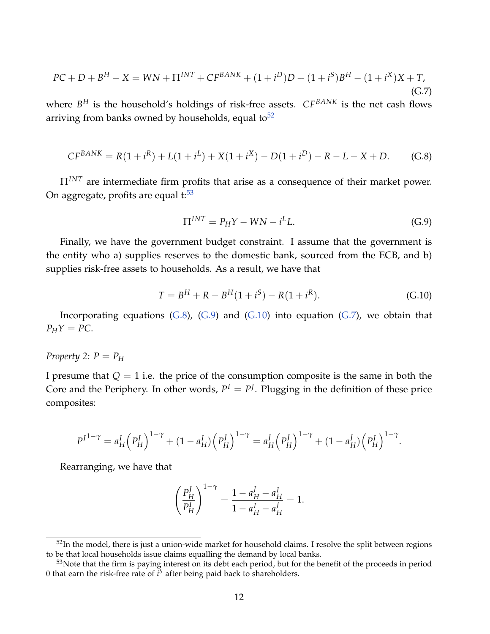<span id="page-63-3"></span>
$$
PC + D + B^{H} - X = WN + \Pi^{INT} + CF^{BANK} + (1 + i^{D})D + (1 + i^{S})B^{H} - (1 + i^{X})X + T,
$$
\n(G.7)

where *B <sup>H</sup>* is the household's holdings of risk-free assets. *CFBANK* is the net cash flows arriving from banks owned by households, equal to  $52$ 

<span id="page-63-0"></span>
$$
CF^{BANK} = R(1 + i^R) + L(1 + i^L) + X(1 + i^X) - D(1 + i^D) - R - L - X + D.
$$
 (G.8)

Π*INT* are intermediate firm profits that arise as a consequence of their market power. On aggregate, profits are equal  $t:53$  $t:53$ 

<span id="page-63-1"></span>
$$
\Pi^{INT} = P_H Y - W N - i^L L. \tag{G.9}
$$

Finally, we have the government budget constraint. I assume that the government is the entity who a) supplies reserves to the domestic bank, sourced from the ECB, and b) supplies risk-free assets to households. As a result, we have that

<span id="page-63-2"></span>
$$
T = BH + R - BH(1 + iS) - R(1 + iR).
$$
 (G.10)

Incorporating equations  $(G.8)$ ,  $(G.9)$  and  $(G.10)$  into equation  $(G.7)$ , we obtain that  $P_HY = PC$ .

## *Property* 2:  $P = P_H$

I presume that  $Q = 1$  i.e. the price of the consumption composite is the same in both the Core and the Periphery. In other words,  $P^I = P^J$ . Plugging in the definition of these price composites:

$$
P^{I^{1-\gamma}} = a_H^I (P_H^I)^{1-\gamma} + (1 - a_H^I) (P_H^J)^{1-\gamma} = a_H^I (P_H^J)^{1-\gamma} + (1 - a_H^I) (P_H^I)^{1-\gamma}.
$$

Rearranging, we have that

$$
\left(\frac{P_H^J}{P_H^I}\right)^{1-\gamma} = \frac{1-a_H^J - a_H^I}{1-a_H^I - a_H^J} = 1.
$$

 $52$ In the model, there is just a union-wide market for household claims. I resolve the split between regions to be that local households issue claims equalling the demand by local banks.

<sup>&</sup>lt;sup>53</sup>Note that the firm is paying interest on its debt each period, but for the benefit of the proceeds in period 0 that earn the risk-free rate of *i <sup>S</sup>* after being paid back to shareholders.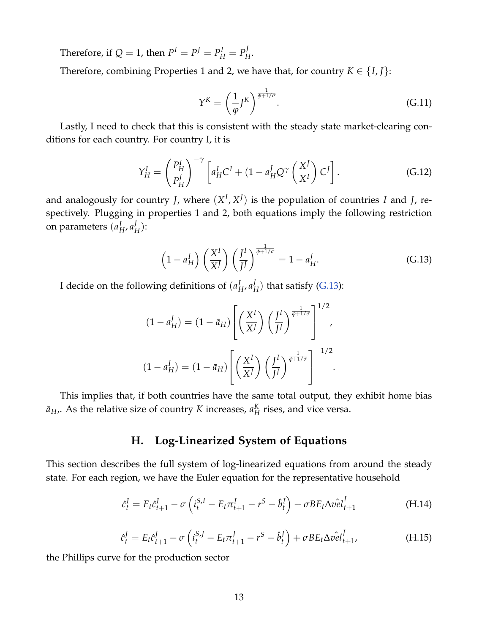Therefore, if  $Q = 1$ , then  $P^I = P^J = P^J_H = P^J_H$ *H* .

Therefore, combining Properties 1 and 2, we have that, for country  $K \in \{I, J\}$ :

$$
Y^K = \left(\frac{1}{\varphi} J^K\right)^{\frac{1}{\varphi + 1/\sigma}}.\tag{G.11}
$$

Lastly, I need to check that this is consistent with the steady state market-clearing conditions for each country. For country I, it is

$$
Y_H^I = \left(\frac{P_H^I}{P_H^J}\right)^{-\gamma} \left[a_H^I C^I + (1 - a_H^I Q^{\gamma} \left(\frac{X^J}{X^I}\right) C^J\right].
$$
 (G.12)

and analogously for country *J*, where  $(X^I, X^J)$  is the population of countries *I* and *J*, respectively. Plugging in properties 1 and 2, both equations imply the following restriction on parameters (*a I H* , *a J H* ):

<span id="page-64-3"></span>
$$
\left(1 - a_H^I\right) \left(\frac{X^I}{X^J}\right) \left(\frac{J^I}{J^J}\right)^{\frac{1}{\phi + 1/\sigma}} = 1 - a_H^J.
$$
 (G.13)

I decide on the following definitions of (*a I H* , *a J*  $_H^J$ ) that satisfy [\(G.13\)](#page-64-3):

$$
(1 - a_H^J) = (1 - \bar{a}_H) \left[ \left( \frac{X^I}{X^J} \right) \left( \frac{J^I}{J^J} \right)^{\frac{1}{\phi + 1/\sigma}} \right]^{1/2},
$$

$$
(1 - a_H^I) = (1 - \bar{a}_H) \left[ \left( \frac{X^I}{X^J} \right) \left( \frac{J^I}{J^J} \right)^{\frac{1}{\phi + 1/\sigma}} \right]^{-1/2}.
$$

<span id="page-64-0"></span>This implies that, if both countries have the same total output, they exhibit home bias  $\bar{a}_{H}$ ,. As the relative size of country *K* increases,  $a_{H}^{K}$ *H* rises, and vice versa.

## **H. Log-Linearized System of Equations**

This section describes the full system of log-linearized equations from around the steady state. For each region, we have the Euler equation for the representative household

<span id="page-64-1"></span>
$$
\hat{c}_t^I = E_t \hat{c}_{t+1}^I - \sigma \left( i_t^{S,I} - E_t \pi_{t+1}^I - r^S - \hat{b}_t^I \right) + \sigma B E_t \Delta \hat{v} \hat{e} l_{t+1}^I
$$
\n(H.14)

<span id="page-64-2"></span>
$$
\hat{c}_t^J = E_t \hat{c}_{t+1}^J - \sigma \left( i_t^{S,J} - E_t \pi_{t+1}^J - r^S - \hat{b}_t^J \right) + \sigma B E_t \Delta \hat{v} \hat{e} l_{t+1}^J, \tag{H.15}
$$

the Phillips curve for the production sector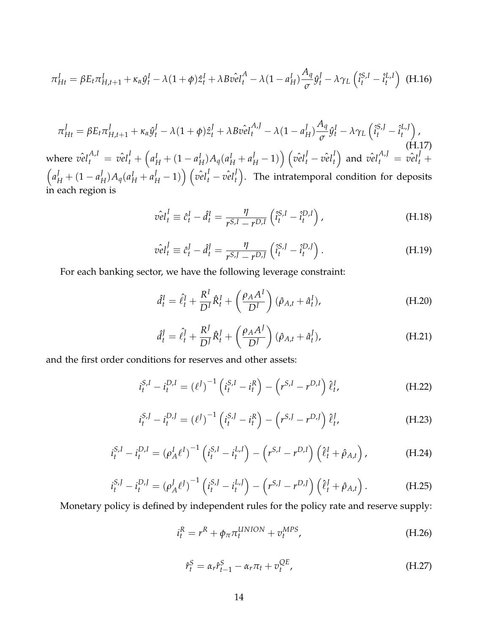<span id="page-65-0"></span>
$$
\pi_{Ht}^I = \beta E_t \pi_{H,t+1}^I + \kappa_\alpha \hat{y}_t^I - \lambda (1+\phi) \hat{z}_t^I + \lambda B \hat{v} e_l^A - \lambda (1-a_H^I) \frac{A_q}{\sigma} \hat{y}_t^I - \lambda \gamma_L \left( \hat{i}_t^{S,I} - \hat{i}_t^{L,I} \right)
$$
(H.16)

<span id="page-65-1"></span>
$$
\pi_{Ht}^{J} = \beta E_t \pi_{H,t+1}^{J} + \kappa_{\alpha} \hat{y}_t^{J} - \lambda (1 + \phi) \hat{z}_t^{J} + \lambda B \hat{v} e I_t^{A,J} - \lambda (1 - a_H^J) \frac{A_q}{\sigma} \hat{y}_t^{I} - \lambda \gamma_L \left( \hat{i}_t^{S,J} - \hat{i}_t^{L,J} \right),
$$
\nwhere  $\hat{v} e I_t^{A,I} = \hat{v} e I_t^{I} + \left( a_H^I + (1 - a_H^I) A_q (a_H^I + a_H^J - 1) \right) \left( \hat{v} e I_t^{J} - \hat{v} e I_t^{I} \right)$  and  $\hat{v} e I_t^{A,J} = \hat{v} e I_t^{J} + \left( a_H^I + (1 - a_H^I) A_q (a_H^I + a_H^J - 1) \right) \left( \hat{v} e I_t^{I} - \hat{v} e I_t^{J} \right).$  The intratemporal condition for deposits in each region is

$$
\hat{vel}_t^I \equiv \hat{c}_t^I - \hat{d}_t^I = \frac{\eta}{r^{S,I} - r^{D,I}} \left( \hat{i}_t^{S,I} - \hat{i}_t^{D,I} \right), \tag{H.18}
$$

$$
\hat{vel}_t^J \equiv \hat{c}_t^J - \hat{d}_t^J = \frac{\eta}{r^{S,J} - r^{D,J}} \left( \hat{i}_t^{S,J} - \hat{i}_t^{D,J} \right). \tag{H.19}
$$

For each banking sector, we have the following leverage constraint:

$$
\hat{d}_t^I = \hat{\ell}_t^I + \frac{R^I}{D^I} \hat{R}_t^I + \left(\frac{\rho_A A^I}{D^I}\right) (\hat{\rho}_{A,t} + \hat{a}_t^I), \tag{H.20}
$$

$$
\hat{d}_t^J = \hat{\ell}_t^J + \frac{R^J}{D^J} \hat{R}_t^J + \left(\frac{\rho_A A^J}{D^J}\right) (\hat{\rho}_{A,t} + \hat{a}_t^J), \tag{H.21}
$$

and the first order conditions for reserves and other assets:

$$
i_t^{S,I} - i_t^{D,I} = (\ell^J)^{-1} \left( i_t^{S,I} - i_t^R \right) - \left( r^{S,I} - r^{D,I} \right) \hat{\ell}_t^I,
$$
 (H.22)

$$
i_t^{S,J} - i_t^{D,J} = (\ell^J)^{-1} \left( i_t^{S,J} - i_t^R \right) - \left( r^{S,J} - r^{D,J} \right) \hat{\ell}_t^J,
$$
 (H.23)

$$
i_t^{S,I} - i_t^{D,I} = (\rho_A^I \ell^I)^{-1} \left( i_t^{S,I} - i_t^{L,I} \right) - \left( r^{S,I} - r^{D,I} \right) \left( \hat{\ell}_t^I + \hat{\rho}_{A,t} \right), \tag{H.24}
$$

$$
i_t^{S,J} - i_t^{D,J} = (\rho_A^J \ell^J)^{-1} \left( i_t^{S,J} - i_t^{L,J} \right) - \left( r^{S,J} - r^{D,J} \right) \left( \ell_t^J + \hat{\rho}_{A,t} \right). \tag{H.25}
$$

Monetary policy is defined by independent rules for the policy rate and reserve supply:

$$
i_t^R = r^R + \phi_\pi \pi_t^{UNION} + v_t^{MPS}, \qquad (H.26)
$$

$$
\hat{r}_t^S = \alpha_r \hat{r}_{t-1}^S - \alpha_r \pi_t + v_t^{QE}, \qquad (H.27)
$$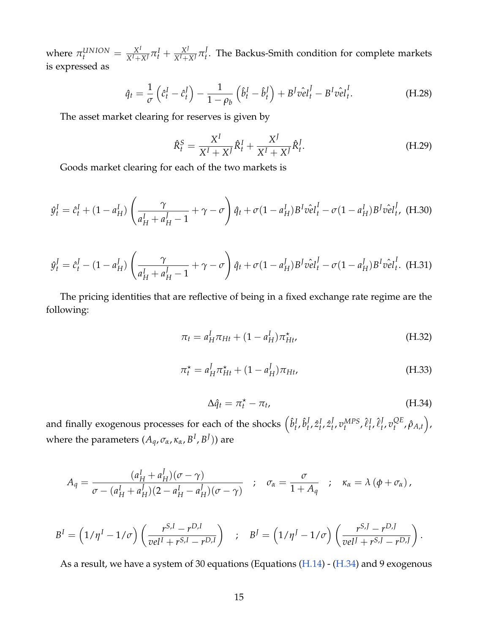where  $\pi_t^{UNION} = \frac{X^I}{X^I + X^J} \pi_t^I + \frac{X^J}{X^I + X^J} \pi_t^J$ *t* . The Backus-Smith condition for complete markets is expressed as

<span id="page-66-0"></span>
$$
\hat{q}_t = \frac{1}{\sigma} \left( \hat{c}_t^I - \hat{c}_t^I \right) - \frac{1}{1 - \rho_b} \left( \hat{b}_t^I - \hat{b}_t^I \right) + B^J \hat{v} \hat{e} \hat{t}_t^I - B^I \hat{v} \hat{e} \hat{t}_t^I.
$$
 (H.28)

The asset market clearing for reserves is given by

$$
\hat{R}_t^S = \frac{X^I}{X^I + X^J} \hat{R}_t^I + \frac{X^J}{X^I + X^J} \hat{R}_t^J.
$$
\n(H.29)

Goods market clearing for each of the two markets is

$$
\hat{y}_t^I = \hat{c}_t^I + (1 - a_H^I) \left( \frac{\gamma}{a_H^I + a_H^J - 1} + \gamma - \sigma \right) \hat{q}_t + \sigma (1 - a_H^I) B^I \hat{v} \hat{e} l_t^I - \sigma (1 - a_H^I) B^J \hat{v} \hat{e} l_t^J, \text{ (H.30)}
$$

$$
\hat{y}_t^I = \hat{c}_t^I - (1 - a_H^I) \left( \frac{\gamma}{a_H^I + a_H^I - 1} + \gamma - \sigma \right) \hat{q}_t + \sigma (1 - a_H^I) B^I \hat{v} \hat{e} l_t^I - \sigma (1 - a_H^I) B^I \hat{v} \hat{e} l_t^I.
$$
 (H.31)

The pricing identities that are reflective of being in a fixed exchange rate regime are the following:

$$
\pi_t = a_H^I \pi_{Ht} + (1 - a_H^I) \pi_{Ht}^*,
$$
\n(H.32)

$$
\pi_t^* = a_H^J \pi_{Ht}^* + (1 - a_H^J) \pi_{Ht},
$$
\n(H.33)

<span id="page-66-1"></span>
$$
\Delta \hat{q}_t = \pi_t^* - \pi_t, \tag{H.34}
$$

and finally exogenous processes for each of the shocks  $\left(\hat{b}_t^I,\hat{b}_t^J\right)$  $_{t}^{J},\hat{z}_{t}^{I},\hat{z}_{t}^{J}$  $_{t}^{J}$ ,  $v_{t}^{MPS}$ ,  $\hat{\ell}_{t}^{I}$ ,  $\hat{\ell}_{t}^{J}$ *t* , *v QE t* , *ρ*ˆ*A*,*<sup>t</sup>* , where the parameters  $(A_q, \sigma_\alpha, \kappa_\alpha, B^I, B^J)$  are

$$
A_q = \frac{(a_H^I + a_H^J)(\sigma - \gamma)}{\sigma - (a_H^I + a_H^J)(2 - a_H^I - a_H^J)(\sigma - \gamma)} \quad ; \quad \sigma_\alpha = \frac{\sigma}{1 + A_q} \quad ; \quad \kappa_\alpha = \lambda (\phi + \sigma_\alpha) ,
$$

$$
BI = (1/\etaI - 1/\sigma) \left( \frac{rS,I - rD,I}{velI + rS,I - rD,I} \right) ; BJ = (1/\etaJ - 1/\sigma) \left( \frac{rS,I - rD,I}{velI + rS,I - rD,I} \right).
$$

As a result, we have a system of 30 equations (Equations [\(H.14\)](#page-64-1) - [\(H.34\)](#page-66-1) and 9 exogenous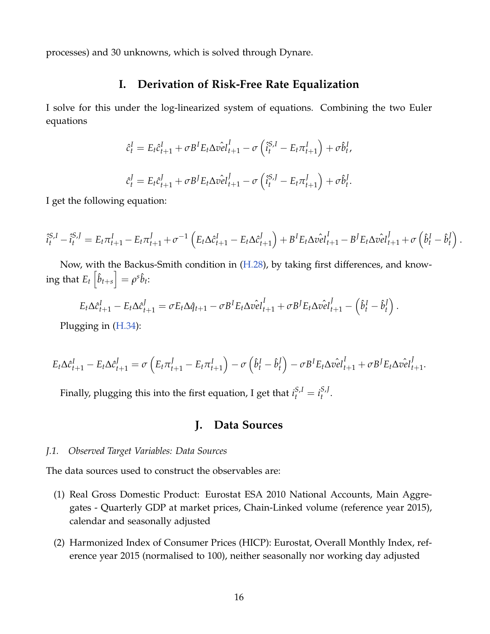<span id="page-67-0"></span>processes) and 30 unknowns, which is solved through Dynare.

## **I. Derivation of Risk-Free Rate Equalization**

I solve for this under the log-linearized system of equations. Combining the two Euler equations

$$
\hat{c}_t^I = E_t \hat{c}_{t+1}^I + \sigma B^I E_t \Delta \hat{v} \hat{e} \hat{t}_{t+1}^I - \sigma \left( \hat{i}_t^{S,I} - E_t \pi_{t+1}^I \right) + \sigma \hat{b}_t^I,
$$
  

$$
\hat{c}_t^J = E_t \hat{c}_{t+1}^J + \sigma B^J E_t \Delta \hat{v} \hat{e} \hat{t}_{t+1}^J - \sigma \left( \hat{i}_t^{S,I} - E_t \pi_{t+1}^J \right) + \sigma \hat{b}_t^J.
$$

I get the following equation:

$$
\hat{i}_{t}^{S,I} - \hat{i}_{t}^{S,I} = E_{t}\pi_{t+1}^{I} - E_{t}\pi_{t+1}^{J} + \sigma^{-1} \left( E_{t}\Delta \hat{c}_{t+1}^{I} - E_{t}\Delta \hat{c}_{t+1}^{J} \right) + B^{I}E_{t}\Delta \hat{v} \hat{e} \hat{l}_{t+1}^{I} - B^{J}E_{t}\Delta \hat{v} \hat{e} \hat{l}_{t+1}^{J} + \sigma \left( \hat{b}_{t}^{I} - \hat{b}_{t}^{J} \right)
$$

.

Now, with the Backus-Smith condition in [\(H.28\)](#page-66-0), by taking first differences, and know- $\inf E_t\left[\hat{b}_{t+s}\right] = \rho^s\hat{b}_t.$ 

$$
E_t \Delta \hat{c}_{t+1}^I - E_t \Delta \hat{c}_{t+1}^J = \sigma E_t \Delta \hat{q}_{t+1} - \sigma B^I E_t \Delta \hat{v} \hat{e} l_{t+1}^I + \sigma B^J E_t \Delta \hat{v} \hat{e} l_{t+1}^J - \left(\hat{b}_t^I - \hat{b}_t^J\right).
$$

Plugging in [\(H.34\)](#page-66-1):

$$
E_t \Delta \hat{c}_{t+1}^I - E_t \Delta \hat{c}_{t+1}^J = \sigma \left( E_t \pi_{t+1}^J - E_t \pi_{t+1}^I \right) - \sigma \left( \hat{b}_t^I - \hat{b}_t^I \right) - \sigma B^I E_t \Delta \hat{v} \hat{e} l_{t+1}^I + \sigma B^J E_t \Delta \hat{v} \hat{e} l_{t+1}^J.
$$

<span id="page-67-1"></span>Finally, plugging this into the first equation, I get that  $i_t^{S,I} = i_t^{S,J}$ *t* .

## **J. Data Sources**

#### *J.1. Observed Target Variables: Data Sources*

The data sources used to construct the observables are:

- (1) Real Gross Domestic Product: Eurostat ESA 2010 National Accounts, Main Aggregates - Quarterly GDP at market prices, Chain-Linked volume (reference year 2015), calendar and seasonally adjusted
- (2) Harmonized Index of Consumer Prices (HICP): Eurostat, Overall Monthly Index, reference year 2015 (normalised to 100), neither seasonally nor working day adjusted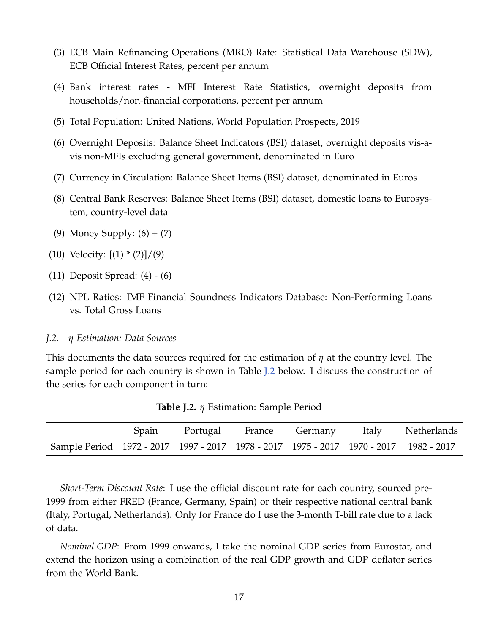- (3) ECB Main Refinancing Operations (MRO) Rate: Statistical Data Warehouse (SDW), ECB Official Interest Rates, percent per annum
- (4) Bank interest rates MFI Interest Rate Statistics, overnight deposits from households/non-financial corporations, percent per annum
- (5) Total Population: United Nations, World Population Prospects, 2019
- (6) Overnight Deposits: Balance Sheet Indicators (BSI) dataset, overnight deposits vis-avis non-MFIs excluding general government, denominated in Euro
- (7) Currency in Circulation: Balance Sheet Items (BSI) dataset, denominated in Euros
- (8) Central Bank Reserves: Balance Sheet Items (BSI) dataset, domestic loans to Eurosystem, country-level data
- (9) Money Supply: (6) + (7)
- (10) Velocity:  $[(1) * (2)]/(9)$
- (11) Deposit Spread: (4) (6)
- (12) NPL Ratios: IMF Financial Soundness Indicators Database: Non-Performing Loans vs. Total Gross Loans
- *J.2. η Estimation: Data Sources*

This documents the data sources required for the estimation of *η* at the country level. The sample period for each country is shown in Table [J.2](#page-68-0) below. I discuss the construction of the series for each component in turn:

<span id="page-68-0"></span>

|                                                                                       |  |  | Spain Portugal France Germany Italy Netherlands |
|---------------------------------------------------------------------------------------|--|--|-------------------------------------------------|
| Sample Period 1972 - 2017 1997 - 2017 1978 - 2017 1975 - 2017 1970 - 2017 1982 - 2017 |  |  |                                                 |

**Table J.2.** *η* Estimation: Sample Period

*Short-Term Discount Rate*: I use the official discount rate for each country, sourced pre-1999 from either FRED (France, Germany, Spain) or their respective national central bank (Italy, Portugal, Netherlands). Only for France do I use the 3-month T-bill rate due to a lack of data.

*Nominal GDP*: From 1999 onwards, I take the nominal GDP series from Eurostat, and extend the horizon using a combination of the real GDP growth and GDP deflator series from the World Bank.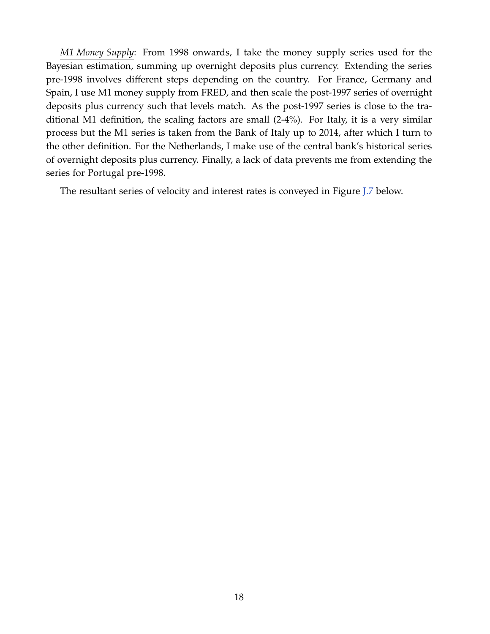*M1 Money Supply*: From 1998 onwards, I take the money supply series used for the Bayesian estimation, summing up overnight deposits plus currency. Extending the series pre-1998 involves different steps depending on the country. For France, Germany and Spain, I use M1 money supply from FRED, and then scale the post-1997 series of overnight deposits plus currency such that levels match. As the post-1997 series is close to the traditional M1 definition, the scaling factors are small (2-4%). For Italy, it is a very similar process but the M1 series is taken from the Bank of Italy up to 2014, after which I turn to the other definition. For the Netherlands, I make use of the central bank's historical series of overnight deposits plus currency. Finally, a lack of data prevents me from extending the series for Portugal pre-1998.

The resultant series of velocity and interest rates is conveyed in Figure [J.7](#page-70-0) below.